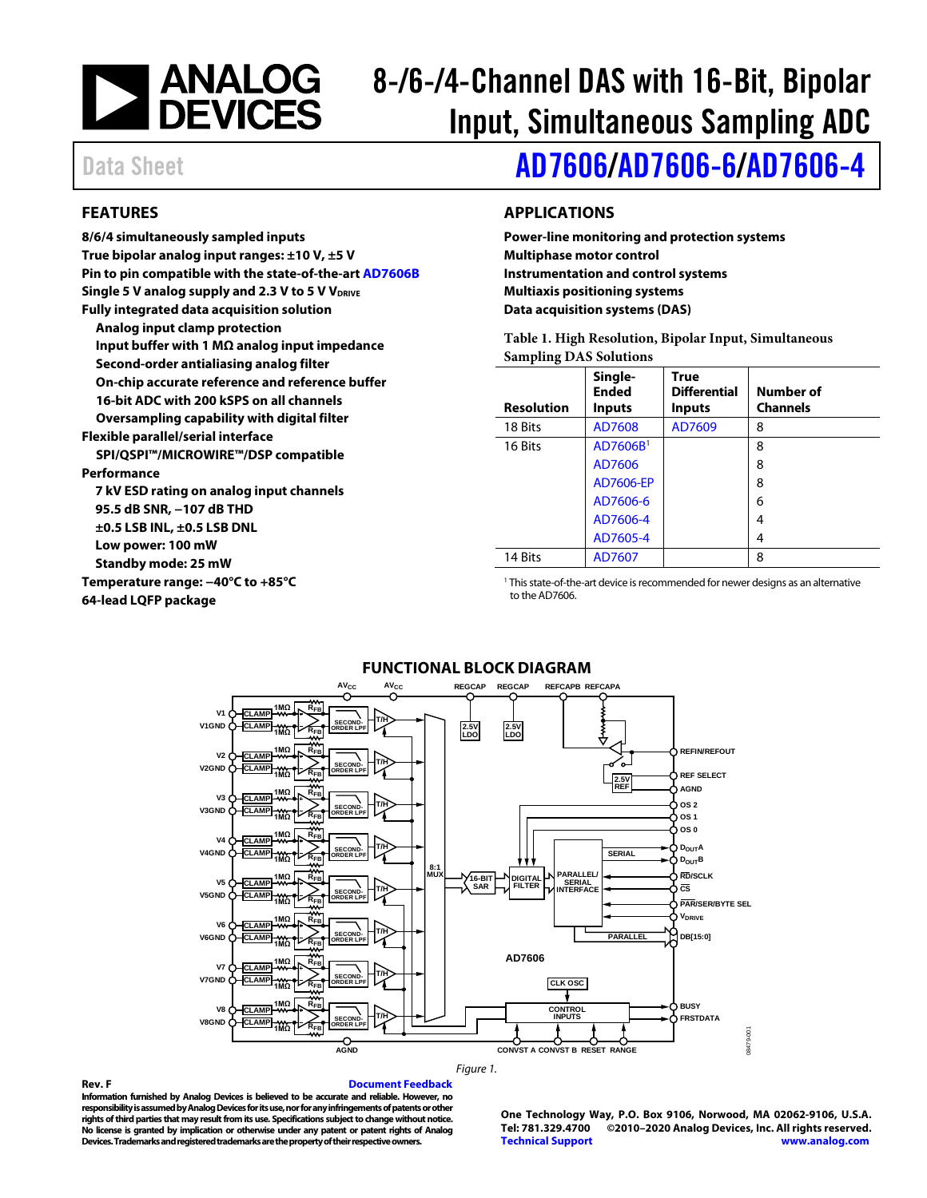

# 8-/6-/4-Channel DAS with 16-Bit, Bipolar Input, Simultaneous Sampling ADC

Data Sheet **[AD7606](https://www.analog.com/AD7606?doc=AD7606_7606-6_7606-4.pdf)[/AD7606-6](https://www.analog.com/AD7606-6?doc=AD7606_7606-6_7606-4.pdf)[/AD7606-4](https://www.analog.com/AD7606-4?doc=AD7606_7606-6_7606-4.pdf)** 

#### <span id="page-0-0"></span>**FEATURES**

**8/6/4 simultaneously sampled inputs True bipolar analog input ranges: ±10 V, ±5 V Pin to pin compatible with the state-of-the-art [AD7606B](http://www.analog.com/AD7606B) Single 5 V analog supply and 2.3 V to 5 V VDRIVE Fully integrated data acquisition solution Analog input clamp protection Input buffer with 1 MΩ analog input impedance Second-order antialiasing analog filter On-chip accurate reference and reference buffer 16-bit ADC with 200 kSPS on all channels Oversampling capability with digital filter Flexible parallel/serial interface SPI/QSPI™/MICROWIRE™/DSP compatible Performance 7 kV ESD rating on analog input channels 95.5 dB SNR, −107 dB THD ±0.5 LSB INL, ±0.5 LSB DNL Low power: 100 mW Standby mode: 25 mW Temperature range: −40°C to +85°C 64-lead LQFP package**

#### <span id="page-0-1"></span>**APPLICATIONS**

**Power-line monitoring and protection systems Multiphase motor control Instrumentation and control systems Multiaxis positioning systems Data acquisition systems (DAS)**

**Table 1. High Resolution, Bipolar Input, Simultaneous Sampling DAS Solutions**

| <b>Resolution</b> | Single-<br><b>Ended</b><br><b>Inputs</b> | <b>True</b><br><b>Differential</b><br><b>Inputs</b> | Number of<br><b>Channels</b> |
|-------------------|------------------------------------------|-----------------------------------------------------|------------------------------|
| 18 Bits           | AD7608                                   | AD7609                                              | 8                            |
| 16 Bits           | AD7606B <sup>1</sup>                     |                                                     | 8                            |
|                   | AD7606                                   |                                                     | 8                            |
|                   | AD7606-EP                                |                                                     | 8                            |
|                   | AD7606-6                                 |                                                     | 6                            |
|                   | AD7606-4                                 |                                                     | 4                            |
|                   | AD7605-4                                 |                                                     | 4                            |
| 14 Bits           | AD7607                                   |                                                     | 8                            |

<sup>1</sup> This state-of-the-art device is recommended for newer designs as an alternative to the AD7606.

<span id="page-0-2"></span>

#### *Figure 1.*

**Rev. F [Document Feedback](https://form.analog.com/Form_Pages/feedback/documentfeedback.aspx?doc=AD7606_7606-6_7606-4.pdf&product=AD7606%20AD7606-6%20AD7606-4&rev=F) Information furnished by Analog Devices is believed to be accurate and reliable. However, no responsibility is assumed by Analog Devices for its use, nor for any infringements of patents or other rights of third parties that may result from its use. Specifications subject to change without notice. No license is granted by implication or otherwise under any patent or patent rights of Analog Devices. Trademarks and registered trademarks are the property of their respective owners.**

**One Technology Way, P.O. Box 9106, Norwood, MA 02062-9106, U.S.A. Tel: 781.329.4700 ©2010–2020 Analog Devices, Inc. All rights reserved. [Technical Support](http://www.analog.com/en/content/technical_support_page/fca.html) [www.analog.com](http://www.analog.com/)**

#### **FUNCTIONAL BLOCK DIAGRAM**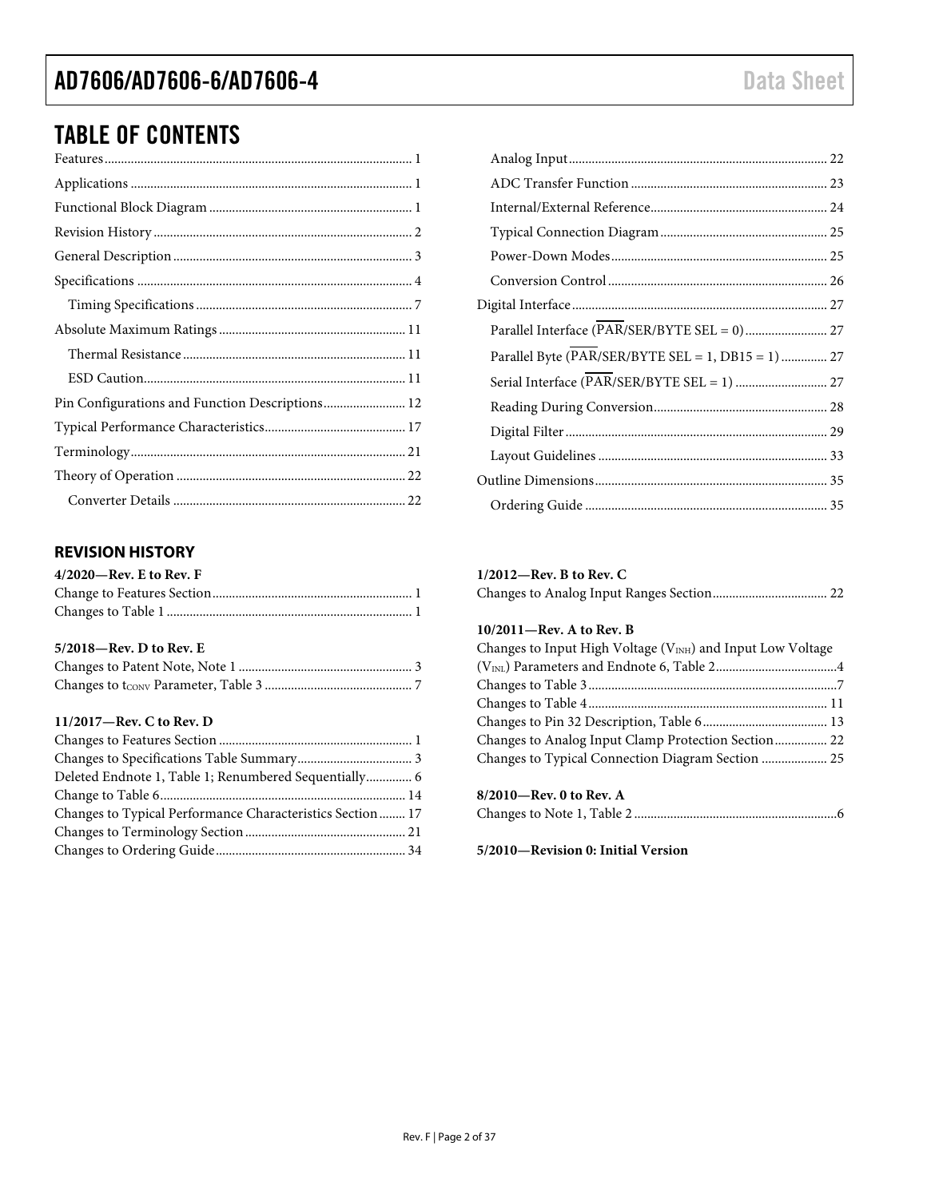# TABLE OF CONTENTS

| Pin Configurations and Function Descriptions 12 |
|-------------------------------------------------|
|                                                 |
|                                                 |
|                                                 |
|                                                 |

#### <span id="page-1-0"></span>**REVISION HISTORY**

| $4/2020$ —Rev. E to Rev. F |  |
|----------------------------|--|
|                            |  |
|                            |  |

#### **5/2018—Rev. D to Rev. E**

#### **11/2017—Rev. C to Rev. D**

| Deleted Endnote 1, Table 1; Renumbered Sequentially 6     |  |
|-----------------------------------------------------------|--|
|                                                           |  |
| Changes to Typical Performance Characteristics Section 17 |  |
|                                                           |  |
|                                                           |  |

| Parallel Interface (PAR/SER/BYTE SEL = 0) 27       |  |
|----------------------------------------------------|--|
| Parallel Byte (PAR/SER/BYTE SEL = 1, DB15 = 1)  27 |  |
|                                                    |  |
|                                                    |  |
|                                                    |  |
|                                                    |  |
|                                                    |  |
|                                                    |  |

#### **1/2012—Rev. B to Rev. C**

#### **10/2011—Rev. A to Rev. B**

| Changes to Input High Voltage $(V_{INH})$ and Input Low Voltage |  |
|-----------------------------------------------------------------|--|
|                                                                 |  |
|                                                                 |  |
|                                                                 |  |
|                                                                 |  |
| Changes to Analog Input Clamp Protection Section 22             |  |
|                                                                 |  |
|                                                                 |  |
| $R/2010$ Rev 0 to Rev $\Delta$                                  |  |

| 8/2010—Rev. 0 to Rev. A |  |
|-------------------------|--|
|                         |  |

**5/2010—Revision 0: Initial Version**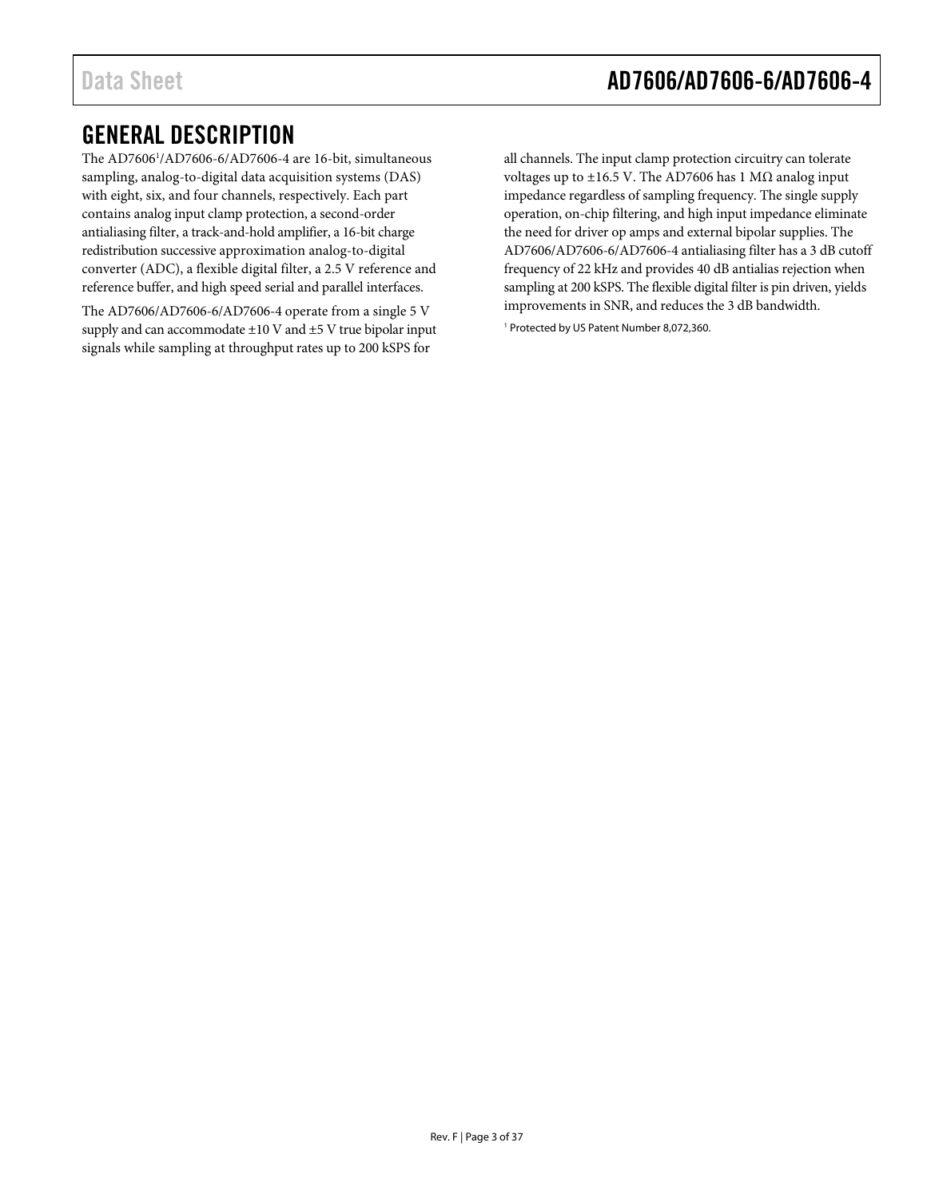### <span id="page-2-0"></span>GENERAL DESCRIPTION

The AD7606<sup>1</sup>/AD7606-6/AD7606-4 are 16-bit, simultaneous sampling, analog-to-digital data acquisition systems (DAS) with eight, six, and four channels, respectively. Each part contains analog input clamp protection, a second-order antialiasing filter, a track-and-hold amplifier, a 16-bit charge redistribution successive approximation analog-to-digital converter (ADC), a flexible digital filter, a 2.5 V reference and reference buffer, and high speed serial and parallel interfaces.

The AD7606/AD7606-6/AD7606-4 operate from a single 5 V supply and can accommodate  $\pm 10$  V and  $\pm 5$  V true bipolar input signals while sampling at throughput rates up to 200 kSPS for

all channels. The input clamp protection circuitry can tolerate voltages up to ±16.5 V. The AD7606 has 1 MΩ analog input impedance regardless of sampling frequency. The single supply operation, on-chip filtering, and high input impedance eliminate the need for driver op amps and external bipolar supplies. The AD7606/AD7606-6/AD7606-4 antialiasing filter has a 3 dB cutoff frequency of 22 kHz and provides 40 dB antialias rejection when sampling at 200 kSPS. The flexible digital filter is pin driven, yields improvements in SNR, and reduces the 3 dB bandwidth. <sup>1</sup> Protected by US Patent Number 8,072,360.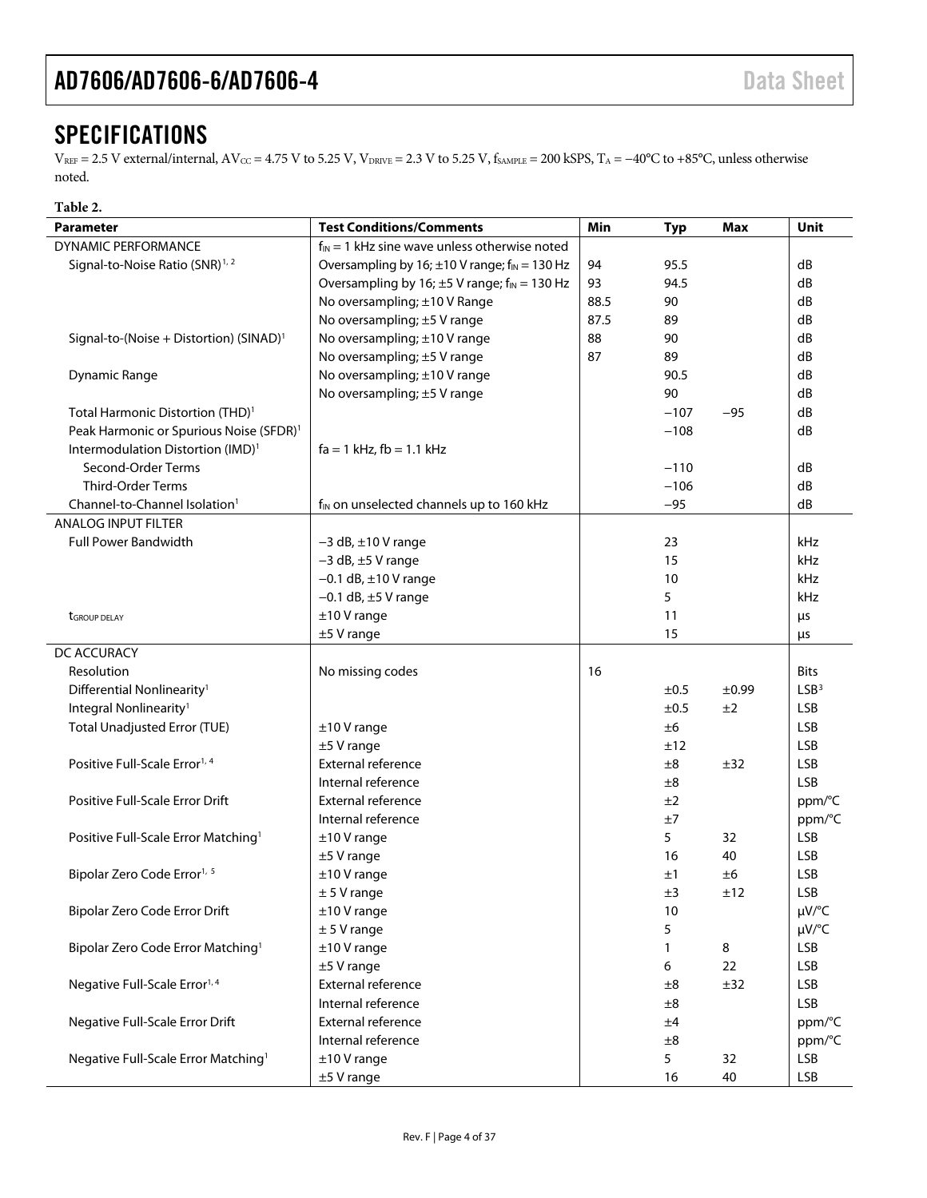### <span id="page-3-0"></span>**SPECIFICATIONS**

 $V_{REF} = 2.5$  V external/internal,  $AV_{CC} = 4.75$  V to 5.25 V,  $V_{DRIVE} = 2.3$  V to 5.25 V,  $f_{SAMPLE} = 200$  kSPS,  $T_A = -40^{\circ}C$  to +85°C, unless otherwise noted.

| Table 2.                                            |                                                                |      |            |         |                  |
|-----------------------------------------------------|----------------------------------------------------------------|------|------------|---------|------------------|
| <b>Parameter</b>                                    | <b>Test Conditions/Comments</b>                                | Min  | <b>Typ</b> | Max     | Unit             |
| DYNAMIC PERFORMANCE                                 | $f_{IN} = 1$ kHz sine wave unless otherwise noted              |      |            |         |                  |
| Signal-to-Noise Ratio (SNR) <sup>1,2</sup>          | Oversampling by 16; $\pm$ 10 V range; f <sub>IN</sub> = 130 Hz | 94   | 95.5       |         | dB               |
|                                                     | Oversampling by 16; $\pm$ 5 V range; f <sub>IN</sub> = 130 Hz  | 93   | 94.5       |         | dB               |
|                                                     | No oversampling; ±10 V Range                                   | 88.5 | 90         |         | dB               |
|                                                     | No oversampling; ±5 V range                                    | 87.5 | 89         |         | dB               |
| Signal-to-(Noise + Distortion) (SINAD) <sup>1</sup> | No oversampling; ±10 V range                                   | 88   | 90         |         | dB               |
|                                                     | No oversampling; ±5 V range                                    | 87   | 89         |         | dB               |
| <b>Dynamic Range</b>                                | No oversampling; ±10 V range                                   |      | 90.5       |         | dB               |
|                                                     | No oversampling; ±5 V range                                    |      | 90         |         | dB               |
| Total Harmonic Distortion (THD) <sup>1</sup>        |                                                                |      | $-107$     | $-95$   | dB               |
| Peak Harmonic or Spurious Noise (SFDR) <sup>1</sup> |                                                                |      | $-108$     |         | dB               |
| Intermodulation Distortion (IMD) <sup>1</sup>       | $fa = 1$ kHz, $fb = 1.1$ kHz                                   |      |            |         |                  |
| Second-Order Terms                                  |                                                                |      | $-110$     |         | dB               |
| Third-Order Terms                                   |                                                                |      | $-106$     |         | dB               |
| Channel-to-Channel Isolation <sup>1</sup>           | f <sub>IN</sub> on unselected channels up to 160 kHz           |      | $-95$      |         | dB               |
| <b>ANALOG INPUT FILTER</b>                          |                                                                |      |            |         |                  |
| <b>Full Power Bandwidth</b>                         | $-3$ dB, $\pm$ 10 V range                                      |      | 23         |         | kHz              |
|                                                     | $-3$ dB, $\pm$ 5 V range                                       |      | 15         |         | kHz              |
|                                                     | $-0.1$ dB, $\pm 10$ V range                                    |      | 10         |         | kHz              |
|                                                     | $-0.1$ dB, $\pm$ 5 V range                                     |      | 5          |         | kHz              |
| tGROUP DELAY                                        | $±10V$ range                                                   |      | 11         |         | μs               |
|                                                     | $±5$ V range                                                   |      | 15         |         | μs               |
| DC ACCURACY                                         |                                                                |      |            |         |                  |
| Resolution                                          | No missing codes                                               | 16   |            |         | <b>Bits</b>      |
| Differential Nonlinearity <sup>1</sup>              |                                                                |      | ±0.5       | ±0.99   | LSB <sup>3</sup> |
| Integral Nonlinearity <sup>1</sup>                  |                                                                |      | ±0.5       | ±2      | <b>LSB</b>       |
| <b>Total Unadjusted Error (TUE)</b>                 | $±10V$ range                                                   |      | ±6         |         | <b>LSB</b>       |
|                                                     | $±5$ V range                                                   |      | ±12        |         | <b>LSB</b>       |
| Positive Full-Scale Error <sup>1, 4</sup>           | External reference                                             |      | $\pm 8$    | ±32     | <b>LSB</b>       |
|                                                     | Internal reference                                             |      | $\pm 8$    |         | <b>LSB</b>       |
| Positive Full-Scale Error Drift                     | <b>External reference</b>                                      |      | ±2         |         | ppm/°C           |
|                                                     | Internal reference                                             |      | ±7         |         | ppm/°C           |
| Positive Full-Scale Error Matching <sup>1</sup>     | $±10V$ range                                                   |      | 5          | 32      | <b>LSB</b>       |
|                                                     | $±5$ V range                                                   |      | 16         | 40      | <b>LSB</b>       |
| Bipolar Zero Code Error <sup>1, 5</sup>             | $±10V$ range                                                   |      | ±1         | ±6      | <b>LSB</b>       |
|                                                     | ± 5 V range                                                    |      | ±3         | ±12     | <b>LSB</b>       |
| Bipolar Zero Code Error Drift                       | $±10V$ range                                                   |      | 10         |         | µV/°C            |
|                                                     | ± 5 V range                                                    |      | 5          |         | µV/°C            |
| Bipolar Zero Code Error Matching <sup>1</sup>       | $±10V$ range                                                   |      | 1          | $\bf 8$ | <b>LSB</b>       |
|                                                     | $±5$ V range                                                   |      | 6          | 22      | <b>LSB</b>       |
| Negative Full-Scale Error <sup>1,4</sup>            | External reference                                             |      | ±8         | ±32     | <b>LSB</b>       |
|                                                     | Internal reference                                             |      | ±8         |         | <b>LSB</b>       |
| Negative Full-Scale Error Drift                     | External reference                                             |      | ±4         |         | ppm/°C           |
|                                                     | Internal reference                                             |      | ±8         |         | ppm/°C           |
| Negative Full-Scale Error Matching <sup>1</sup>     | $±10V$ range                                                   |      | 5          | 32      | <b>LSB</b>       |
|                                                     | $±5$ V range                                                   |      | 16         | 40      | <b>LSB</b>       |
|                                                     |                                                                |      |            |         |                  |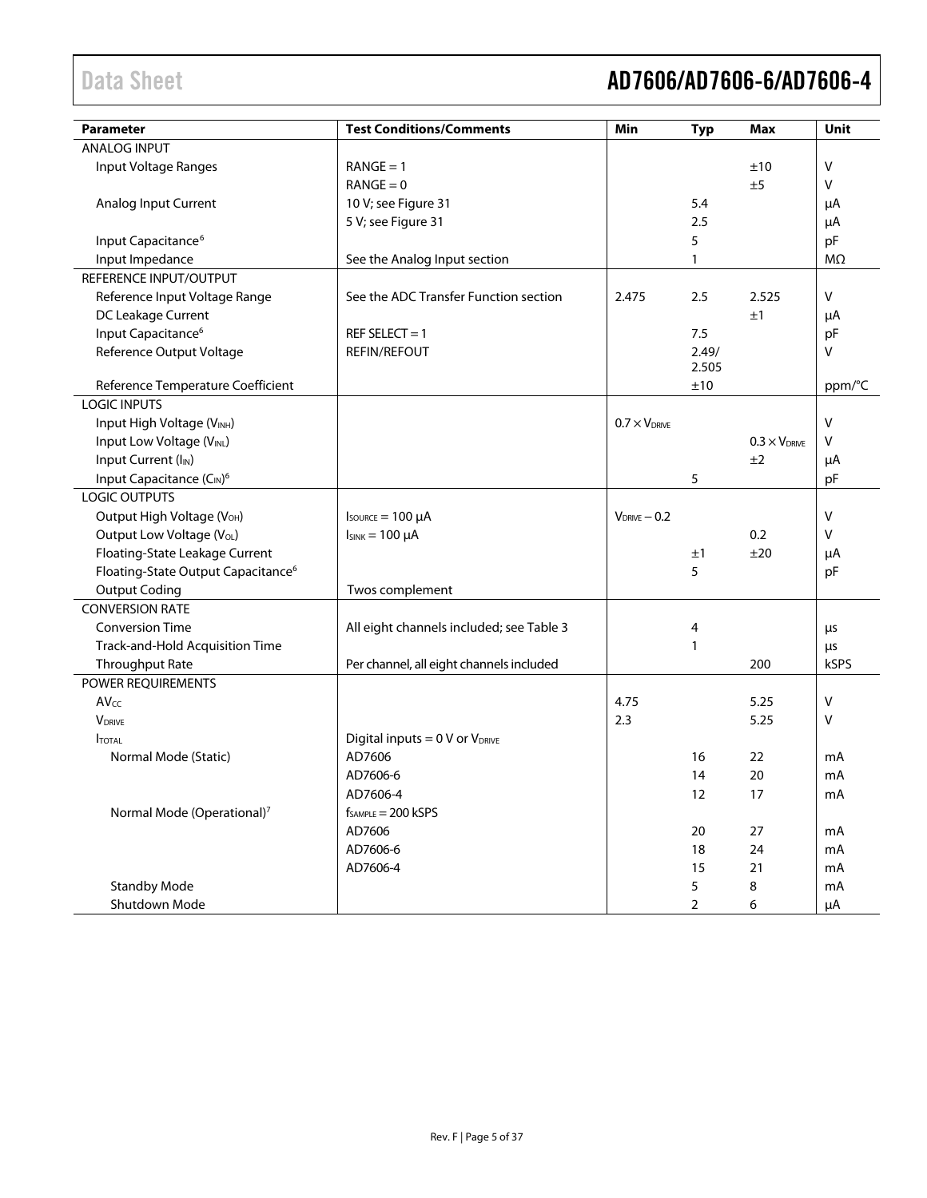# Data Sheet **AD7606/AD7606-6/AD7606-4**

| <b>Parameter</b>                               | <b>Test Conditions/Comments</b>          | Min                    | <b>Typ</b>     | <b>Max</b>             | Unit         |
|------------------------------------------------|------------------------------------------|------------------------|----------------|------------------------|--------------|
| <b>ANALOG INPUT</b>                            |                                          |                        |                |                        |              |
| Input Voltage Ranges                           | $RANGE = 1$                              |                        |                | ±10                    | $\vee$       |
|                                                | $RANGE = 0$                              |                        |                | ±5                     | $\sf V$      |
| Analog Input Current                           | 10 V; see Figure 31                      |                        | 5.4            |                        | μA           |
|                                                | 5 V; see Figure 31                       |                        | 2.5            |                        | μA           |
| Input Capacitance <sup>6</sup>                 |                                          |                        | 5              |                        | pF           |
| Input Impedance                                | See the Analog Input section             |                        | $\mathbf{1}$   |                        | $M\Omega$    |
| REFERENCE INPUT/OUTPUT                         |                                          |                        |                |                        |              |
| Reference Input Voltage Range                  | See the ADC Transfer Function section    | 2.475                  | 2.5            | 2.525                  | V            |
| DC Leakage Current                             |                                          |                        |                | ±1                     | μA           |
| Input Capacitance <sup>6</sup>                 | REF SELECT = $1$                         |                        | 7.5            |                        | pF           |
| Reference Output Voltage                       | <b>REFIN/REFOUT</b>                      |                        | 2.49/          |                        | V            |
|                                                |                                          |                        | 2.505          |                        |              |
| Reference Temperature Coefficient              |                                          |                        | ±10            |                        | ppm/°C       |
| <b>LOGIC INPUTS</b>                            |                                          |                        |                |                        |              |
| Input High Voltage (VINH)                      |                                          | $0.7 \times V_{DRIVE}$ |                |                        | $\mathsf{V}$ |
| Input Low Voltage (VINL)                       |                                          |                        |                | $0.3 \times V_{DRIVE}$ | v            |
| Input Current (I <sub>IN</sub> )               |                                          |                        |                | ±2                     | μA           |
| Input Capacitance (CIN) <sup>6</sup>           |                                          |                        | 5              |                        | pF           |
| <b>LOGIC OUTPUTS</b>                           |                                          |                        |                |                        |              |
| Output High Voltage (V <sub>OH</sub> )         | $I_{\text{SOWRCE}} = 100 \mu A$          | $V_{DRIVE} - 0.2$      |                |                        | $\vee$       |
| Output Low Voltage (V <sub>OL</sub> )          | $I_{SINK} = 100 \mu A$                   |                        |                | 0.2                    | V            |
| Floating-State Leakage Current                 |                                          |                        | ±1             | ±20                    | μA           |
| Floating-State Output Capacitance <sup>6</sup> |                                          |                        | 5              |                        | pF           |
| <b>Output Coding</b>                           | Twos complement                          |                        |                |                        |              |
| <b>CONVERSION RATE</b>                         |                                          |                        |                |                        |              |
| <b>Conversion Time</b>                         | All eight channels included; see Table 3 |                        | 4              |                        | $\mu$ s      |
| Track-and-Hold Acquisition Time                |                                          |                        | 1              |                        | $\mu$ s      |
| Throughput Rate                                | Per channel, all eight channels included |                        |                | 200                    | kSPS         |
| POWER REQUIREMENTS                             |                                          |                        |                |                        |              |
| AVcc                                           |                                          | 4.75                   |                | 5.25                   | $\vee$       |
| <b>V</b> DRIVE                                 |                                          | 2.3                    |                | 5.25                   | v            |
| <b>ITOTAL</b>                                  | Digital inputs = $0$ V or $V_{DRIVE}$    |                        |                |                        |              |
| Normal Mode (Static)                           | AD7606                                   |                        | 16             | 22                     | mA           |
|                                                | AD7606-6                                 |                        | 14             | 20                     | mA           |
|                                                | AD7606-4                                 |                        | 12             | 17                     | mА           |
| Normal Mode (Operational) <sup>7</sup>         | $f_{SAMPLE} = 200$ kSPS                  |                        |                |                        |              |
|                                                | AD7606                                   |                        | 20             | 27                     | mA           |
|                                                | AD7606-6                                 |                        | 18             | 24                     | mA           |
|                                                | AD7606-4                                 |                        | 15             | 21                     | mA           |
| <b>Standby Mode</b>                            |                                          |                        | 5              | 8                      | mA           |
| Shutdown Mode                                  |                                          |                        | $\overline{2}$ | 6                      | μA           |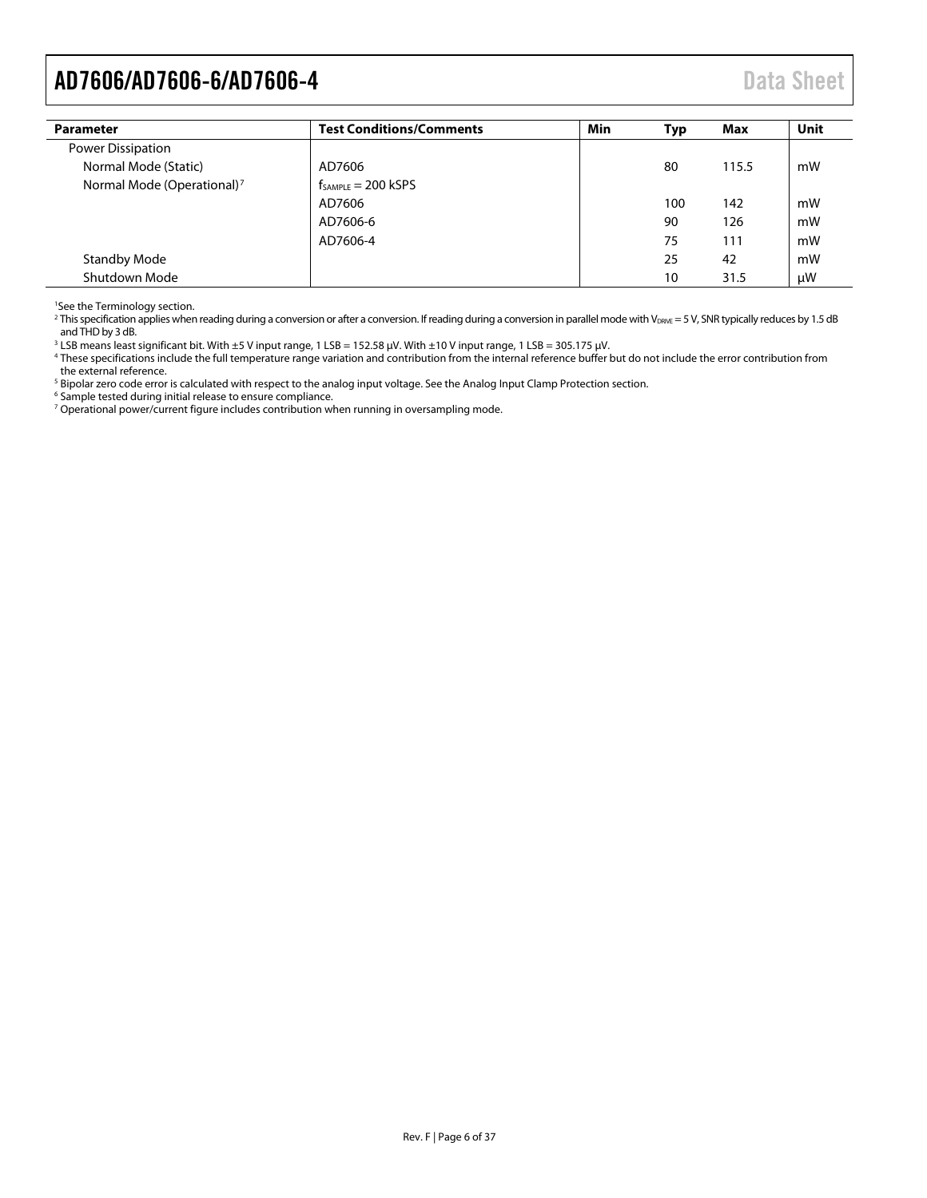<span id="page-5-1"></span>

| <b>Parameter</b>                       | <b>Test Conditions/Comments</b> | Min | <b>Typ</b> | Max   | <b>Unit</b> |
|----------------------------------------|---------------------------------|-----|------------|-------|-------------|
| Power Dissipation                      |                                 |     |            |       |             |
| Normal Mode (Static)                   | AD7606                          |     | 80         | 115.5 | mW          |
| Normal Mode (Operational) <sup>7</sup> | $f_{SAMPLE} = 200$ kSPS         |     |            |       |             |
|                                        | AD7606                          |     | 100        | 142   | mW          |
|                                        | AD7606-6                        |     | 90         | 126   | mW          |
|                                        | AD7606-4                        |     | 75         | 111   | mW          |
| <b>Standby Mode</b>                    |                                 |     | 25         | 42    | mW          |
| Shutdown Mode                          |                                 |     | 10         | 31.5  | μW          |

1 See th[e Terminology](#page-20-0) section.

<sup>2</sup> This specification applies when reading during a conversion or after a conversion. If reading during a conversion in parallel mode with V<sub>DRVE</sub> = 5 V, SNR typically reduces by 1.5 dB and THD by 3 dB.

<span id="page-5-0"></span> $3$  LSB means least significant bit. With  $\pm 5$  V input range, 1 LSB = 152.58  $\mu$ V. With  $\pm 10$  V input range, 1 LSB = 305.175  $\mu$ V.

<sup>4</sup> These specifications include the full temperature range variation and contribution from the internal reference buffer but do not include the error contribution from the external reference.

<sup>5</sup> Bipolar zero code error is calculated with respect to the analog input voltage. See th[e Analog Input Clamp Protection](#page-21-3) section.

<sup>6</sup> Sample tested during initial release to ensure compliance.

<sup>7</sup> Operational power/current figure includes contribution when running in oversampling mode.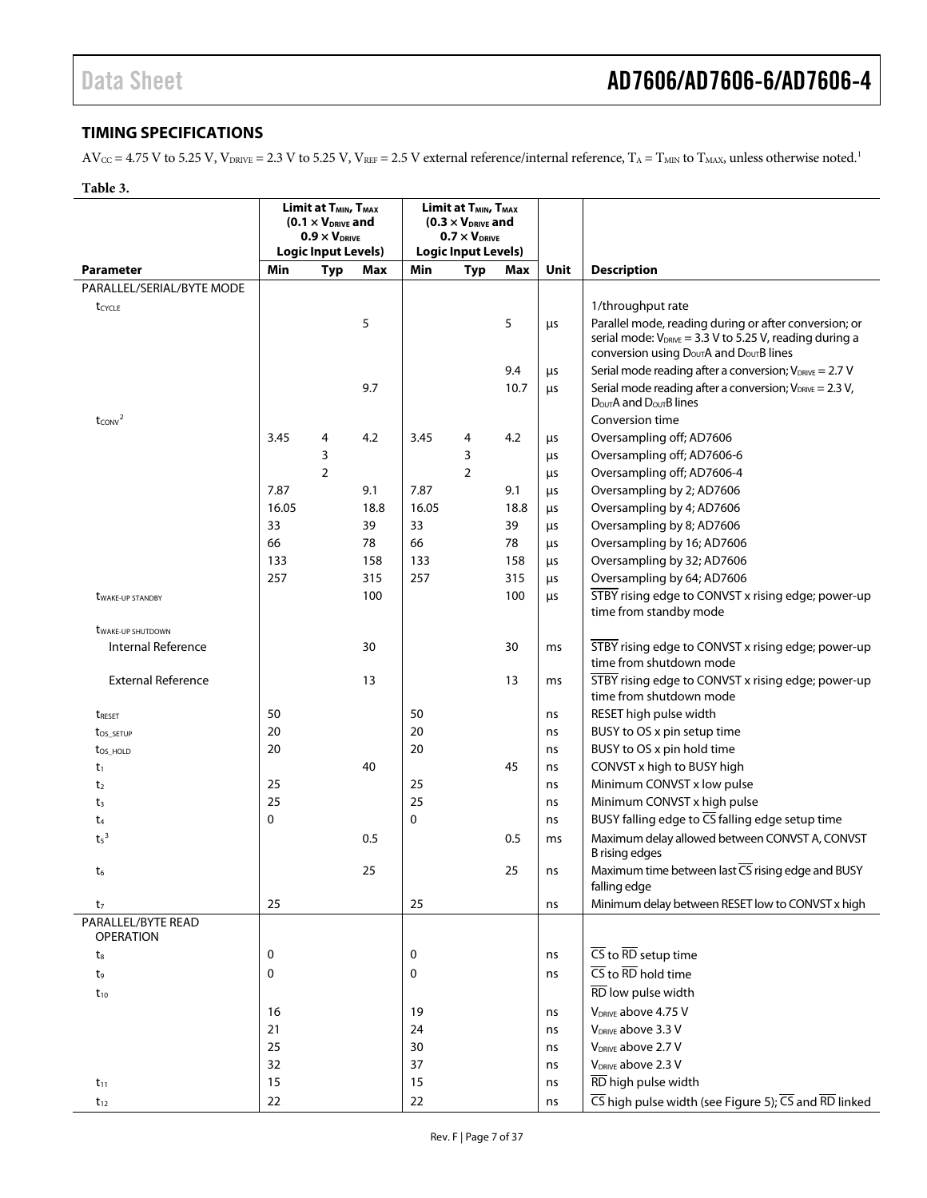#### <span id="page-6-0"></span>**TIMING SPECIFICATIONS**

 $AV_{CC} = 4.75$  V to 5.25 V,  $V_{DRIVE} = 2.3$  V to 5.25 V,  $V_{REF} = 2.5$  V external reference/internal reference,  $T_A = T_{MIN}$  to  $T_{MAX}$ , unless otherwise noted.<sup>[1](#page-11-1)</sup>

<span id="page-6-1"></span>

| ורו<br>16 |
|-----------|
|-----------|

|                                        | Limit at T <sub>MIN</sub> , T <sub>MAX</sub><br>$(0.1 \times V_{DRIVE}$ and<br>$0.9 \times V_{DRIVE}$ |                            | Limit at T <sub>MIN</sub> , T <sub>MAX</sub><br>$(0.3 \times V_{DRIVE}$ and<br>$0.7 \times V_{DRIVE}$<br><b>Logic Input Levels)</b> |       |                |      |      |                                                                                                                                                                                         |
|----------------------------------------|-------------------------------------------------------------------------------------------------------|----------------------------|-------------------------------------------------------------------------------------------------------------------------------------|-------|----------------|------|------|-----------------------------------------------------------------------------------------------------------------------------------------------------------------------------------------|
|                                        |                                                                                                       | <b>Logic Input Levels)</b> |                                                                                                                                     |       |                |      |      |                                                                                                                                                                                         |
| <b>Parameter</b>                       | Min                                                                                                   | <b>Typ</b>                 | Max                                                                                                                                 | Min   | <b>Typ</b>     | Max  | Unit | <b>Description</b>                                                                                                                                                                      |
| PARALLEL/SERIAL/BYTE MODE              |                                                                                                       |                            |                                                                                                                                     |       |                |      |      |                                                                                                                                                                                         |
| tcycle                                 |                                                                                                       |                            |                                                                                                                                     |       |                |      |      | 1/throughput rate                                                                                                                                                                       |
|                                        |                                                                                                       |                            | 5                                                                                                                                   |       |                | 5    | μs   | Parallel mode, reading during or after conversion; or<br>serial mode: $V_{DRIVE} = 3.3 V$ to 5.25 V, reading during a<br>conversion using $D_{\text{OUT}}A$ and $D_{\text{OUT}}B$ lines |
|                                        |                                                                                                       |                            |                                                                                                                                     |       |                | 9.4  | μs   | Serial mode reading after a conversion; $V_{DRIVE} = 2.7 V$                                                                                                                             |
|                                        |                                                                                                       |                            | 9.7                                                                                                                                 |       |                | 10.7 | μs   | Serial mode reading after a conversion; $V_{DRIVE} = 2.3 V$ ,<br>$D_{\text{OUT}}A$ and $D_{\text{OUT}}B$ lines                                                                          |
| $t_{\text{CONV}}^2$                    |                                                                                                       |                            |                                                                                                                                     |       |                |      |      | Conversion time                                                                                                                                                                         |
|                                        | 3.45                                                                                                  | 4                          | 4.2                                                                                                                                 | 3.45  | 4              | 4.2  | μs   | Oversampling off; AD7606                                                                                                                                                                |
|                                        |                                                                                                       | 3                          |                                                                                                                                     |       | 3              |      | μs   | Oversampling off; AD7606-6                                                                                                                                                              |
|                                        |                                                                                                       | $\overline{2}$             |                                                                                                                                     |       | $\overline{2}$ |      | μs   | Oversampling off; AD7606-4                                                                                                                                                              |
|                                        | 7.87                                                                                                  |                            | 9.1                                                                                                                                 | 7.87  |                | 9.1  | μs   | Oversampling by 2; AD7606                                                                                                                                                               |
|                                        | 16.05                                                                                                 |                            | 18.8                                                                                                                                | 16.05 |                | 18.8 | μs   | Oversampling by 4; AD7606                                                                                                                                                               |
|                                        | 33                                                                                                    |                            | 39                                                                                                                                  | 33    |                | 39   | μs   | Oversampling by 8; AD7606                                                                                                                                                               |
|                                        | 66                                                                                                    |                            | 78                                                                                                                                  | 66    |                | 78   | μs   | Oversampling by 16; AD7606                                                                                                                                                              |
|                                        | 133                                                                                                   |                            | 158                                                                                                                                 | 133   |                | 158  | μs   | Oversampling by 32; AD7606                                                                                                                                                              |
|                                        | 257                                                                                                   |                            | 315                                                                                                                                 | 257   |                | 315  | μs   | Oversampling by 64; AD7606                                                                                                                                                              |
| <b><i>UWAKE-UP STANDBY</i></b>         |                                                                                                       |                            | 100                                                                                                                                 |       |                | 100  | μs   | STBY rising edge to CONVST x rising edge; power-up                                                                                                                                      |
|                                        |                                                                                                       |                            |                                                                                                                                     |       |                |      |      | time from standby mode                                                                                                                                                                  |
| <b><i>UWAKE-UP SHUTDOWN</i></b>        |                                                                                                       |                            |                                                                                                                                     |       |                |      |      |                                                                                                                                                                                         |
| Internal Reference                     |                                                                                                       |                            | 30                                                                                                                                  |       |                | 30   | ms   | STBY rising edge to CONVST x rising edge; power-up<br>time from shutdown mode                                                                                                           |
| <b>External Reference</b>              |                                                                                                       |                            | 13                                                                                                                                  |       |                | 13   | ms   | STBY rising edge to CONVST x rising edge; power-up<br>time from shutdown mode                                                                                                           |
| treset                                 | 50                                                                                                    |                            |                                                                                                                                     | 50    |                |      | ns   | RESET high pulse width                                                                                                                                                                  |
| t <sub>os_setup</sub>                  | 20                                                                                                    |                            |                                                                                                                                     | 20    |                |      | ns   | BUSY to OS x pin setup time                                                                                                                                                             |
| $t_{OS_HOLD}$                          | 20                                                                                                    |                            |                                                                                                                                     | 20    |                |      | ns   | BUSY to OS x pin hold time                                                                                                                                                              |
| $t_1$                                  |                                                                                                       |                            | 40                                                                                                                                  |       |                | 45   | ns   | CONVST x high to BUSY high                                                                                                                                                              |
| t <sub>2</sub>                         | 25                                                                                                    |                            |                                                                                                                                     | 25    |                |      | ns   | Minimum CONVST x low pulse                                                                                                                                                              |
| $t_3$                                  | 25                                                                                                    |                            |                                                                                                                                     | 25    |                |      | ns   | Minimum CONVST x high pulse                                                                                                                                                             |
| t <sub>4</sub>                         | 0                                                                                                     |                            |                                                                                                                                     | 0     |                |      | ns   | BUSY falling edge to CS falling edge setup time                                                                                                                                         |
|                                        |                                                                                                       |                            | 0.5                                                                                                                                 |       |                | 0.5  |      |                                                                                                                                                                                         |
| $t5$ <sup>3</sup>                      |                                                                                                       |                            |                                                                                                                                     |       |                |      | ms   | Maximum delay allowed between CONVST A, CONVST<br><b>B</b> rising edges                                                                                                                 |
| t6                                     |                                                                                                       |                            | 25                                                                                                                                  |       |                | 25   | ns   | Maximum time between last CS rising edge and BUSY<br>falling edge                                                                                                                       |
| t <sub>7</sub>                         | 25                                                                                                    |                            |                                                                                                                                     | 25    |                |      | ns   | Minimum delay between RESET low to CONVST x high                                                                                                                                        |
| PARALLEL/BYTE READ<br><b>OPERATION</b> |                                                                                                       |                            |                                                                                                                                     |       |                |      |      |                                                                                                                                                                                         |
| $t_{8}$                                | 0                                                                                                     |                            |                                                                                                                                     | 0     |                |      | ns   | $\overline{\text{CS}}$ to $\overline{\text{RD}}$ setup time                                                                                                                             |
| t,                                     | 0                                                                                                     |                            |                                                                                                                                     | 0     |                |      | ns   | $\overline{\text{CS}}$ to $\overline{\text{RD}}$ hold time                                                                                                                              |
| $t_{10}$                               |                                                                                                       |                            |                                                                                                                                     |       |                |      |      | RD low pulse width                                                                                                                                                                      |
|                                        | 16                                                                                                    |                            |                                                                                                                                     | 19    |                |      | ns   | V <sub>DRIVE</sub> above 4.75 V                                                                                                                                                         |
|                                        | 21                                                                                                    |                            |                                                                                                                                     | 24    |                |      | ns   | V <sub>DRIVE</sub> above 3.3 V                                                                                                                                                          |
|                                        | 25                                                                                                    |                            |                                                                                                                                     | 30    |                |      | ns   | V <sub>DRIVE</sub> above 2.7 V                                                                                                                                                          |
|                                        | 32                                                                                                    |                            |                                                                                                                                     | 37    |                |      | ns   | V <sub>DRIVE</sub> above 2.3 V                                                                                                                                                          |
| $t_{11}$                               | 15                                                                                                    |                            |                                                                                                                                     | 15    |                |      | ns   | RD high pulse width                                                                                                                                                                     |
| $t_{12}$                               | 22                                                                                                    |                            |                                                                                                                                     | 22    |                |      | ns   | $\overline{CS}$ high pulse width (see Figure 5); $\overline{CS}$ and $\overline{RD}$ linked                                                                                             |
|                                        |                                                                                                       |                            |                                                                                                                                     |       |                |      |      |                                                                                                                                                                                         |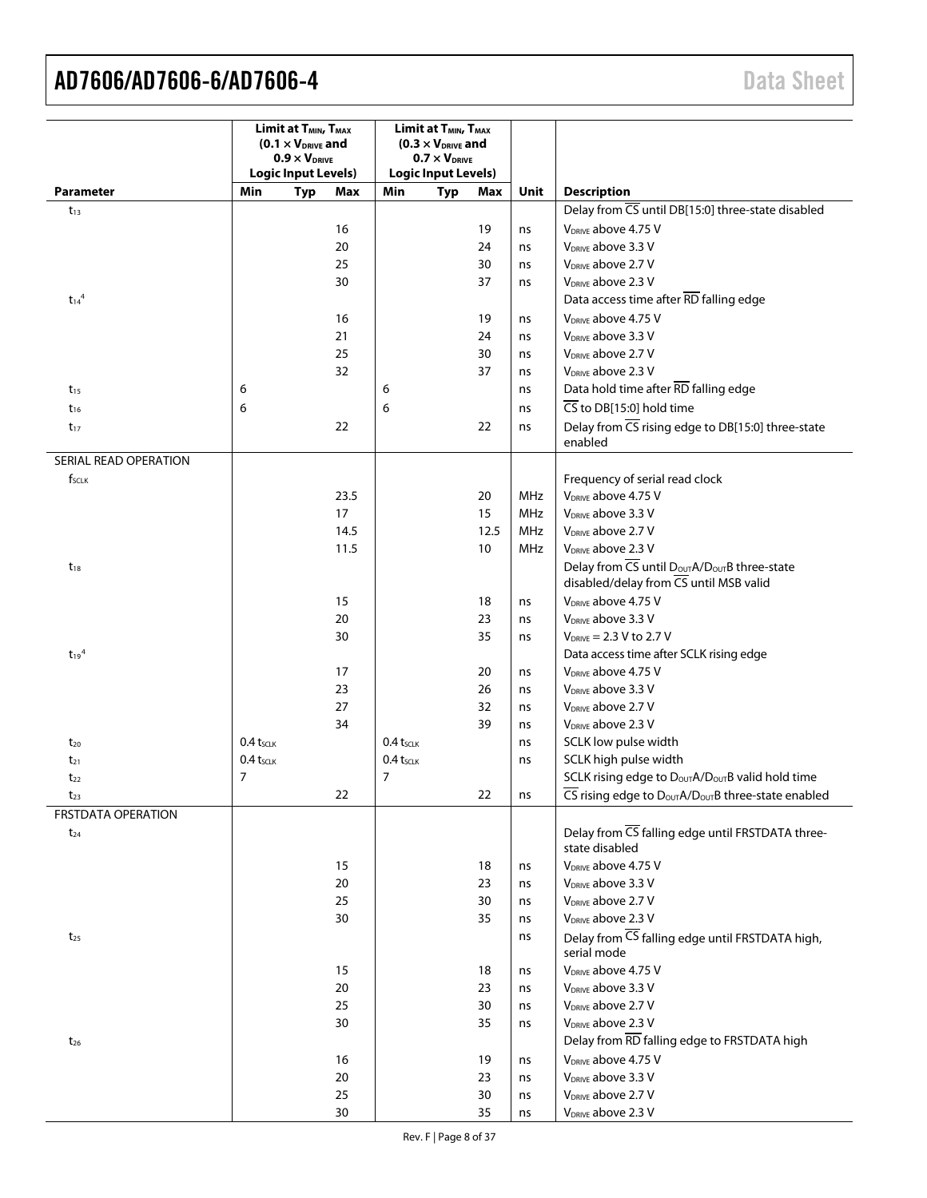<span id="page-7-0"></span>

|                           | Limit at T <sub>MIN</sub> , T <sub>MAX</sub><br>$(0.1 \times V_{DRIVE}$ and |                            | Limit at T <sub>MIN</sub> , T <sub>MAX</sub><br>$(0.3 \times V_{DRIVE}$ and |                |                            |          |          |                                                                                                                                       |
|---------------------------|-----------------------------------------------------------------------------|----------------------------|-----------------------------------------------------------------------------|----------------|----------------------------|----------|----------|---------------------------------------------------------------------------------------------------------------------------------------|
|                           |                                                                             | $0.9 \times V_{DRIVE}$     |                                                                             |                | $0.7 \times V_{DRIVE}$     |          |          |                                                                                                                                       |
|                           |                                                                             | <b>Logic Input Levels)</b> |                                                                             |                | <b>Logic Input Levels)</b> |          |          |                                                                                                                                       |
| Parameter                 | Min                                                                         | <b>Typ</b>                 | Max                                                                         | Min            | <b>Typ</b>                 | Max      | Unit     | <b>Description</b>                                                                                                                    |
| $t_{13}$                  |                                                                             |                            |                                                                             |                |                            |          |          | Delay from CS until DB[15:0] three-state disabled                                                                                     |
|                           |                                                                             |                            | 16                                                                          |                |                            | 19       | ns       | V <sub>DRIVE</sub> above 4.75 V                                                                                                       |
|                           |                                                                             |                            | 20                                                                          |                |                            | 24       | ns       | V <sub>DRIVE</sub> above 3.3 V                                                                                                        |
|                           |                                                                             |                            | 25                                                                          |                |                            | 30       | ns       | V <sub>DRIVE</sub> above 2.7 V                                                                                                        |
|                           |                                                                             |                            | 30                                                                          |                |                            | 37       | ns       | V <sub>DRIVE</sub> above 2.3 V                                                                                                        |
| $t_{14}$ <sup>4</sup>     |                                                                             |                            |                                                                             |                |                            |          |          | Data access time after RD falling edge                                                                                                |
|                           |                                                                             |                            | 16                                                                          |                |                            | 19       | ns       | V <sub>DRIVF</sub> above 4.75 V                                                                                                       |
|                           |                                                                             |                            | 21                                                                          |                |                            | 24       | ns       | V <sub>DRIVE</sub> above 3.3 V                                                                                                        |
|                           |                                                                             |                            | 25                                                                          |                |                            | 30       | ns       | V <sub>DRIVE</sub> above 2.7 V                                                                                                        |
|                           |                                                                             |                            | 32                                                                          |                |                            | 37       | ns       | V <sub>DRIVE</sub> above 2.3 V                                                                                                        |
| $t_{15}$                  | 6                                                                           |                            |                                                                             | 6              |                            |          | ns       | Data hold time after RD falling edge                                                                                                  |
| $t_{16}$                  | 6                                                                           |                            |                                                                             | 6              |                            |          | ns       | $\overline{\text{CS}}$ to DB[15:0] hold time                                                                                          |
| $t_{17}$                  |                                                                             |                            | 22                                                                          |                |                            | 22       | ns       | Delay from CS rising edge to DB[15:0] three-state                                                                                     |
|                           |                                                                             |                            |                                                                             |                |                            |          |          | enabled                                                                                                                               |
| SERIAL READ OPERATION     |                                                                             |                            |                                                                             |                |                            |          |          |                                                                                                                                       |
| f <sub>sclk</sub>         |                                                                             |                            |                                                                             |                |                            |          |          | Frequency of serial read clock                                                                                                        |
|                           |                                                                             |                            | 23.5                                                                        |                |                            | 20       | MHz      | V <sub>DRIVE</sub> above 4.75 V                                                                                                       |
|                           |                                                                             |                            | 17                                                                          |                |                            | 15       | MHz      | V <sub>DRIVE</sub> above 3.3 V                                                                                                        |
|                           |                                                                             |                            | 14.5                                                                        |                |                            | 12.5     | MHz      | V <sub>DRIVE</sub> above 2.7 V                                                                                                        |
|                           |                                                                             |                            | 11.5                                                                        |                |                            | 10       | MHz      | V <sub>DRIVE</sub> above 2.3 V                                                                                                        |
| $t_{18}$                  |                                                                             |                            |                                                                             |                |                            |          |          | Delay from CS until Dout A/Dout B three-state                                                                                         |
|                           |                                                                             |                            |                                                                             |                |                            |          |          | disabled/delay from CS until MSB valid                                                                                                |
|                           |                                                                             |                            | 15                                                                          |                |                            | 18       | ns       | V <sub>DRIVE</sub> above 4.75 V                                                                                                       |
|                           |                                                                             |                            | 20                                                                          |                |                            | 23       | ns       | V <sub>DRIVE</sub> above 3.3 V                                                                                                        |
|                           |                                                                             |                            | 30                                                                          |                |                            | 35       | ns       | $V_{DRIVE} = 2.3 V to 2.7 V$                                                                                                          |
| $t_{19}$ <sup>4</sup>     |                                                                             |                            |                                                                             |                |                            |          |          | Data access time after SCLK rising edge                                                                                               |
|                           |                                                                             |                            | 17                                                                          |                |                            | 20       | ns       | V <sub>DRIVE</sub> above 4.75 V                                                                                                       |
|                           |                                                                             |                            | 23                                                                          |                |                            | 26       | ns       | V <sub>DRIVE</sub> above 3.3 V                                                                                                        |
|                           |                                                                             |                            | 27                                                                          |                |                            | 32       | ns       | V <sub>DRIVE</sub> above 2.7 V                                                                                                        |
|                           |                                                                             |                            | 34                                                                          |                |                            | 39       | ns       | V <sub>DRIVE</sub> above 2.3 V                                                                                                        |
| $t_{20}$                  | $0.4 t_{SCLK}$                                                              |                            |                                                                             | $0.4 t_{SCLK}$ |                            |          | ns       | SCLK low pulse width                                                                                                                  |
| $t_{21}$                  | $0.4 t_{SCLK}$                                                              |                            |                                                                             | $0.4 t_{SCLK}$ |                            |          | ns       | SCLK high pulse width                                                                                                                 |
| $t_{22}$                  | $\overline{7}$                                                              |                            |                                                                             | $\overline{7}$ |                            |          |          | SCLK rising edge to D <sub>OUT</sub> A/D <sub>OUT</sub> B valid hold time                                                             |
| $t_{23}$                  |                                                                             |                            | 22                                                                          |                |                            | 22       | ns       | $\overline{\mathsf{CS}}$ rising edge to $\mathsf{D}_{\mathsf{OUT}}\mathsf{A}/\mathsf{D}_{\mathsf{OUT}}\mathsf{B}$ three-state enabled |
| <b>FRSTDATA OPERATION</b> |                                                                             |                            |                                                                             |                |                            |          |          |                                                                                                                                       |
| $t_{24}$                  |                                                                             |                            |                                                                             |                |                            |          |          | Delay from CS falling edge until FRSTDATA three-                                                                                      |
|                           |                                                                             |                            |                                                                             |                |                            |          |          | state disabled                                                                                                                        |
|                           |                                                                             |                            | 15                                                                          |                |                            | 18       | ns       | V <sub>DRIVE</sub> above 4.75 V                                                                                                       |
|                           |                                                                             |                            | $20\,$                                                                      |                |                            | 23       | ns       | V <sub>DRIVE</sub> above 3.3 V                                                                                                        |
|                           |                                                                             |                            | 25                                                                          |                |                            | 30       | ns       | V <sub>DRIVE</sub> above 2.7 V                                                                                                        |
|                           |                                                                             |                            | 30                                                                          |                |                            | 35       | ns       | V <sub>DRIVE</sub> above 2.3 V                                                                                                        |
| $t_{25}$                  |                                                                             |                            |                                                                             |                |                            |          | ns       | Delay from CS falling edge until FRSTDATA high,<br>serial mode                                                                        |
|                           |                                                                             |                            | 15                                                                          |                |                            | 18       |          | V <sub>DRIVE</sub> above 4.75 V                                                                                                       |
|                           |                                                                             |                            | 20                                                                          |                |                            | 23       | ns<br>ns | V <sub>DRIVE</sub> above 3.3 V                                                                                                        |
|                           |                                                                             |                            | 25                                                                          |                |                            | 30       | ns       | V <sub>DRIVE</sub> above 2.7 V                                                                                                        |
|                           |                                                                             |                            | 30                                                                          |                |                            | 35       | ns       | V <sub>DRIVE</sub> above 2.3 V                                                                                                        |
| $t_{26}$                  |                                                                             |                            |                                                                             |                |                            |          |          | Delay from RD falling edge to FRSTDATA high                                                                                           |
|                           |                                                                             |                            |                                                                             |                |                            |          |          | V <sub>DRIVE</sub> above 4.75 V                                                                                                       |
|                           |                                                                             |                            | $16$                                                                        |                |                            | 19       | ns       | V <sub>DRIVE</sub> above 3.3 V                                                                                                        |
|                           |                                                                             |                            | 20                                                                          |                |                            | 23       | ns       | V <sub>DRIVE</sub> above 2.7 V                                                                                                        |
|                           |                                                                             |                            | 25<br>30                                                                    |                |                            | 30<br>35 | ns       | V <sub>DRIVE</sub> above 2.3 V                                                                                                        |
|                           |                                                                             |                            |                                                                             |                |                            |          | ns       |                                                                                                                                       |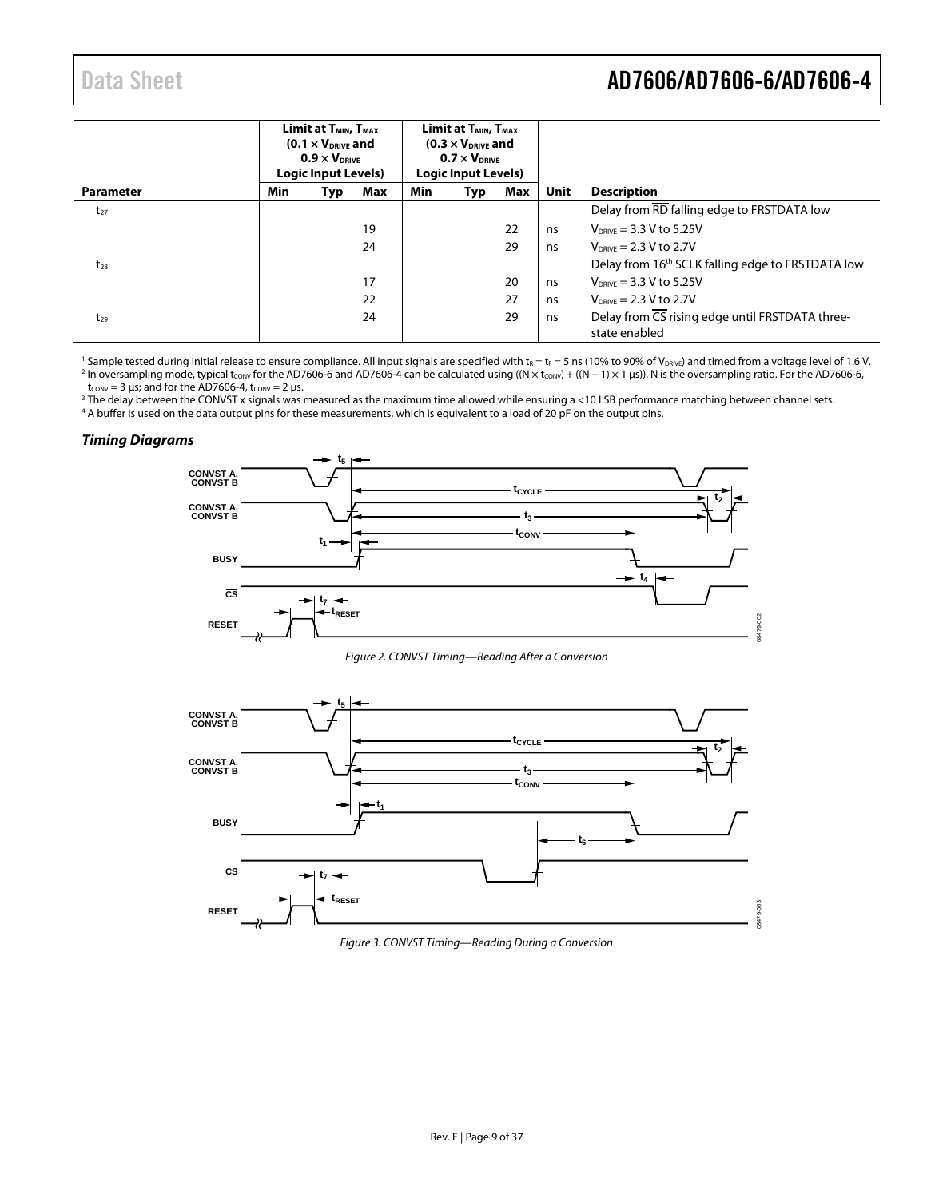### Data Sheet **AD7606/AD7606-6/AD7606-4**

|                  | Limit at T <sub>MIN</sub> , T <sub>MAX</sub><br>$(0.1 \times V_{DRIVE}$ and<br>$0.9 \times V_{DRIVE}$<br>Logic Input Levels) |     | Limit at T <sub>MIN</sub> , T <sub>MAX</sub><br>$(0.3 \times V_{DRIVE}$ and<br>$0.7 \times V_{DRIVE}$<br>Logic Input Levels) |     |     |     |             |                                                                  |
|------------------|------------------------------------------------------------------------------------------------------------------------------|-----|------------------------------------------------------------------------------------------------------------------------------|-----|-----|-----|-------------|------------------------------------------------------------------|
| <b>Parameter</b> | Min                                                                                                                          | Typ | Max                                                                                                                          | Min | Typ | Max | <b>Unit</b> | <b>Description</b>                                               |
| $t_{27}$         |                                                                                                                              |     |                                                                                                                              |     |     |     |             | Delay from RD falling edge to FRSTDATA low                       |
|                  |                                                                                                                              |     | 19                                                                                                                           |     |     | 22  | ns          | $V_{DRIVF} = 3.3 V$ to 5.25V                                     |
|                  |                                                                                                                              |     | 24                                                                                                                           |     |     | 29  | ns          | $V_{DRIVE} = 2.3 V$ to 2.7V                                      |
| $t_{28}$         |                                                                                                                              |     |                                                                                                                              |     |     |     |             | Delay from 16 <sup>th</sup> SCLK falling edge to FRSTDATA low    |
|                  |                                                                                                                              |     | 17                                                                                                                           |     |     | 20  | ns          | $V_{DRIVF} = 3.3 V$ to 5.25V                                     |
|                  |                                                                                                                              |     | 22                                                                                                                           |     |     | 27  | ns          | $V_{DRIVF}$ = 2.3 V to 2.7V                                      |
| $t_{29}$         |                                                                                                                              |     | 24                                                                                                                           |     |     | 29  | ns          | Delay from CS rising edge until FRSTDATA three-<br>state enabled |

<sup>1</sup> Sample tested during initial release to ensure compliance. All input signals are specified with  $t_R = t_F = 5$  ns (10% to 90% of V<sub>DRIVE</sub>) and timed from a voltage level of 1.6 V. 2 In oversampling mode, typical t<sub>conv</sub> for the AD7606-6 and AD7606-4 can be calculated using ((N × tconv) + ((N − 1) × 1 µs)). N is the oversampling ratio. For the AD7606-6,  $t_{CONV} = 3 \mu s$ ; and for the AD7606-4,  $t_{CONV} = 2 \mu s$ .

<sup>3</sup> The delay between the CONVST x signals was measured as the maximum time allowed while ensuring a <10 LSB performance matching between channel sets.

<sup>4</sup> A buffer is used on the data output pins for these measurements, which is equivalent to a load of 20 pF on the output pins.

#### *Timing Diagrams*



*Figure 2. CONVST Timing—Reading After a Conversion*

<span id="page-8-0"></span>

<span id="page-8-1"></span>*Figure 3. CONVST Timing—Reading During a Conversion*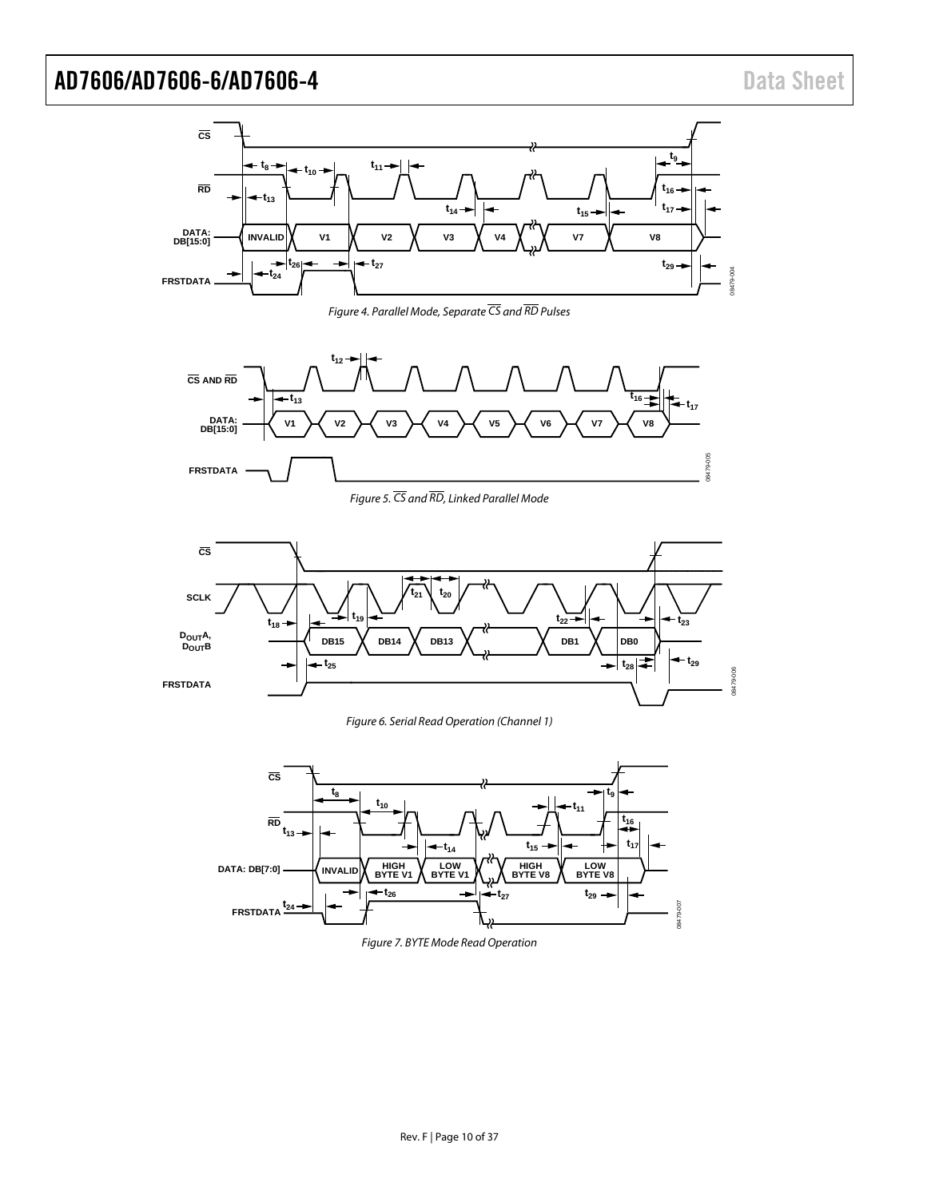

*Figure 4. Parallel Mode, Separate CS and RD Pulses*

<span id="page-9-1"></span>

*Figure 5. CS and RD, Linked Parallel Mode*

<span id="page-9-0"></span>

*Figure 6. Serial Read Operation (Channel 1)*

<span id="page-9-2"></span>

*Figure 7. BYTE Mode Read Operation*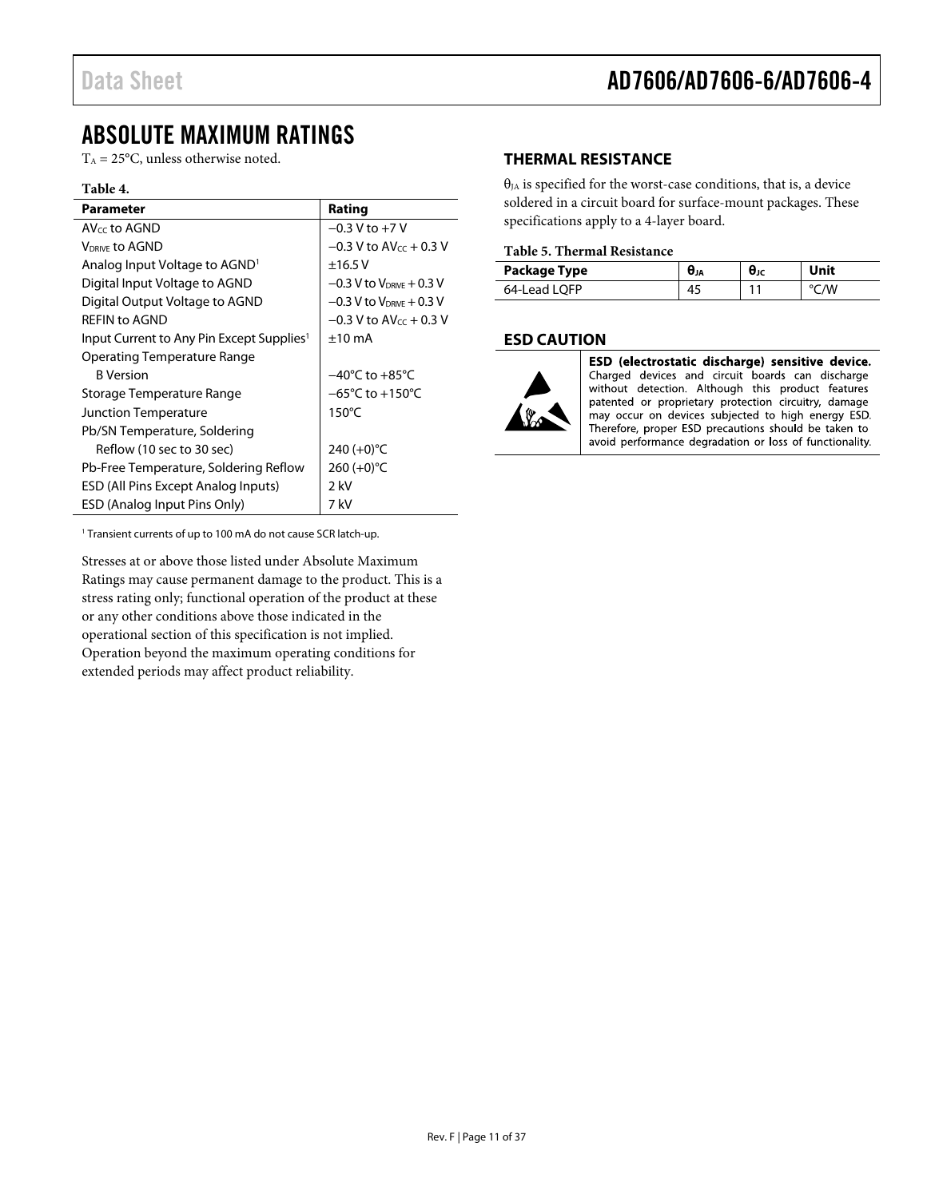### Data Sheet **AD7606/AD7606-6/AD7606-4**

### <span id="page-10-0"></span>ABSOLUTE MAXIMUM RATINGS

 $T_A = 25$ °C, unless otherwise noted.

#### **Table 4.**

| <b>Parameter</b>                                      | Rating                              |
|-------------------------------------------------------|-------------------------------------|
| $AV_{cc}$ to AGND                                     | $-0.3$ V to $+7$ V                  |
| <b>VDRIVE to AGND</b>                                 | $-0.3$ V to AV $cc + 0.3$ V         |
| Analog Input Voltage to AGND <sup>1</sup>             | ±16.5V                              |
| Digital Input Voltage to AGND                         | $-0.3$ V to $V_{DRIVE} + 0.3$ V     |
| Digital Output Voltage to AGND                        | $-0.3$ V to $V_{DRIVE} + 0.3$ V     |
| <b>REFIN to AGND</b>                                  | $-0.3$ V to AV $cc + 0.3$ V         |
| Input Current to Any Pin Except Supplies <sup>1</sup> | $±10$ mA                            |
| Operating Temperature Range                           |                                     |
| <b>B</b> Version                                      | $-40^{\circ}$ C to $+85^{\circ}$ C  |
| Storage Temperature Range                             | $-65^{\circ}$ C to $+150^{\circ}$ C |
| Junction Temperature                                  | $150^{\circ}$ C                     |
| Pb/SN Temperature, Soldering                          |                                     |
| Reflow (10 sec to 30 sec)                             | 240 $(+0)$ °C                       |
| Pb-Free Temperature, Soldering Reflow                 | 260 $(+0)$ °C                       |
| <b>ESD (All Pins Except Analog Inputs)</b>            | $2$ kV                              |
| ESD (Analog Input Pins Only)                          | 7 kV                                |

<sup>1</sup> Transient currents of up to 100 mA do not cause SCR latch-up.

Stresses at or above those listed under Absolute Maximum Ratings may cause permanent damage to the product. This is a stress rating only; functional operation of the product at these or any other conditions above those indicated in the operational section of this specification is not implied. Operation beyond the maximum operating conditions for extended periods may affect product reliability.

#### <span id="page-10-1"></span>**THERMAL RESISTANCE**

 $\theta_{JA}$  is specified for the worst-case conditions, that is, a device soldered in a circuit board for surface-mount packages. These specifications apply to a 4-layer board.

#### **Table 5. Thermal Resistance**

| Package Type | <b>U</b> JA | UJC | Unit |
|--------------|-------------|-----|------|
| 64-Lead LOFP | 45          |     | −/W  |

#### <span id="page-10-2"></span>**ESD CAUTION**



ESD (electrostatic discharge) sensitive device. Charged devices and circuit boards can discharge without detection. Although this product features patented or proprietary protection circuitry, damage may occur on devices subjected to high energy ESD. Therefore, proper ESD precautions should be taken to avoid performance degradation or loss of functionality.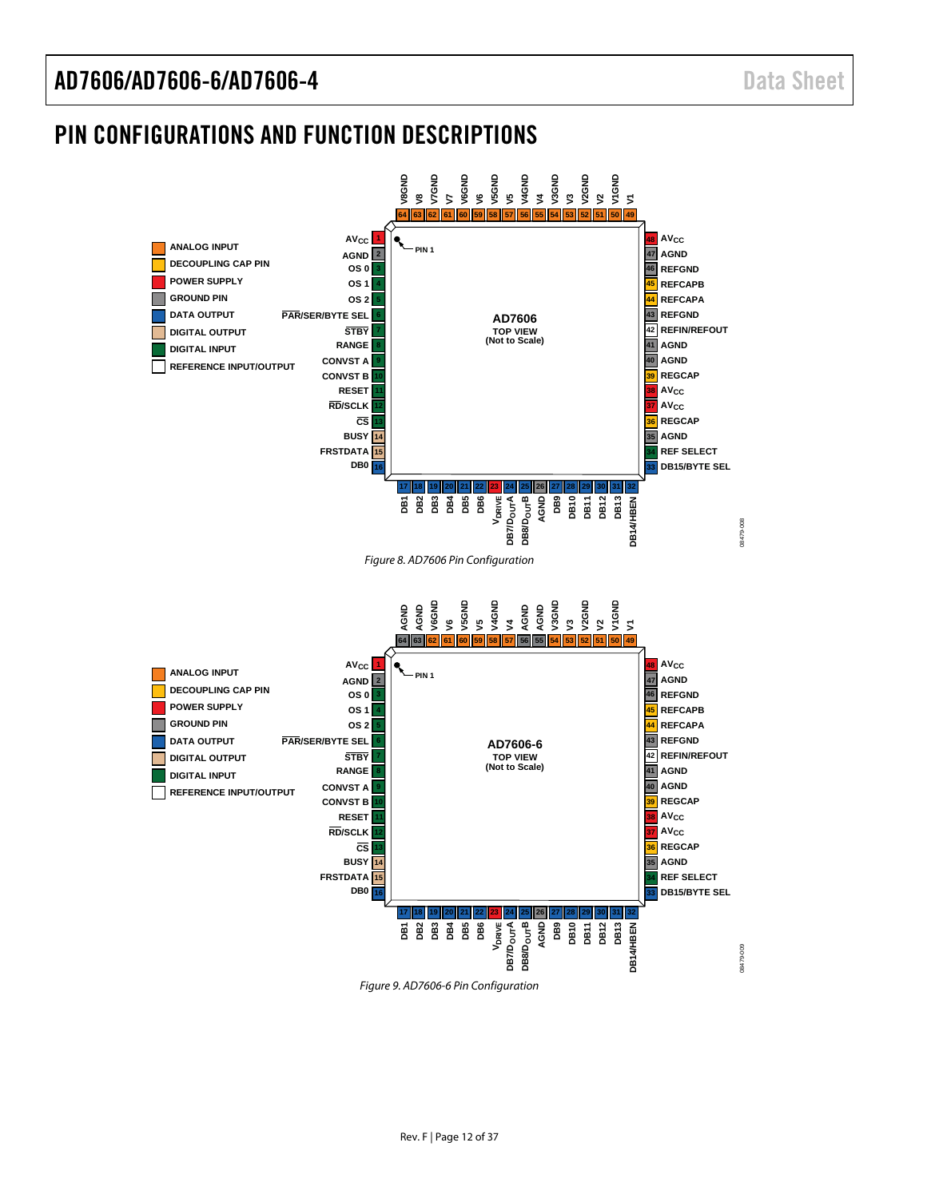### <span id="page-11-0"></span>PIN CONFIGURATIONS AND FUNCTION DESCRIPTIONS

<span id="page-11-3"></span><span id="page-11-2"></span><span id="page-11-1"></span>

*Figure 9. AD7606-6 Pin Configuration*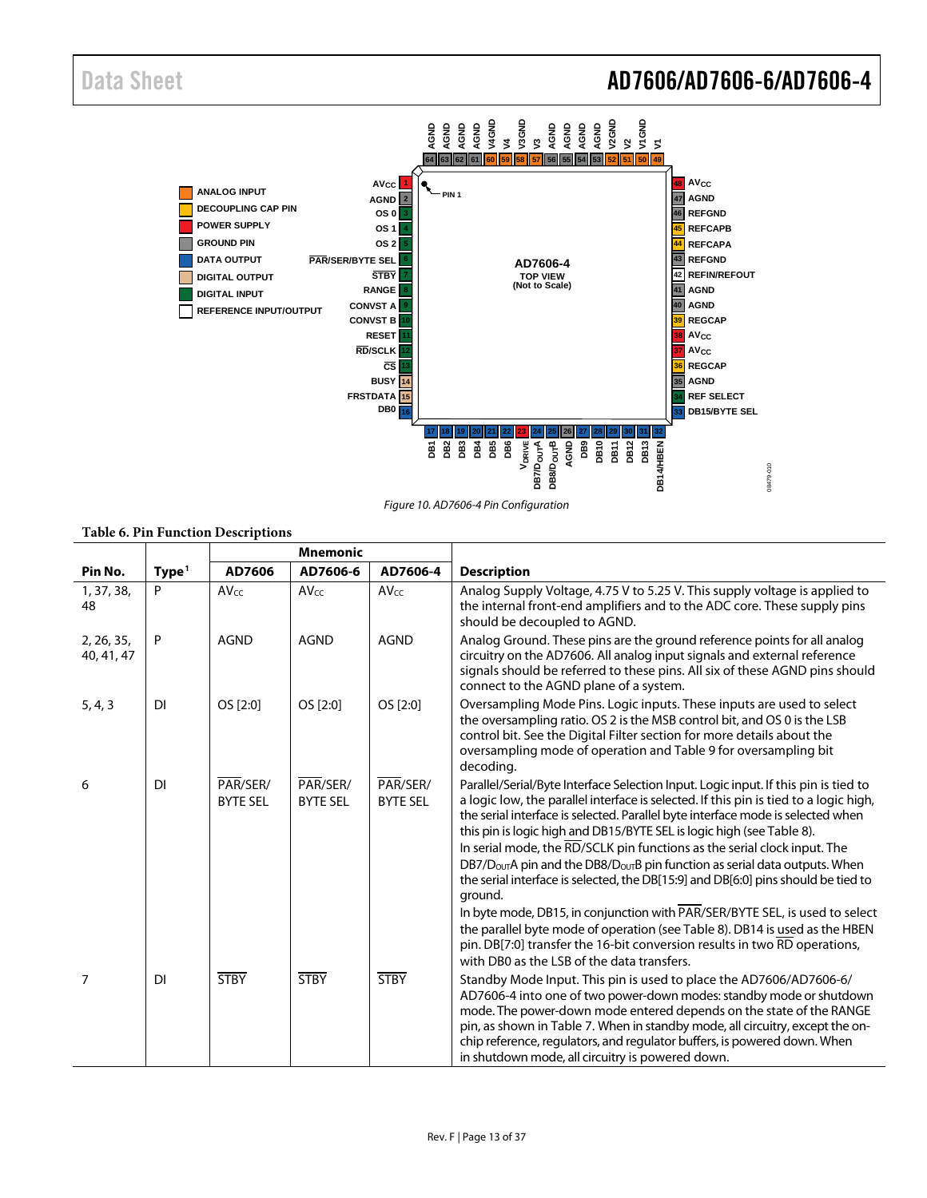### Data Sheet **AD7606/AD7606-6/AD7606-4**



*Figure 10. AD7606-4 Pin Configuration*

#### <span id="page-12-0"></span>**Table 6. Pin Function Descriptions**

|                          |                   | <b>Mnemonic</b>             |                             |                             |                                                                                                                                                                                                                                                                                                                                                                                                                                                                                                                                                                                                                                                                                                                                                                                                                                                                 |  |
|--------------------------|-------------------|-----------------------------|-----------------------------|-----------------------------|-----------------------------------------------------------------------------------------------------------------------------------------------------------------------------------------------------------------------------------------------------------------------------------------------------------------------------------------------------------------------------------------------------------------------------------------------------------------------------------------------------------------------------------------------------------------------------------------------------------------------------------------------------------------------------------------------------------------------------------------------------------------------------------------------------------------------------------------------------------------|--|
| Pin No.                  | Type <sup>1</sup> | AD7606                      | AD7606-6                    | AD7606-4                    | <b>Description</b>                                                                                                                                                                                                                                                                                                                                                                                                                                                                                                                                                                                                                                                                                                                                                                                                                                              |  |
| 1, 37, 38,<br>48         | P                 | <b>AVcc</b>                 | $AV_{CC}$                   | AVcc                        | Analog Supply Voltage, 4.75 V to 5.25 V. This supply voltage is applied to<br>the internal front-end amplifiers and to the ADC core. These supply pins<br>should be decoupled to AGND.                                                                                                                                                                                                                                                                                                                                                                                                                                                                                                                                                                                                                                                                          |  |
| 2, 26, 35,<br>40, 41, 47 | P                 | <b>AGND</b>                 | <b>AGND</b>                 | <b>AGND</b>                 | Analog Ground. These pins are the ground reference points for all analog<br>circuitry on the AD7606. All analog input signals and external reference<br>signals should be referred to these pins. All six of these AGND pins should<br>connect to the AGND plane of a system.                                                                                                                                                                                                                                                                                                                                                                                                                                                                                                                                                                                   |  |
| 5, 4, 3                  | <b>DI</b>         | OS [2:0]                    | OS [2:0]                    | OS [2:0]                    | Oversampling Mode Pins. Logic inputs. These inputs are used to select<br>the oversampling ratio. OS 2 is the MSB control bit, and OS 0 is the LSB<br>control bit. See the Digital Filter section for more details about the<br>oversampling mode of operation and Table 9 for oversampling bit<br>decoding.                                                                                                                                                                                                                                                                                                                                                                                                                                                                                                                                                     |  |
| 6                        | <b>DI</b>         | PAR/SER/<br><b>BYTE SEL</b> | PAR/SER/<br><b>BYTE SEL</b> | PAR/SER/<br><b>BYTE SEL</b> | Parallel/Serial/Byte Interface Selection Input. Logic input. If this pin is tied to<br>a logic low, the parallel interface is selected. If this pin is tied to a logic high,<br>the serial interface is selected. Parallel byte interface mode is selected when<br>this pin is logic high and DB15/BYTE SEL is logic high (see Table 8).<br>In serial mode, the $\overline{RD}/SCLK$ pin functions as the serial clock input. The<br>$DB7/DOUT$ A pin and the DB8/ $DOUTB$ pin function as serial data outputs. When<br>the serial interface is selected, the DB[15:9] and DB[6:0] pins should be tied to<br>ground.<br>In byte mode, DB15, in conjunction with PAR/SER/BYTE SEL, is used to select<br>the parallel byte mode of operation (see Table 8). DB14 is used as the HBEN<br>pin. DB[7:0] transfer the 16-bit conversion results in two RD operations, |  |
| 7                        | <b>DI</b>         | <b>STBY</b>                 | <b>STBY</b>                 | <b>STBY</b>                 | with DB0 as the LSB of the data transfers.<br>Standby Mode Input. This pin is used to place the AD7606/AD7606-6/<br>AD7606-4 into one of two power-down modes: standby mode or shutdown<br>mode. The power-down mode entered depends on the state of the RANGE<br>pin, as shown in Table 7. When in standby mode, all circuitry, except the on-<br>chip reference, regulators, and regulator buffers, is powered down. When<br>in shutdown mode, all circuitry is powered down.                                                                                                                                                                                                                                                                                                                                                                                 |  |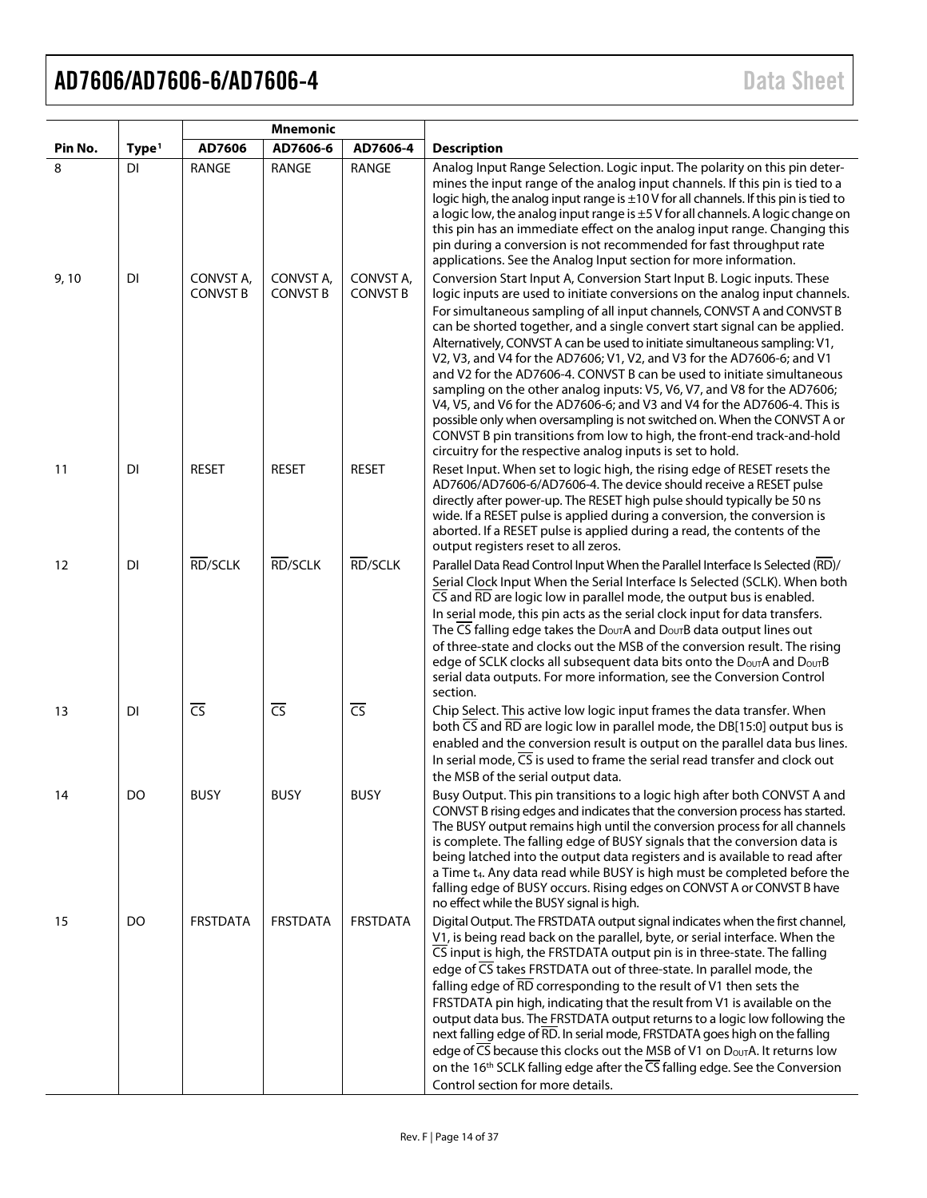|         |                   |                              | <b>Mnemonic</b>              |                              |                                                                                                                                                                                                                                                                                                                                                                                                                                                                                                                                                                                                                                                                                                                                                                                                                                                                                                                              |
|---------|-------------------|------------------------------|------------------------------|------------------------------|------------------------------------------------------------------------------------------------------------------------------------------------------------------------------------------------------------------------------------------------------------------------------------------------------------------------------------------------------------------------------------------------------------------------------------------------------------------------------------------------------------------------------------------------------------------------------------------------------------------------------------------------------------------------------------------------------------------------------------------------------------------------------------------------------------------------------------------------------------------------------------------------------------------------------|
| Pin No. | Type <sup>1</sup> | AD7606                       | AD7606-6                     | AD7606-4                     | <b>Description</b>                                                                                                                                                                                                                                                                                                                                                                                                                                                                                                                                                                                                                                                                                                                                                                                                                                                                                                           |
| 8       | <b>DI</b>         | <b>RANGE</b>                 | RANGE                        | RANGE                        | Analog Input Range Selection. Logic input. The polarity on this pin deter-<br>mines the input range of the analog input channels. If this pin is tied to a<br>logic high, the analog input range is $\pm 10$ V for all channels. If this pin is tied to<br>a logic low, the analog input range is ±5 V for all channels. A logic change on<br>this pin has an immediate effect on the analog input range. Changing this<br>pin during a conversion is not recommended for fast throughput rate<br>applications. See the Analog Input section for more information.                                                                                                                                                                                                                                                                                                                                                           |
| 9,10    | DI                | CONVST A,<br><b>CONVST B</b> | CONVST A,<br><b>CONVST B</b> | CONVST A,<br><b>CONVST B</b> | Conversion Start Input A, Conversion Start Input B. Logic inputs. These<br>logic inputs are used to initiate conversions on the analog input channels.<br>For simultaneous sampling of all input channels, CONVST A and CONVST B<br>can be shorted together, and a single convert start signal can be applied.<br>Alternatively, CONVST A can be used to initiate simultaneous sampling: V1,<br>V2, V3, and V4 for the AD7606; V1, V2, and V3 for the AD7606-6; and V1<br>and V2 for the AD7606-4. CONVST B can be used to initiate simultaneous<br>sampling on the other analog inputs: V5, V6, V7, and V8 for the AD7606;<br>V4, V5, and V6 for the AD7606-6; and V3 and V4 for the AD7606-4. This is<br>possible only when oversampling is not switched on. When the CONVST A or<br>CONVST B pin transitions from low to high, the front-end track-and-hold<br>circuitry for the respective analog inputs is set to hold. |
| 11      | DI                | <b>RESET</b>                 | <b>RESET</b>                 | <b>RESET</b>                 | Reset Input. When set to logic high, the rising edge of RESET resets the<br>AD7606/AD7606-6/AD7606-4. The device should receive a RESET pulse<br>directly after power-up. The RESET high pulse should typically be 50 ns<br>wide. If a RESET pulse is applied during a conversion, the conversion is<br>aborted. If a RESET pulse is applied during a read, the contents of the<br>output registers reset to all zeros.                                                                                                                                                                                                                                                                                                                                                                                                                                                                                                      |
| 12      | DI                | RD/SCLK                      | RD/SCLK                      | RD/SCLK                      | Parallel Data Read Control Input When the Parallel Interface Is Selected (RD)/<br>Serial Clock Input When the Serial Interface Is Selected (SCLK). When both<br>$\overline{\text{CS}}$ and $\overline{\text{RD}}$ are logic low in parallel mode, the output bus is enabled.<br>In serial mode, this pin acts as the serial clock input for data transfers.<br>The CS falling edge takes the DoutA and DoutB data output lines out<br>of three-state and clocks out the MSB of the conversion result. The rising<br>edge of SCLK clocks all subsequent data bits onto the Douth and Dout B<br>serial data outputs. For more information, see the Conversion Control<br>section.                                                                                                                                                                                                                                              |
| 13      | DI                | $\overline{\text{CS}}$       | $\overline{CS}$              | $\overline{CS}$              | Chip Select. This active low logic input frames the data transfer. When<br>both $\overline{CS}$ and $\overline{RD}$ are logic low in parallel mode, the DB[15:0] output bus is<br>enabled and the conversion result is output on the parallel data bus lines.<br>In serial mode, $\overline{CS}$ is used to frame the serial read transfer and clock out<br>the MSB of the serial output data.                                                                                                                                                                                                                                                                                                                                                                                                                                                                                                                               |
| 14      | DO                | <b>BUSY</b>                  | <b>BUSY</b>                  | <b>BUSY</b>                  | Busy Output. This pin transitions to a logic high after both CONVST A and<br>CONVST B rising edges and indicates that the conversion process has started.<br>The BUSY output remains high until the conversion process for all channels<br>is complete. The falling edge of BUSY signals that the conversion data is<br>being latched into the output data registers and is available to read after<br>a Time t <sub>4</sub> . Any data read while BUSY is high must be completed before the<br>falling edge of BUSY occurs. Rising edges on CONVST A or CONVST B have<br>no effect while the BUSY signal is high.                                                                                                                                                                                                                                                                                                           |
| 15      | DO                | <b>FRSTDATA</b>              | <b>FRSTDATA</b>              | <b>FRSTDATA</b>              | Digital Output. The FRSTDATA output signal indicates when the first channel,<br>V1, is being read back on the parallel, byte, or serial interface. When the<br>CS input is high, the FRSTDATA output pin is in three-state. The falling<br>edge of CS takes FRSTDATA out of three-state. In parallel mode, the<br>falling edge of $\overline{RD}$ corresponding to the result of V1 then sets the<br>FRSTDATA pin high, indicating that the result from V1 is available on the<br>output data bus. The FRSTDATA output returns to a logic low following the<br>next falling edge of RD. In serial mode, FRSTDATA goes high on the falling<br>edge of CS because this clocks out the MSB of V1 on Douth. It returns low<br>on the 16 <sup>th</sup> SCLK falling edge after the CS falling edge. See the Conversion<br>Control section for more details.                                                                       |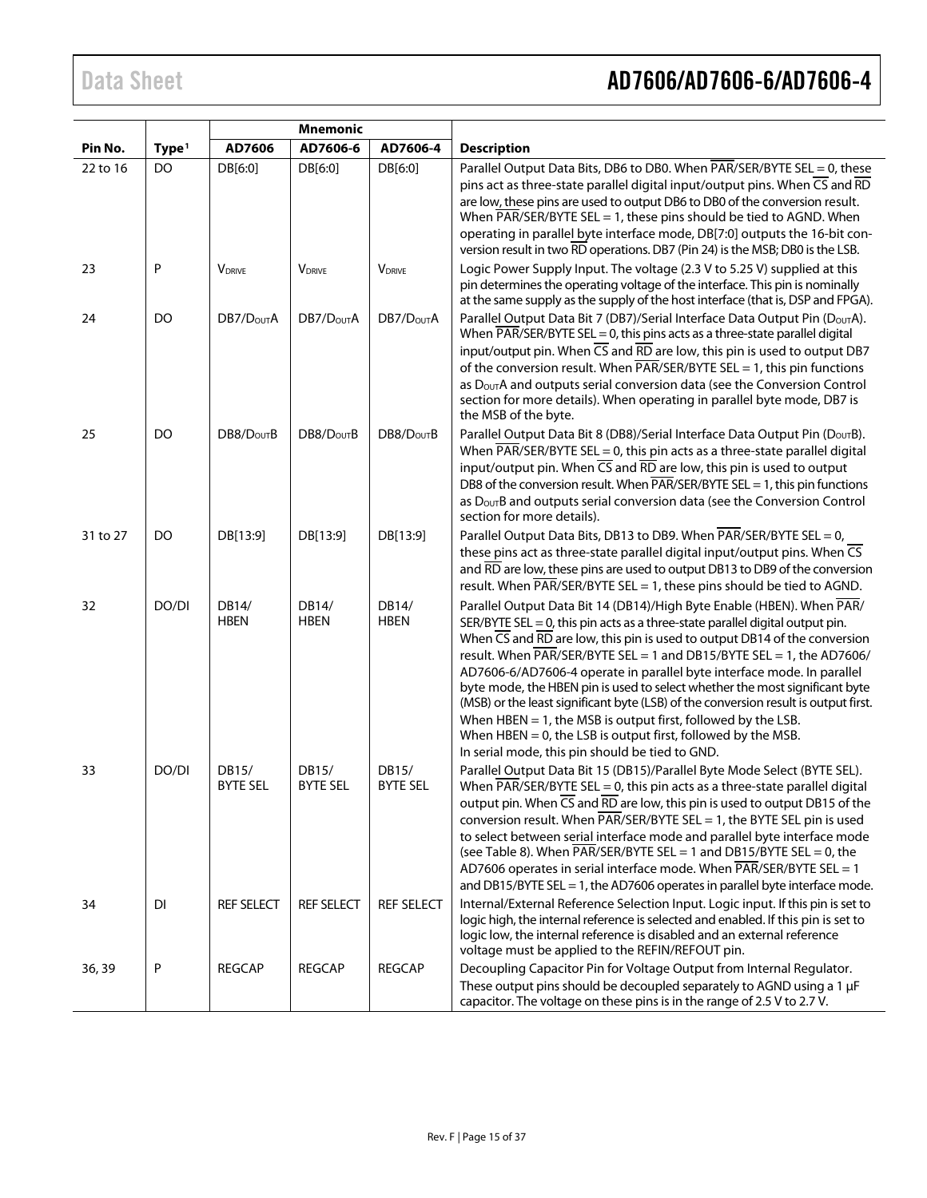# Data Sheet **AD7606/AD7606-6/AD7606-4**

|          |                   | <b>Mnemonic</b>          |                           |                          |                                                                                                                                                                                                                                                                                                                                                                                                                                                                                                                                                                                                                                                                                                                                                                                                                                 |
|----------|-------------------|--------------------------|---------------------------|--------------------------|---------------------------------------------------------------------------------------------------------------------------------------------------------------------------------------------------------------------------------------------------------------------------------------------------------------------------------------------------------------------------------------------------------------------------------------------------------------------------------------------------------------------------------------------------------------------------------------------------------------------------------------------------------------------------------------------------------------------------------------------------------------------------------------------------------------------------------|
| Pin No.  | Type <sup>1</sup> | AD7606                   | AD7606-6                  | AD7606-4                 | <b>Description</b>                                                                                                                                                                                                                                                                                                                                                                                                                                                                                                                                                                                                                                                                                                                                                                                                              |
| 22 to 16 | DO                | DB[6:0]                  | DB[6:0]                   | DB[6:0]                  | Parallel Output Data Bits, DB6 to DB0. When PAR/SER/BYTE SEL = 0, these<br>pins act as three-state parallel digital input/output pins. When CS and RD<br>are low, these pins are used to output DB6 to DB0 of the conversion result.<br>When $\overline{PAR}/\overline{SER}/\overline{BYTE}$ SEL = 1, these pins should be tied to AGND. When<br>operating in parallel byte interface mode, DB[7:0] outputs the 16-bit con-<br>version result in two RD operations. DB7 (Pin 24) is the MSB; DB0 is the LSB.                                                                                                                                                                                                                                                                                                                    |
| 23       | Ρ                 | <b>VDRIVE</b>            | <b>V</b> <sub>DRIVE</sub> | <b>VDRIVE</b>            | Logic Power Supply Input. The voltage (2.3 V to 5.25 V) supplied at this<br>pin determines the operating voltage of the interface. This pin is nominally<br>at the same supply as the supply of the host interface (that is, DSP and FPGA).                                                                                                                                                                                                                                                                                                                                                                                                                                                                                                                                                                                     |
| 24       | DO                | DB7/D <sub>OUT</sub> A   | DB7/D <sub>OUT</sub> A    | DB7/D <sub>OUT</sub> A   | Parallel Output Data Bit 7 (DB7)/Serial Interface Data Output Pin (DourA).<br>When $\overline{PAR/SER/BYTE}$ SEL = 0, this pins acts as a three-state parallel digital<br>input/output pin. When $\overline{CS}$ and $\overline{RD}$ are low, this pin is used to output DB7<br>of the conversion result. When $\overline{PAR}/\overline{SER}/\overline{BYTE}$ SEL = 1, this pin functions<br>as D <sub>OUT</sub> A and outputs serial conversion data (see the Conversion Control<br>section for more details). When operating in parallel byte mode, DB7 is<br>the MSB of the byte.                                                                                                                                                                                                                                           |
| 25       | <b>DO</b>         | DB8/D <sub>OUT</sub> B   | DB8/D <sub>OUT</sub> B    | DB8/D <sub>OUT</sub> B   | Parallel Output Data Bit 8 (DB8)/Serial Interface Data Output Pin (DOUTB).<br>When $\overline{PAR/SER/BYTE}$ SEL = 0, this pin acts as a three-state parallel digital<br>input/output pin. When $\overline{CS}$ and $\overline{RD}$ are low, this pin is used to output<br>DB8 of the conversion result. When $\overline{PAR}/\overline{SER}/\overline{B}$ YTE SEL = 1, this pin functions<br>as DourB and outputs serial conversion data (see the Conversion Control<br>section for more details).                                                                                                                                                                                                                                                                                                                             |
| 31 to 27 | DO                | DB[13:9]                 | DB[13:9]                  | DB[13:9]                 | Parallel Output Data Bits, DB13 to DB9. When PAR/SER/BYTE SEL = 0,<br>these pins act as three-state parallel digital input/output pins. When $\overline{CS}$<br>and RD are low, these pins are used to output DB13 to DB9 of the conversion<br>result. When $\overline{PAR}/\overline{SER}/\overline{B}$ TTE SEL = 1, these pins should be tied to AGND.                                                                                                                                                                                                                                                                                                                                                                                                                                                                        |
| 32       | DO/DI             | DB14/<br><b>HBEN</b>     | DB14/<br><b>HBEN</b>      | DB14/<br><b>HBEN</b>     | Parallel Output Data Bit 14 (DB14)/High Byte Enable (HBEN). When PAR/<br>SER/BYTE SEL = 0, this pin acts as a three-state parallel digital output pin.<br>When $\overline{\text{CS}}$ and $\overline{\text{RD}}$ are low, this pin is used to output DB14 of the conversion<br>result. When $\overline{PAR}/\overline{SER}/\overline{BYTE}$ SEL = 1 and DB15/BYTE SEL = 1, the AD7606/<br>AD7606-6/AD7606-4 operate in parallel byte interface mode. In parallel<br>byte mode, the HBEN pin is used to select whether the most significant byte<br>(MSB) or the least significant byte (LSB) of the conversion result is output first.<br>When HBEN $= 1$ , the MSB is output first, followed by the LSB.<br>When $HBEN = 0$ , the LSB is output first, followed by the MSB.<br>In serial mode, this pin should be tied to GND. |
| 33       | DO/DI             | DB15/<br><b>BYTE SEL</b> | DB15/<br><b>BYTE SEL</b>  | DB15/<br><b>BYTE SEL</b> | Parallel Output Data Bit 15 (DB15)/Parallel Byte Mode Select (BYTE SEL).<br>When $\overline{PAR/SER/BYTE SEL} = 0$ , this pin acts as a three-state parallel digital<br>output pin. When $\overline{CS}$ and $\overline{RD}$ are low, this pin is used to output DB15 of the<br>conversion result. When $\overline{PAR}/\overline{SER}/\overline{BYTE}$ SEL = 1, the BYTE SEL pin is used<br>to select between serial interface mode and parallel byte interface mode<br>(see Table 8). When $\overline{PAR}/\overline{SER}/\overline{B}$ TTE SEL = 1 and DB15/BYTE SEL = 0, the<br>AD7606 operates in serial interface mode. When PAR/SER/BYTE SEL = 1<br>and DB15/BYTE SEL = 1, the AD7606 operates in parallel byte interface mode.                                                                                          |
| 34       | DI                | <b>REF SELECT</b>        | <b>REF SELECT</b>         | <b>REF SELECT</b>        | Internal/External Reference Selection Input. Logic input. If this pin is set to<br>logic high, the internal reference is selected and enabled. If this pin is set to<br>logic low, the internal reference is disabled and an external reference<br>voltage must be applied to the REFIN/REFOUT pin.                                                                                                                                                                                                                                                                                                                                                                                                                                                                                                                             |
| 36, 39   | P                 | <b>REGCAP</b>            | <b>REGCAP</b>             | <b>REGCAP</b>            | Decoupling Capacitor Pin for Voltage Output from Internal Regulator.<br>These output pins should be decoupled separately to AGND using a 1 µF<br>capacitor. The voltage on these pins is in the range of 2.5 V to 2.7 V.                                                                                                                                                                                                                                                                                                                                                                                                                                                                                                                                                                                                        |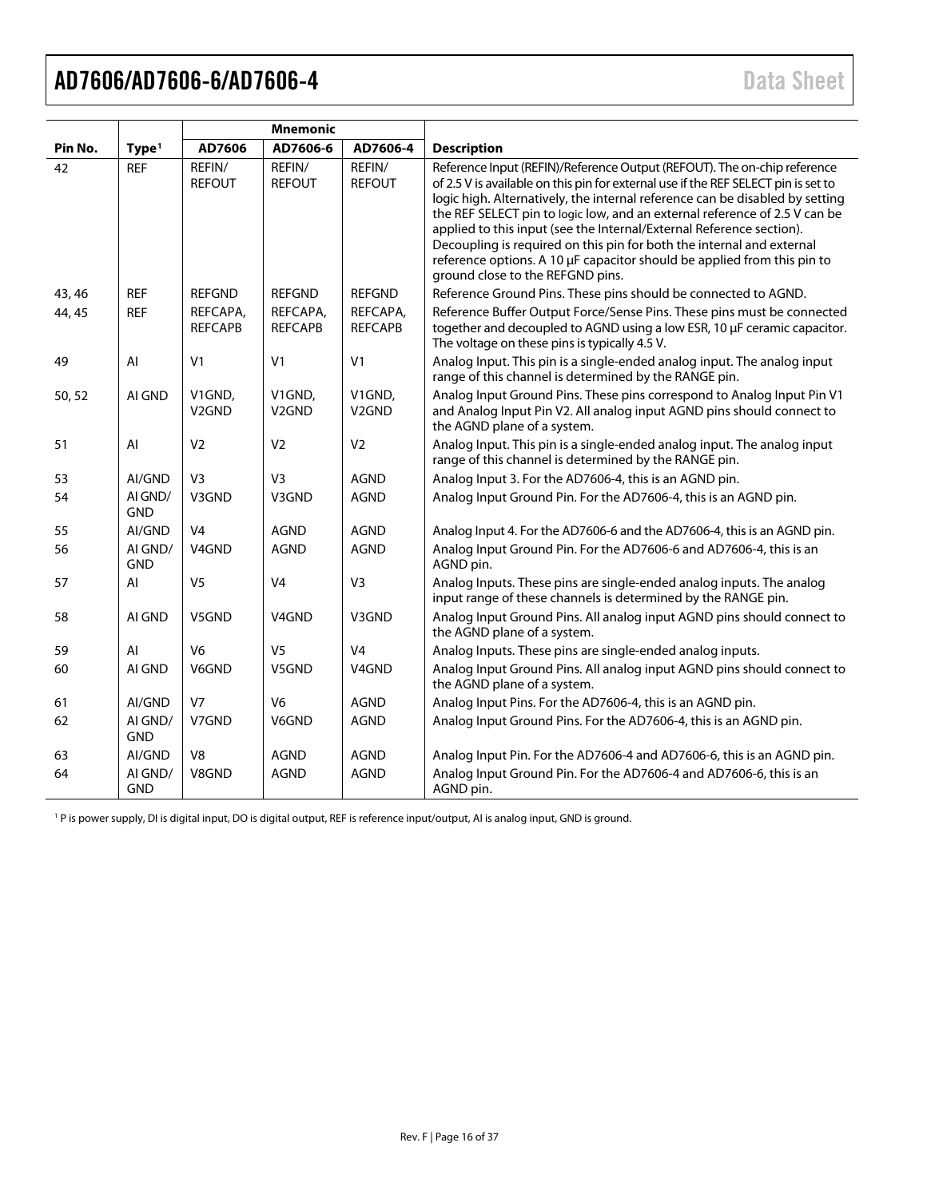<span id="page-15-0"></span>

|         |                       | <b>Mnemonic</b>              |                              |                              |                                                                                                                                                                                                                                                                                                                                                                                                                                                                                                                                                                                              |
|---------|-----------------------|------------------------------|------------------------------|------------------------------|----------------------------------------------------------------------------------------------------------------------------------------------------------------------------------------------------------------------------------------------------------------------------------------------------------------------------------------------------------------------------------------------------------------------------------------------------------------------------------------------------------------------------------------------------------------------------------------------|
| Pin No. | Type <sup>1</sup>     | AD7606                       | AD7606-6                     | AD7606-4                     | <b>Description</b>                                                                                                                                                                                                                                                                                                                                                                                                                                                                                                                                                                           |
| 42      | <b>REF</b>            | REFIN/<br><b>REFOUT</b>      | REFIN/<br><b>REFOUT</b>      | REFIN/<br><b>REFOUT</b>      | Reference Input (REFIN)/Reference Output (REFOUT). The on-chip reference<br>of 2.5 V is available on this pin for external use if the REF SELECT pin is set to<br>logic high. Alternatively, the internal reference can be disabled by setting<br>the REF SELECT pin to logic low, and an external reference of 2.5 V can be<br>applied to this input (see the Internal/External Reference section).<br>Decoupling is required on this pin for both the internal and external<br>reference options. A 10 µF capacitor should be applied from this pin to<br>ground close to the REFGND pins. |
| 43, 46  | <b>REF</b>            | <b>REFGND</b>                | <b>REFGND</b>                | <b>REFGND</b>                | Reference Ground Pins. These pins should be connected to AGND.                                                                                                                                                                                                                                                                                                                                                                                                                                                                                                                               |
| 44, 45  | <b>REF</b>            | REFCAPA,<br><b>REFCAPB</b>   | REFCAPA,<br><b>REFCAPB</b>   | REFCAPA,<br><b>REFCAPB</b>   | Reference Buffer Output Force/Sense Pins. These pins must be connected<br>together and decoupled to AGND using a low ESR, 10 µF ceramic capacitor.<br>The voltage on these pins is typically 4.5 V.                                                                                                                                                                                                                                                                                                                                                                                          |
| 49      | AI                    | V <sub>1</sub>               | V <sub>1</sub>               | V <sub>1</sub>               | Analog Input. This pin is a single-ended analog input. The analog input<br>range of this channel is determined by the RANGE pin.                                                                                                                                                                                                                                                                                                                                                                                                                                                             |
| 50, 52  | AI GND                | V1GND,<br>V <sub>2</sub> GND | V1GND,<br>V <sub>2</sub> GND | V1GND,<br>V <sub>2</sub> GND | Analog Input Ground Pins. These pins correspond to Analog Input Pin V1<br>and Analog Input Pin V2. All analog input AGND pins should connect to<br>the AGND plane of a system.                                                                                                                                                                                                                                                                                                                                                                                                               |
| 51      | AI                    | V <sub>2</sub>               | V <sub>2</sub>               | V <sub>2</sub>               | Analog Input. This pin is a single-ended analog input. The analog input<br>range of this channel is determined by the RANGE pin.                                                                                                                                                                                                                                                                                                                                                                                                                                                             |
| 53      | AI/GND                | V <sub>3</sub>               | V <sub>3</sub>               | <b>AGND</b>                  | Analog Input 3. For the AD7606-4, this is an AGND pin.                                                                                                                                                                                                                                                                                                                                                                                                                                                                                                                                       |
| 54      | AI GND/<br><b>GND</b> | V3GND                        | V3GND                        | <b>AGND</b>                  | Analog Input Ground Pin. For the AD7606-4, this is an AGND pin.                                                                                                                                                                                                                                                                                                                                                                                                                                                                                                                              |
| 55      | AI/GND                | V <sub>4</sub>               | <b>AGND</b>                  | <b>AGND</b>                  | Analog Input 4. For the AD7606-6 and the AD7606-4, this is an AGND pin.                                                                                                                                                                                                                                                                                                                                                                                                                                                                                                                      |
| 56      | AI GND/<br><b>GND</b> | V <sub>4</sub> GND           | <b>AGND</b>                  | <b>AGND</b>                  | Analog Input Ground Pin. For the AD7606-6 and AD7606-4, this is an<br>AGND pin.                                                                                                                                                                                                                                                                                                                                                                                                                                                                                                              |
| 57      | AI                    | V <sub>5</sub>               | V <sub>4</sub>               | V <sub>3</sub>               | Analog Inputs. These pins are single-ended analog inputs. The analog<br>input range of these channels is determined by the RANGE pin.                                                                                                                                                                                                                                                                                                                                                                                                                                                        |
| 58      | AI GND                | V5GND                        | V <sub>4</sub> GND           | V3GND                        | Analog Input Ground Pins. All analog input AGND pins should connect to<br>the AGND plane of a system.                                                                                                                                                                                                                                                                                                                                                                                                                                                                                        |
| 59      | AI                    | V <sub>6</sub>               | V <sub>5</sub>               | V <sub>4</sub>               | Analog Inputs. These pins are single-ended analog inputs.                                                                                                                                                                                                                                                                                                                                                                                                                                                                                                                                    |
| 60      | AI GND                | V6GND                        | V5GND                        | V4GND                        | Analog Input Ground Pins. All analog input AGND pins should connect to<br>the AGND plane of a system.                                                                                                                                                                                                                                                                                                                                                                                                                                                                                        |
| 61      | AI/GND                | V <sub>7</sub>               | V <sub>6</sub>               | <b>AGND</b>                  | Analog Input Pins. For the AD7606-4, this is an AGND pin.                                                                                                                                                                                                                                                                                                                                                                                                                                                                                                                                    |
| 62      | AI GND/<br><b>GND</b> | V7GND                        | V6GND                        | <b>AGND</b>                  | Analog Input Ground Pins. For the AD7606-4, this is an AGND pin.                                                                                                                                                                                                                                                                                                                                                                                                                                                                                                                             |
| 63      | AI/GND                | V <sub>8</sub>               | <b>AGND</b>                  | <b>AGND</b>                  | Analog Input Pin. For the AD7606-4 and AD7606-6, this is an AGND pin.                                                                                                                                                                                                                                                                                                                                                                                                                                                                                                                        |
| 64      | AI GND/<br><b>GND</b> | V8GND                        | <b>AGND</b>                  | <b>AGND</b>                  | Analog Input Ground Pin. For the AD7606-4 and AD7606-6, this is an<br>AGND pin.                                                                                                                                                                                                                                                                                                                                                                                                                                                                                                              |

<sup>1</sup> P is power supply, DI is digital input, DO is digital output, REF is reference input/output, AI is analog input, GND is ground.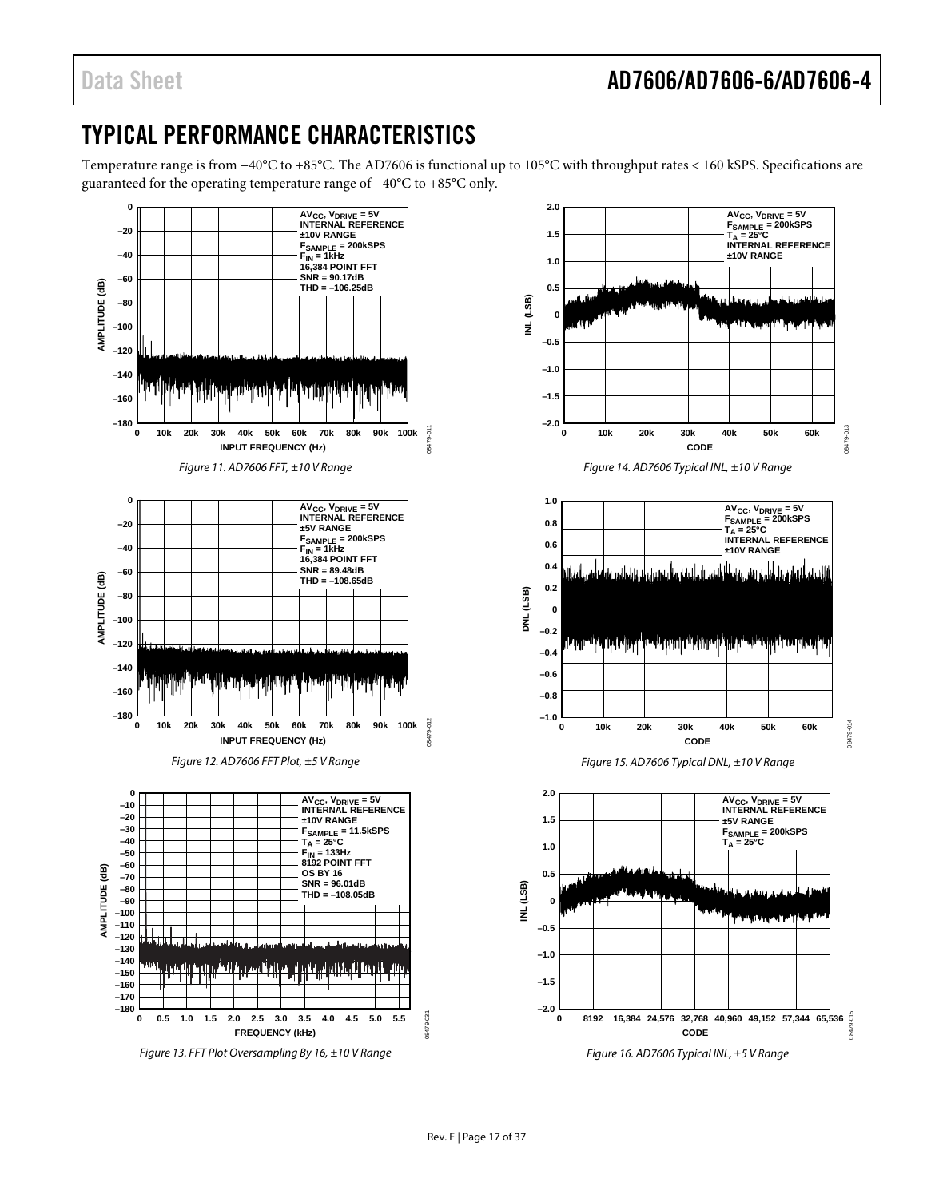### <span id="page-16-0"></span>TYPICAL PERFORMANCE CHARACTERISTICS

Temperature range is from −40°C to +85°C. The AD7606 is functional up to 105°C with throughput rates < 160 kSPS. Specifications are guaranteed for the operating temperature range of −40°C to +85°C only.



*Figure 13. FFT Plot Oversampling By 16, ±10 V Range*

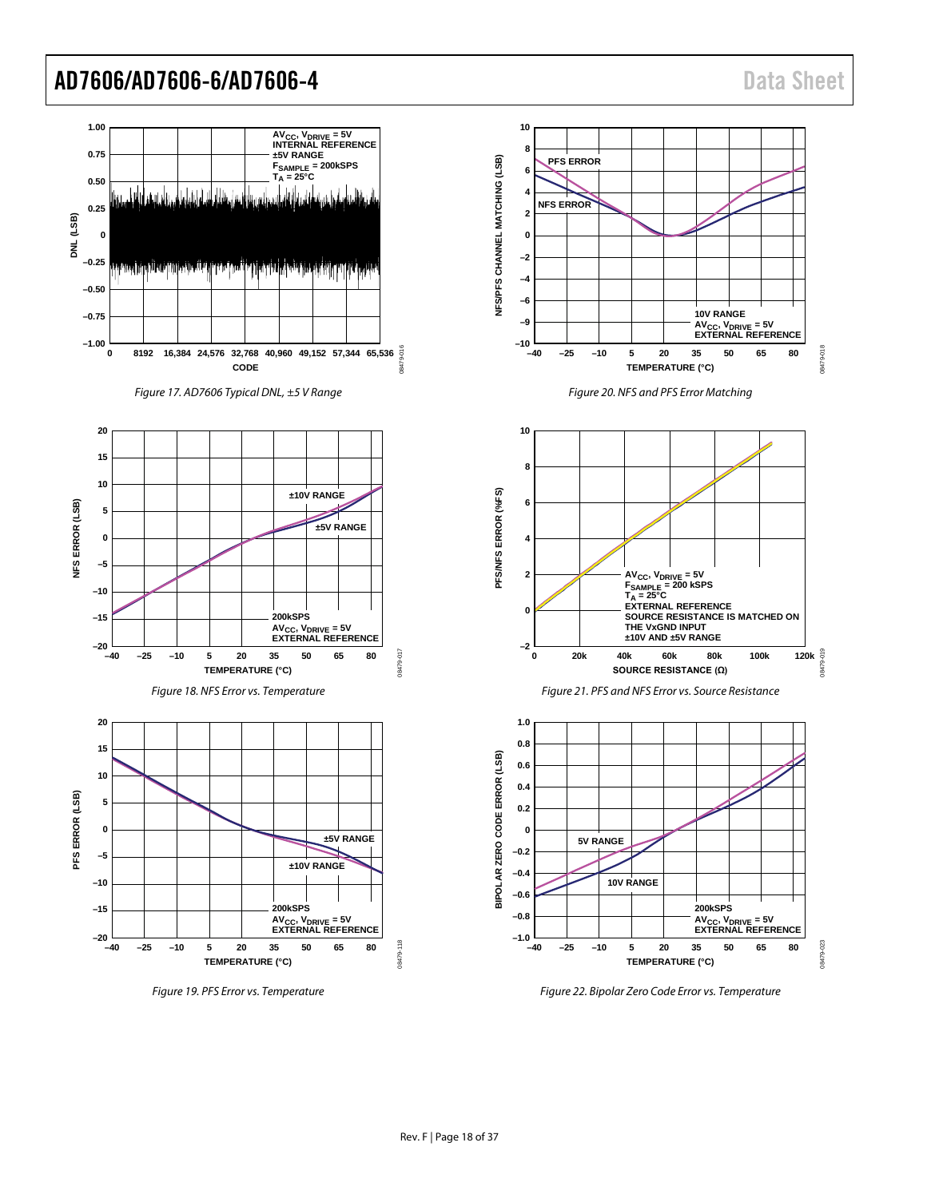

*Figure 22. Bipolar Zero Code Error vs. Temperature*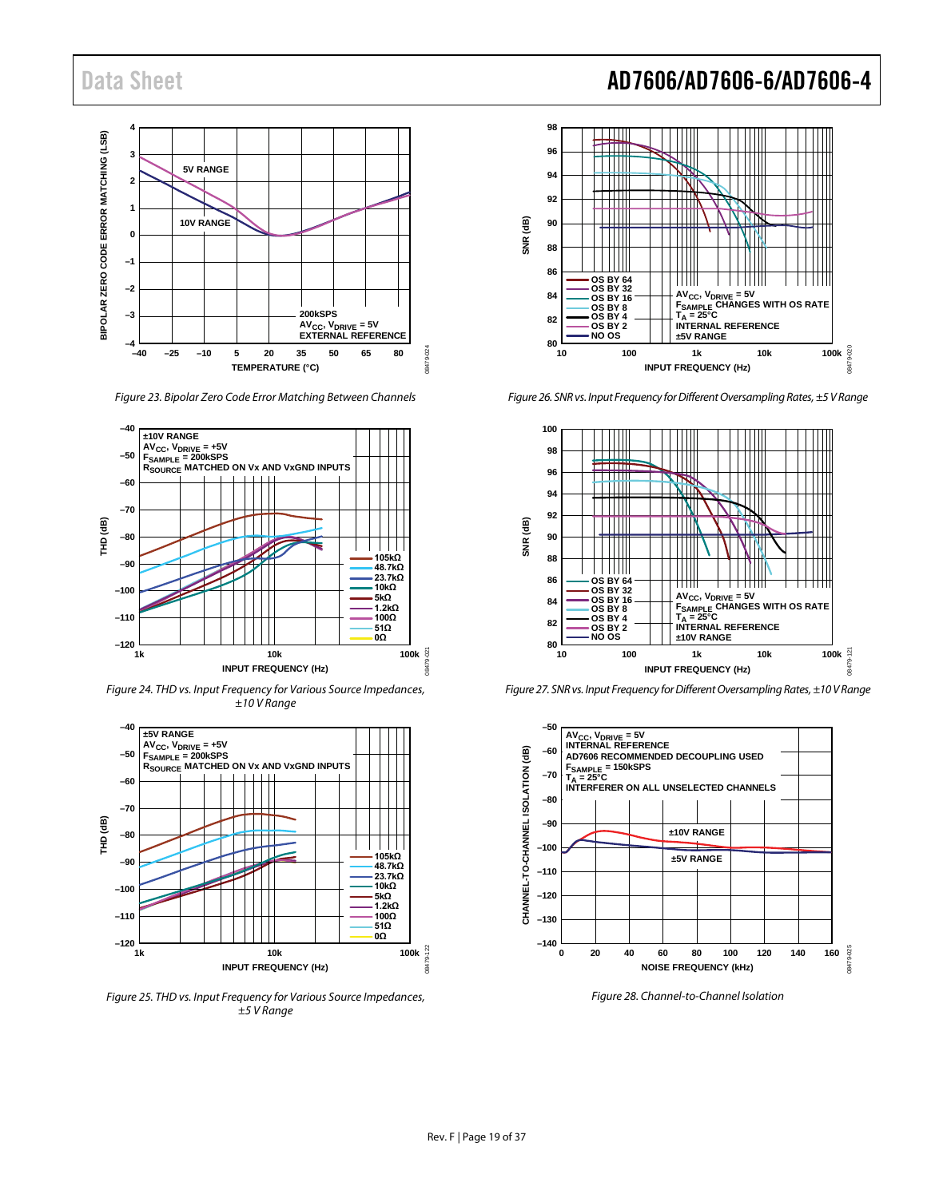

*Figure 23. Bipolar Zero Code Error Matching Between Channels*



*Figure 24. THD vs. Input Frequency for Various Source Impedances, ±10 V Range*



*Figure 25. THD vs. Input Frequency for Various Source Impedances, ±5 V Range*

### Data Sheet **AD7606/AD7606-6/AD7606-4**



*Figure 26. SNR vs. Input Frequency for Different Oversampling Rates,±5V Range*



*Figure 27. SNR vs. Input Frequency for Different Oversampling Rates, ±10 V Range*



<span id="page-18-0"></span>*Figure 28. Channel-to-Channel Isolation*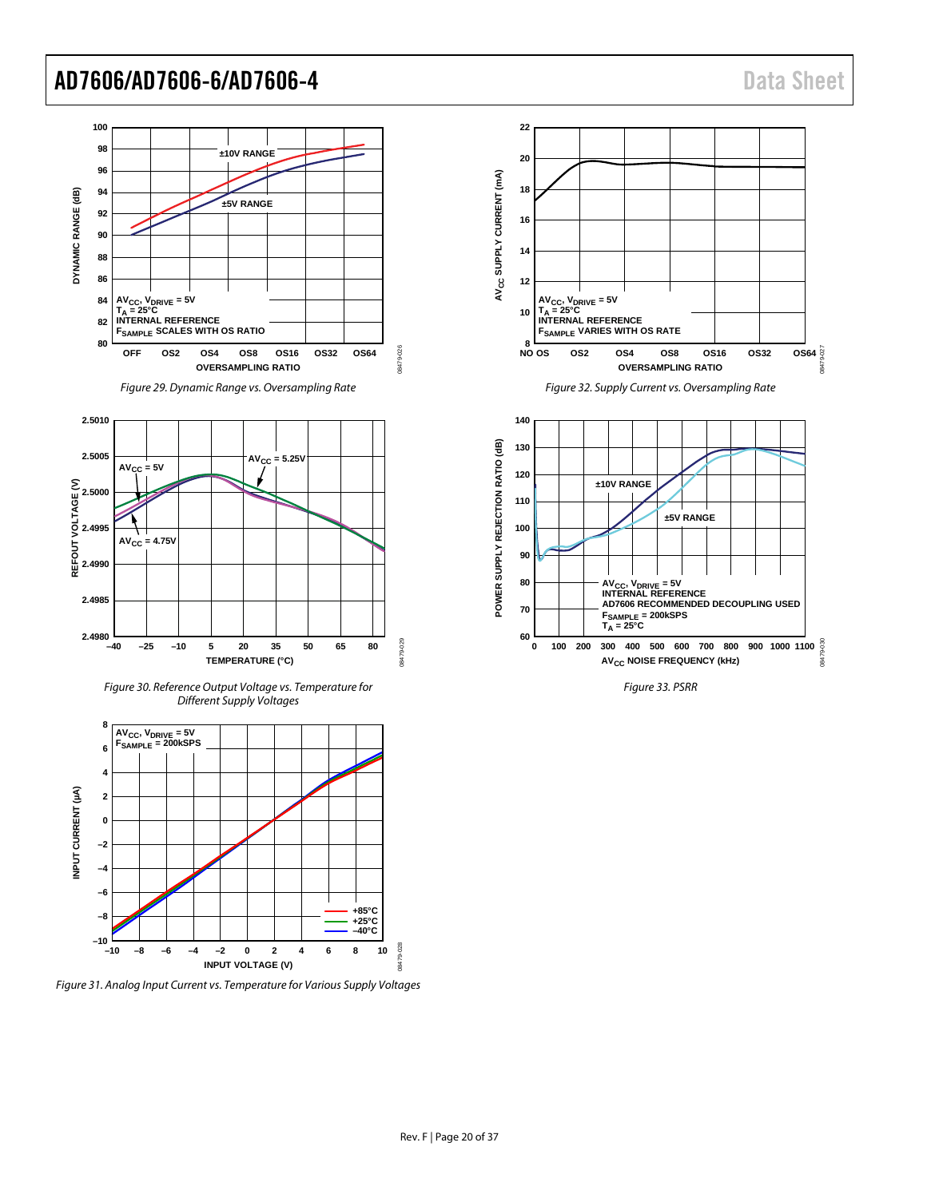

<span id="page-19-0"></span>*Figure 31. Analog Input Current vs. Temperature for Various Supply Voltages*



*Figure 32. Supply Current vs. Oversampling Rate*



*Figure 33. PSRR*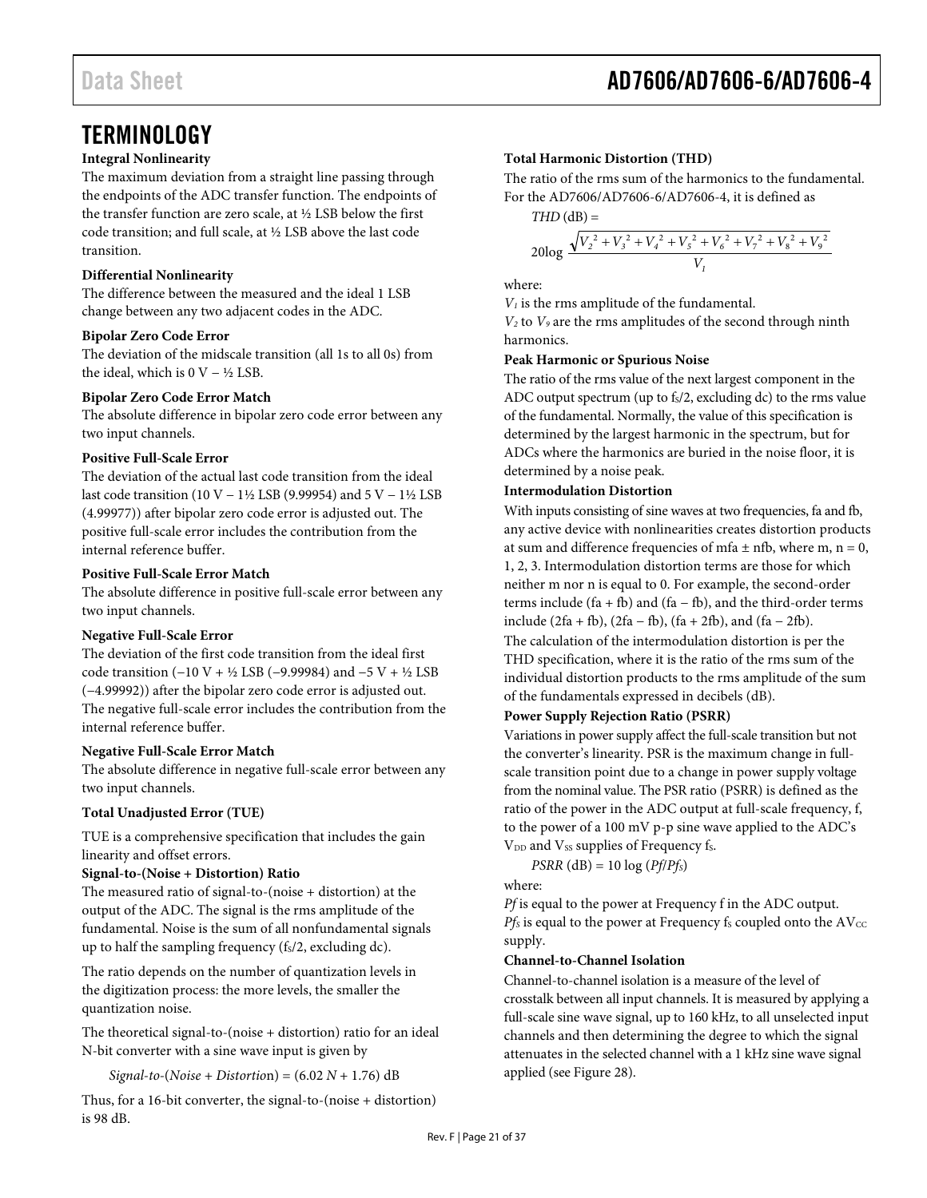### <span id="page-20-0"></span>**TERMINOLOGY**

#### **Integral Nonlinearity**

The maximum deviation from a straight line passing through the endpoints of the ADC transfer function. The endpoints of the transfer function are zero scale, at ½ LSB below the first code transition; and full scale, at ½ LSB above the last code transition.

#### **Differential Nonlinearity**

The difference between the measured and the ideal 1 LSB change between any two adjacent codes in the ADC.

#### **Bipolar Zero Code Error**

The deviation of the midscale transition (all 1s to all 0s) from the ideal, which is  $0$  V – ½ LSB.

#### **Bipolar Zero Code Error Match**

The absolute difference in bipolar zero code error between any two input channels.

#### **Positive Full-Scale Error**

The deviation of the actual last code transition from the ideal last code transition (10 V − 1½ LSB (9.99954) and 5 V − 1½ LSB (4.99977)) after bipolar zero code error is adjusted out. The positive full-scale error includes the contribution from the internal reference buffer.

#### **Positive Full-Scale Error Match**

The absolute difference in positive full-scale error between any two input channels.

#### **Negative Full-Scale Error**

The deviation of the first code transition from the ideal first code transition (−10 V + ½ LSB (−9.99984) and −5 V + ½ LSB (−4.99992)) after the bipolar zero code error is adjusted out. The negative full-scale error includes the contribution from the internal reference buffer.

#### **Negative Full-Scale Error Match**

The absolute difference in negative full-scale error between any two input channels.

#### **Total Unadjusted Error (TUE)**

TUE is a comprehensive specification that includes the gain linearity and offset errors.

#### **Signal-to-(Noise + Distortion) Ratio**

The measured ratio of signal-to-(noise + distortion) at the output of the ADC. The signal is the rms amplitude of the fundamental. Noise is the sum of all nonfundamental signals up to half the sampling frequency (fs/2, excluding dc).

The ratio depends on the number of quantization levels in the digitization process: the more levels, the smaller the quantization noise.

The theoretical signal-to-(noise + distortion) ratio for an ideal N-bit converter with a sine wave input is given by

*Signal-to-*(*Noise* + *Distortio*n) = (6.02 *N* + 1.76) dB

Thus, for a 16-bit converter, the signal-to-(noise + distortion) is 98 dB.

#### **Total Harmonic Distortion (THD)**

The ratio of the rms sum of the harmonics to the fundamental. For the AD7606/AD7606-6/AD7606-4, it is defined as

 $THD$  ( $dB$ ) =

$$
20\log \frac{\sqrt{V_2^2 + V_3^2 + V_4^2 + V_5^2 + V_6^2 + V_7^2 + V_8^2 + V_9^2}}{V_1}
$$

where:

 $V<sub>1</sub>$  is the rms amplitude of the fundamental.

*V2* to *V9* are the rms amplitudes of the second through ninth harmonics.

#### **Peak Harmonic or Spurious Noise**

The ratio of the rms value of the next largest component in the ADC output spectrum (up to  $f_s/2$ , excluding dc) to the rms value of the fundamental. Normally, the value of this specification is determined by the largest harmonic in the spectrum, but for ADCs where the harmonics are buried in the noise floor, it is determined by a noise peak.

#### **Intermodulation Distortion**

With inputs consisting of sine waves at two frequencies, fa and fb, any active device with nonlinearities creates distortion products at sum and difference frequencies of mfa  $\pm$  nfb, where m, n = 0, 1, 2, 3. Intermodulation distortion terms are those for which neither m nor n is equal to 0. For example, the second-order terms include (fa + fb) and (fa – fb), and the third-order terms include (2fa + fb), (2fa − fb), (fa + 2fb), and (fa − 2fb).

The calculation of the intermodulation distortion is per the THD specification, where it is the ratio of the rms sum of the individual distortion products to the rms amplitude of the sum of the fundamentals expressed in decibels (dB).

#### **Power Supply Rejection Ratio (PSRR)**

Variations in power supply affect the full-scale transition but not the converter's linearity. PSR is the maximum change in fullscale transition point due to a change in power supply voltage from the nominal value. The PSR ratio (PSRR) is defined as the ratio of the power in the ADC output at full-scale frequency, f, to the power of a 100 mV p-p sine wave applied to the ADC's

V<sub>DD</sub> and V<sub>SS</sub> supplies of Frequency f<sub>S</sub>.

 $PSRR$  (dB) = 10  $log(Pf/Pf<sub>S</sub>)$ where:

*Pf* is equal to the power at Frequency f in the ADC output.  $Pf_S$  is equal to the power at Frequency  $f_S$  coupled onto the  $AV_{CC}$ supply.

#### **Channel-to-Channel Isolation**

Channel-to-channel isolation is a measure of the level of crosstalk between all input channels. It is measured by applying a full-scale sine wave signal, up to 160 kHz, to all unselected input channels and then determining the degree to which the signal attenuates in the selected channel with a 1 kHz sine wave signal applied (se[e Figure 28\)](#page-18-0).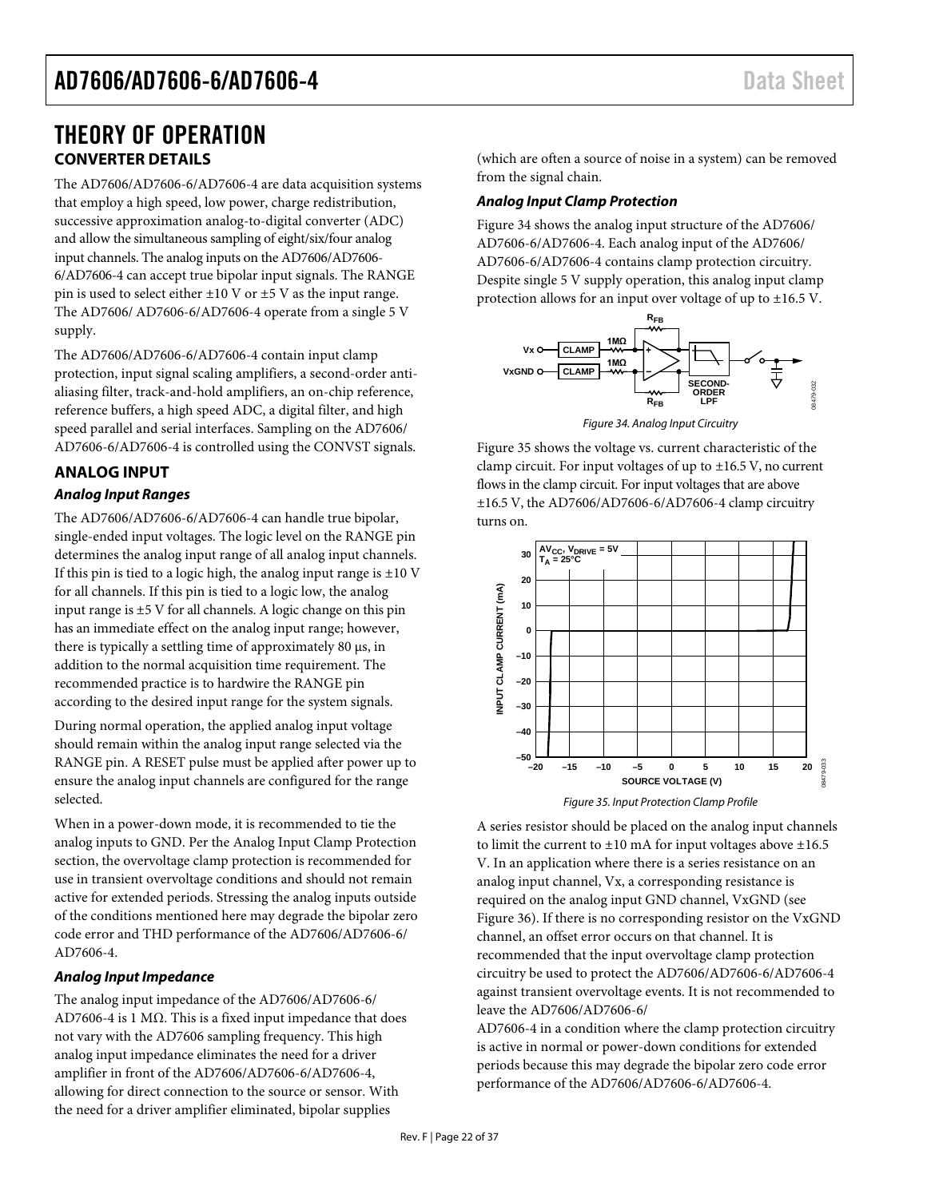### <span id="page-21-0"></span>THEORY OF OPERATION **CONVERTER DETAILS**

<span id="page-21-1"></span>The AD7606/AD7606-6/AD7606-4 are data acquisition systems that employ a high speed, low power, charge redistribution, successive approximation analog-to-digital converter (ADC) and allow the simultaneous sampling of eight/six/four analog input channels. The analog inputs on the AD7606/AD7606- 6/AD7606-4 can accept true bipolar input signals. The RANGE pin is used to select either  $\pm 10$  V or  $\pm 5$  V as the input range. The AD7606/ AD7606-6/AD7606-4 operate from a single 5 V supply.

The AD7606/AD7606-6/AD7606-4 contain input clamp protection, input signal scaling amplifiers, a second-order antialiasing filter, track-and-hold amplifiers, an on-chip reference, reference buffers, a high speed ADC, a digital filter, and high speed parallel and serial interfaces. Sampling on the AD7606/ AD7606-6/AD7606-4 is controlled using the CONVST signals.

#### <span id="page-21-2"></span>**ANALOG INPUT**

#### *Analog Input Ranges*

The AD7606/AD7606-6/AD7606-4 can handle true bipolar, single-ended input voltages. The logic level on the RANGE pin determines the analog input range of all analog input channels. If this pin is tied to a logic high, the analog input range is  $\pm 10$  V for all channels. If this pin is tied to a logic low, the analog input range is  $\pm$ 5 V for all channels. A logic change on this pin has an immediate effect on the analog input range; however, there is typically a settling time of approximately 80 µs, in addition to the normal acquisition time requirement. The recommended practice is to hardwire the RANGE pin according to the desired input range for the system signals.

During normal operation, the applied analog input voltage should remain within the analog input range selected via the RANGE pin. A RESET pulse must be applied after power up to ensure the analog input channels are configured for the range selected.

When in a power-down mode, it is recommended to tie the analog inputs to GND. Per the [Analog Input Clamp Protection](#page-21-3) section, the overvoltage clamp protection is recommended for use in transient overvoltage conditions and should not remain active for extended periods. Stressing the analog inputs outside of the conditions mentioned here may degrade the bipolar zero code error and THD performance of the AD7606/AD7606-6/ AD7606-4.

#### *Analog Input Impedance*

The analog input impedance of the AD7606/AD7606-6/ AD7606-4 is 1 MΩ. This is a fixed input impedance that does not vary with the AD7606 sampling frequency. This high analog input impedance eliminates the need for a driver amplifier in front of the AD7606/AD7606-6/AD7606-4, allowing for direct connection to the source or sensor. With the need for a driver amplifier eliminated, bipolar supplies

(which are often a source of noise in a system) can be removed from the signal chain.

#### <span id="page-21-3"></span>*Analog Input Clamp Protection*

[Figure 34](#page-21-4) shows the analog input structure of the AD7606/ AD7606-6/AD7606-4. Each analog input of the AD7606/ AD7606-6/AD7606-4 contains clamp protection circuitry. Despite single 5 V supply operation, this analog input clamp protection allows for an input over voltage of up to ±16.5 V.



*Figure 34. Analog Input Circuitry*

<span id="page-21-4"></span>[Figure 35](#page-21-5) shows the voltage vs. current characteristic of the clamp circuit. For input voltages of up to ±16.5 V, no current flows in the clamp circuit. For input voltages that are above ±16.5 V, the AD7606/AD7606-6/AD7606-4 clamp circuitry turns on.



*Figure 35. Input Protection Clamp Profile*

<span id="page-21-5"></span>A series resistor should be placed on the analog input channels to limit the current to  $\pm 10$  mA for input voltages above  $\pm 16.5$ V. In an application where there is a series resistance on an analog input channel, Vx, a corresponding resistance is required on the analog input GND channel, VxGND (see [Figure 36\)](#page-22-1). If there is no corresponding resistor on the VxGND channel, an offset error occurs on that channel. It is recommended that the input overvoltage clamp protection circuitry be used to protect the AD7606/AD7606-6/AD7606-4 against transient overvoltage events. It is not recommended to leave the AD7606/AD7606-6/

AD7606-4 in a condition where the clamp protection circuitry is active in normal or power-down conditions for extended periods because this may degrade the bipolar zero code error performance of the AD7606/AD7606-6/AD7606-4.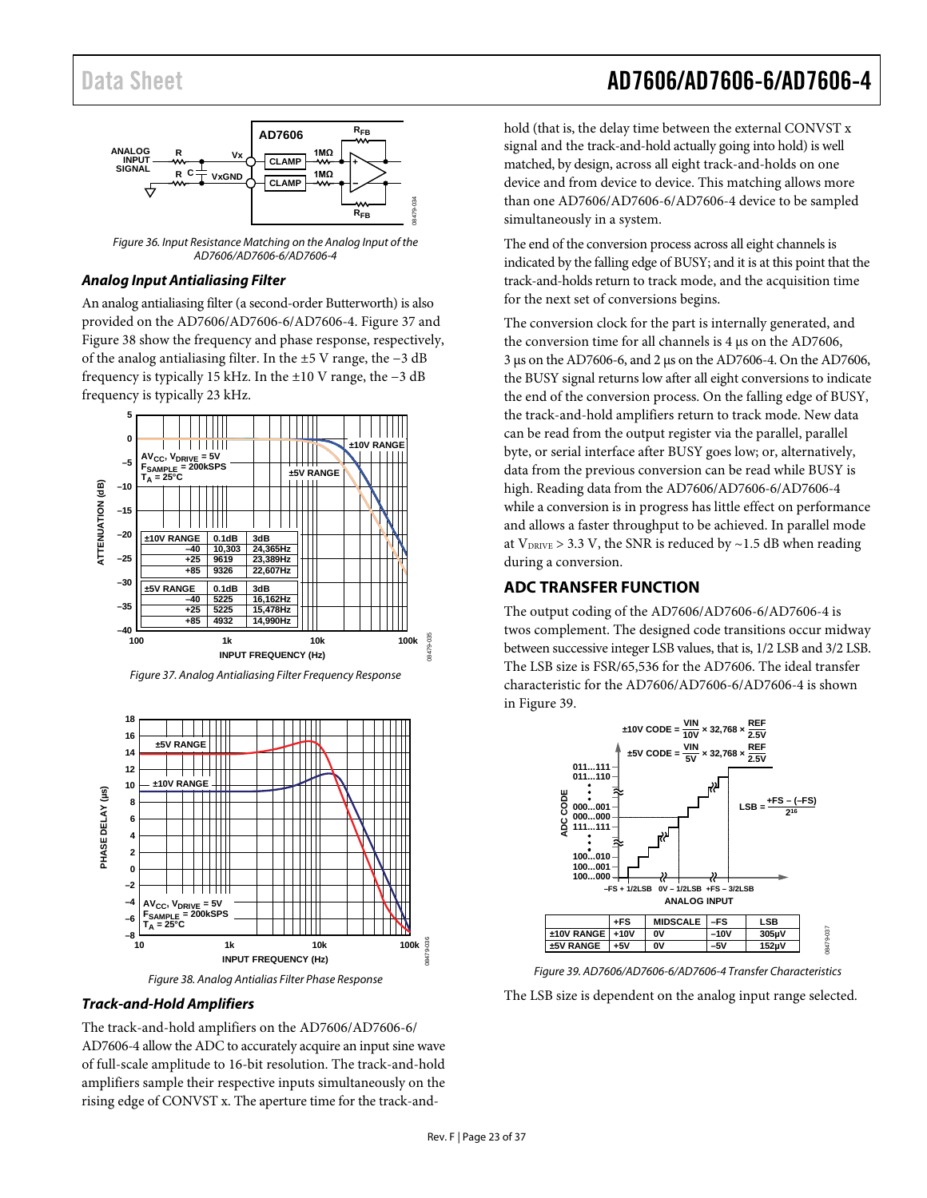

<span id="page-22-1"></span>*Figure 36. Input Resistance Matching on the Analog Input of the AD7606/AD7606-6/AD7606-4*

#### *Analog Input Antialiasing Filter*

An analog antialiasing filter (a second-order Butterworth) is also provided on the AD7606/AD7606-6/AD7606-4. [Figure 37](#page-22-2) and [Figure 38](#page-22-3) show the frequency and phase response, respectively, of the analog antialiasing filter. In the ±5 V range, the −3 dB frequency is typically 15 kHz. In the ±10 V range, the −3 dB frequency is typically 23 kHz.



<span id="page-22-2"></span>*Figure 37. Analog Antialiasing Filter Frequency Response*



*Figure 38. Analog Antialias Filter Phase Response*

#### <span id="page-22-3"></span>*Track-and-Hold Amplifiers*

The track-and-hold amplifiers on the AD7606/AD7606-6/ AD7606-4 allow the ADC to accurately acquire an input sine wave of full-scale amplitude to 16-bit resolution. The track-and-hold amplifiers sample their respective inputs simultaneously on the rising edge of CONVST x. The aperture time for the track-and-

### Data Sheet **AD7606/AD7606-6/AD7606-4**

hold (that is, the delay time between the external CONVST x signal and the track-and-hold actually going into hold) is well matched, by design, across all eight track-and-holds on one device and from device to device. This matching allows more than one AD7606/AD7606-6/AD7606-4 device to be sampled simultaneously in a system.

The end of the conversion process across all eight channels is indicated by the falling edge of BUSY; and it is at this point that the track-and-holds return to track mode, and the acquisition time for the next set of conversions begins.

The conversion clock for the part is internally generated, and the conversion time for all channels is 4 µs on the AD7606, 3 µs on the AD7606-6, and 2 µs on the AD7606-4. On the AD7606, the BUSY signal returns low after all eight conversions to indicate the end of the conversion process. On the falling edge of BUSY, the track-and-hold amplifiers return to track mode. New data can be read from the output register via the parallel, parallel byte, or serial interface after BUSY goes low; or, alternatively, data from the previous conversion can be read while BUSY is high. Reading data from the AD7606/AD7606-6/AD7606-4 while a conversion is in progress has little effect on performance and allows a faster throughput to be achieved. In parallel mode at  $V_{DRIVE} > 3.3$  V, the SNR is reduced by  $\sim$  1.5 dB when reading during a conversion.

#### <span id="page-22-0"></span>**ADC TRANSFER FUNCTION**

The output coding of the AD7606/AD7606-6/AD7606-4 is twos complement. The designed code transitions occur midway between successive integer LSB values, that is, 1/2 LSB and 3/2 LSB. The LSB size is FSR/65,536 for the AD7606. The ideal transfer characteristic for the AD7606/AD7606-6/AD7606-4 is shown in [Figure 39.](#page-22-4)



*Figure 39. AD7606/AD7606-6/AD7606-4 Transfer Characteristics*

<span id="page-22-4"></span>The LSB size is dependent on the analog input range selected.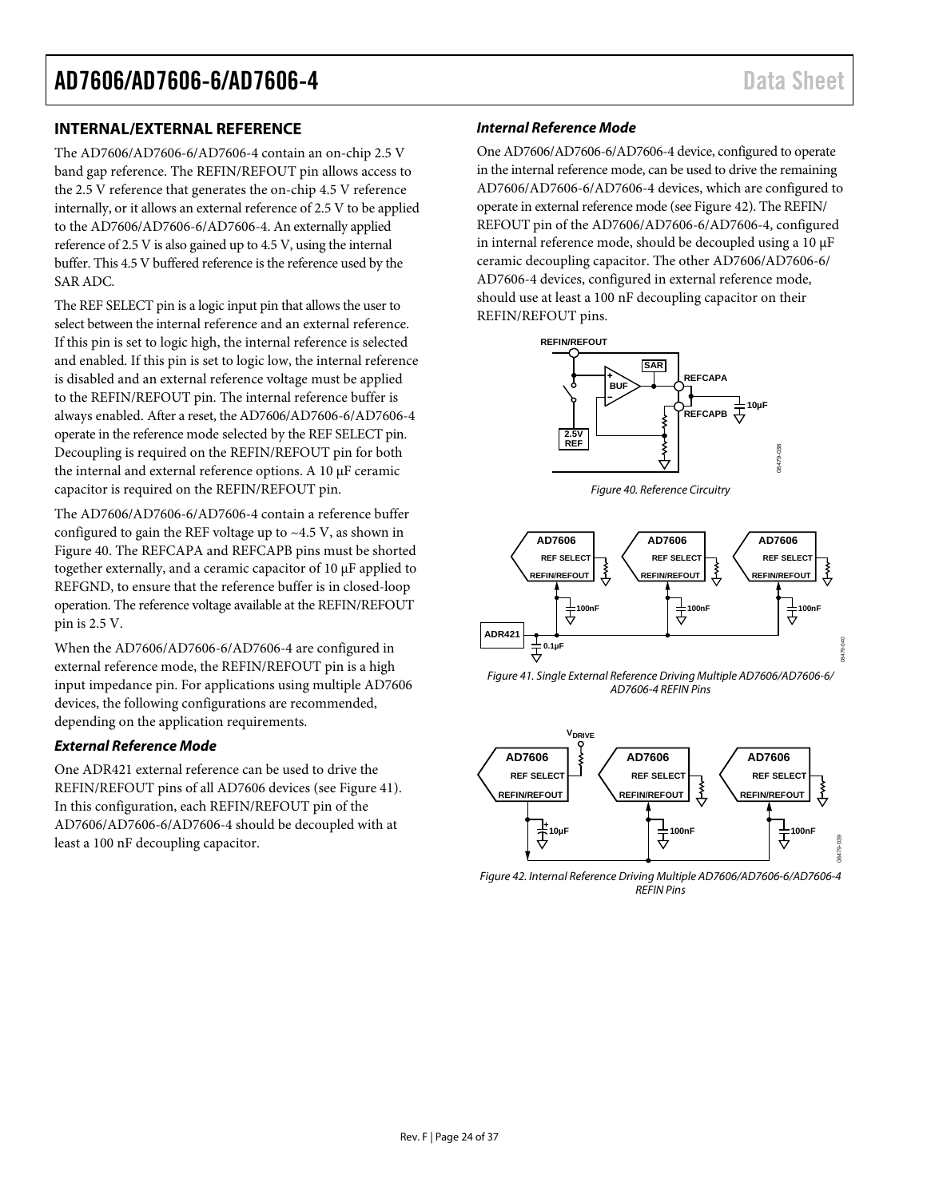#### <span id="page-23-0"></span>**INTERNAL/EXTERNAL REFERENCE**

The AD7606/AD7606-6/AD7606-4 contain an on-chip 2.5 V band gap reference. The REFIN/REFOUT pin allows access to the 2.5 V reference that generates the on-chip 4.5 V reference internally, or it allows an external reference of 2.5 V to be applied to the AD7606/AD7606-6/AD7606-4. An externally applied reference of 2.5 V is also gained up to 4.5 V, using the internal buffer. This 4.5 V buffered reference is the reference used by the SAR ADC.

The REF SELECT pin is a logic input pin that allows the user to select between the internal reference and an external reference. If this pin is set to logic high, the internal reference is selected and enabled. If this pin is set to logic low, the internal reference is disabled and an external reference voltage must be applied to the REFIN/REFOUT pin. The internal reference buffer is always enabled. After a reset, the AD7606/AD7606-6/AD7606-4 operate in the reference mode selected by the REF SELECT pin. Decoupling is required on the REFIN/REFOUT pin for both the internal and external reference options. A 10 µF ceramic capacitor is required on the REFIN/REFOUT pin.

The AD7606/AD7606-6/AD7606-4 contain a reference buffer configured to gain the REF voltage up to  $\sim$ 4.5 V, as shown in [Figure 40.](#page-23-1) The REFCAPA and REFCAPB pins must be shorted together externally, and a ceramic capacitor of 10 μF applied to REFGND, to ensure that the reference buffer is in closed-loop operation. The reference voltage available at the REFIN/REFOUT pin is 2.5 V.

When the AD7606/AD7606-6/AD7606-4 are configured in external reference mode, the REFIN/REFOUT pin is a high input impedance pin. For applications using multiple AD7606 devices, the following configurations are recommended, depending on the application requirements.

#### *External Reference Mode*

One ADR421 external reference can be used to drive the REFIN/REFOUT pins of all AD7606 devices (se[e Figure 41\)](#page-23-2). In this configuration, each REFIN/REFOUT pin of the AD7606/AD7606-6/AD7606-4 should be decoupled with at least a 100 nF decoupling capacitor.

#### *Internal Reference Mode*

One AD7606/AD7606-6/AD7606-4 device, configured to operate in the internal reference mode, can be used to drive the remaining AD7606/AD7606-6/AD7606-4 devices, which are configured to operate in external reference mode (se[e Figure 42\)](#page-23-3). The REFIN/ REFOUT pin of the AD7606/AD7606-6/AD7606-4, configured in internal reference mode, should be decoupled using a  $10 \mu$ F ceramic decoupling capacitor. The other AD7606/AD7606-6/ AD7606-4 devices, configured in external reference mode, should use at least a 100 nF decoupling capacitor on their REFIN/REFOUT pins.



*Figure 40. Reference Circuitry*

<span id="page-23-1"></span>

<span id="page-23-2"></span>*Figure 41. Single External Reference Driving Multiple AD7606/AD7606-6/ AD7606-4 REFIN Pins*



<span id="page-23-3"></span>*Figure 42. Internal Reference Driving Multiple AD7606/AD7606-6/AD7606-4 REFIN Pins*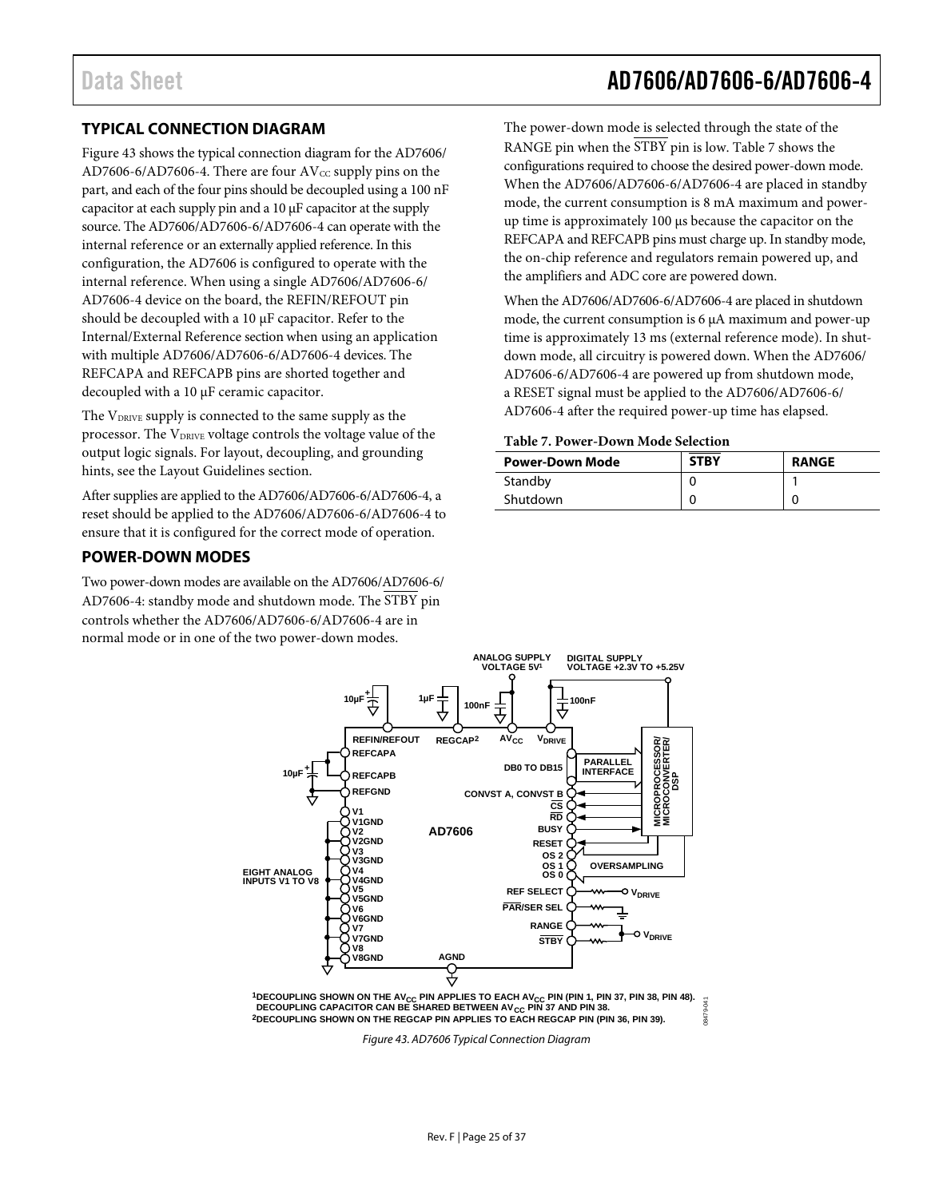#### <span id="page-24-0"></span>**TYPICAL CONNECTION DIAGRAM**

[Figure 43](#page-24-3) shows the typical connection diagram for the AD7606/ AD7606-6/AD7606-4. There are four  $AV_{CC}$  supply pins on the part, and each of the four pins should be decoupled using a 100 nF capacitor at each supply pin and a 10 µF capacitor at the supply source. The AD7606/AD7606-6/AD7606-4 can operate with the internal reference or an externally applied reference. In this configuration, the AD7606 is configured to operate with the internal reference. When using a single AD7606/AD7606-6/ AD7606-4 device on the board, the REFIN/REFOUT pin should be decoupled with a 10  $\mu$ F capacitor. Refer to the [Internal/External Reference](#page-23-0) section when using an application with multiple AD7606/AD7606-6/AD7606-4 devices. The REFCAPA and REFCAPB pins are shorted together and decoupled with a 10 µF ceramic capacitor.

The V<sub>DRIVE</sub> supply is connected to the same supply as the processor. The V<sub>DRIVE</sub> voltage controls the voltage value of the output logic signals. For layout, decoupling, and grounding hints, see th[e Layout Guidelines](#page-32-0) section.

After supplies are applied to the AD7606/AD7606-6/AD7606-4, a reset should be applied to the AD7606/AD7606-6/AD7606-4 to ensure that it is configured for the correct mode of operation.

#### <span id="page-24-1"></span>**POWER-DOWN MODES**

Two power-down modes are available on the AD7606/AD7606-6/ AD7606-4: standby mode and shutdown mode. The STBY pin controls whether the AD7606/AD7606-6/AD7606-4 are in normal mode or in one of the two power-down modes.

The power-down mode is selected through the state of the RANGE pin when the STBY pin is low. [Table 7](#page-24-2) shows the configurations required to choose the desired power-down mode. When the AD7606/AD7606-6/AD7606-4 are placed in standby mode, the current consumption is 8 mA maximum and powerup time is approximately 100 µs because the capacitor on the REFCAPA and REFCAPB pins must charge up. In standby mode, the on-chip reference and regulators remain powered up, and the amplifiers and ADC core are powered down.

When the AD7606/AD7606-6/AD7606-4 are placed in shutdown mode, the current consumption is 6 µA maximum and power-up time is approximately 13 ms (external reference mode). In shutdown mode, all circuitry is powered down. When the AD7606/ AD7606-6/AD7606-4 are powered up from shutdown mode, a RESET signal must be applied to the AD7606/AD7606-6/ AD7606-4 after the required power-up time has elapsed.

<span id="page-24-2"></span>**Table 7. Power-Down Mode Selection**

| <b>Power-Down Mode</b> | <b>STBY</b> | <b>RANGE</b> |
|------------------------|-------------|--------------|
| Standby                |             |              |
| Shutdown               |             |              |

08479-041



<span id="page-24-3"></span><sup>1</sup>DECOUPLING SHOWN ON THE AV<sub>CC</sub> PIN APPLIES TO EACH AV<sub>CC</sub> PIN (PIN 1, PIN 37, PIN 38, PIN 48).<br>DECOUPLING CAPACITOR CAN BE SHARED BETWEEN AV<sub>CC</sub> PIN 37 AND PIN 38. 1847 **2DECOUPLING SHOWN ON THE REGCAP PIN APPLIES TO EACH REGCAP PIN (PIN 36, PIN 39).**

*Figure 43. AD7606 Typical Connection Diagram*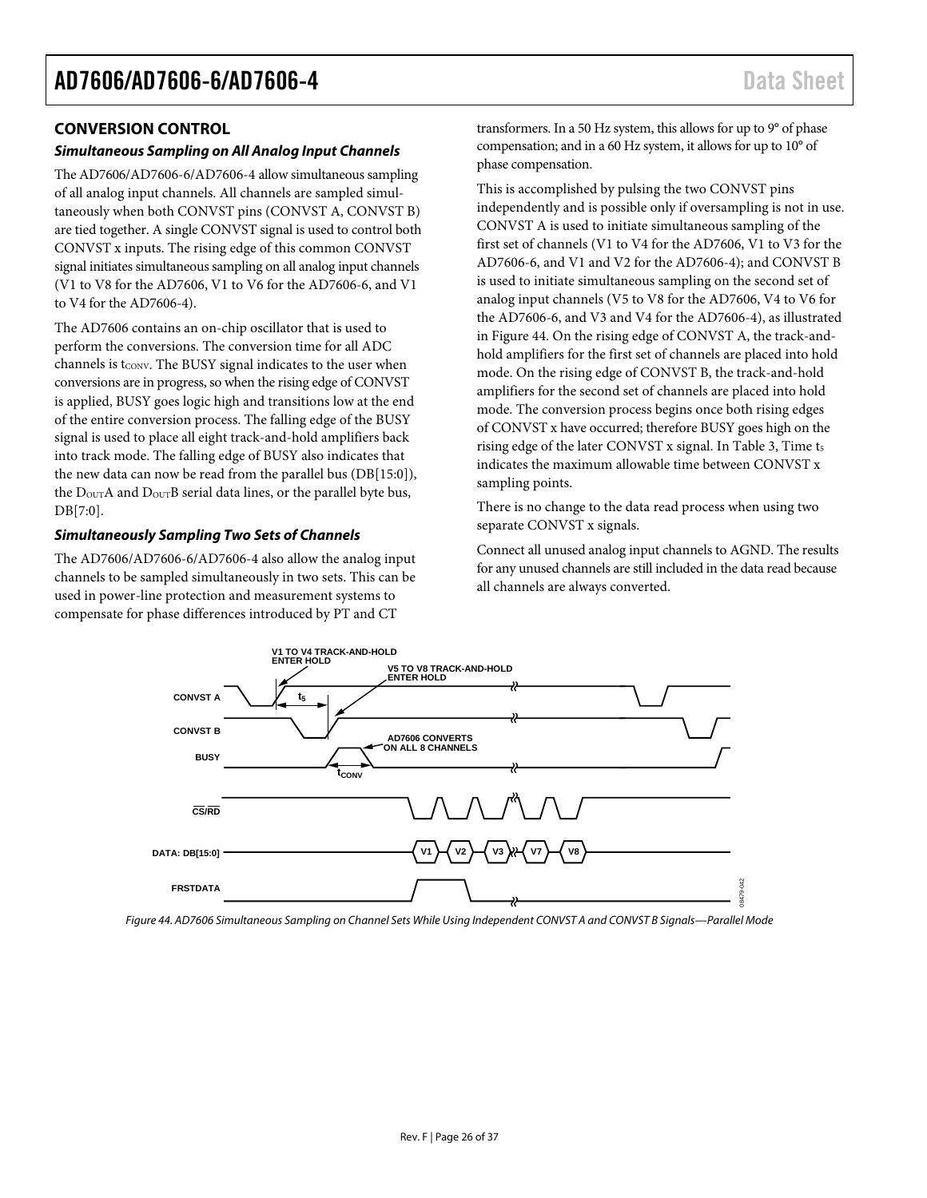#### <span id="page-25-0"></span>**CONVERSION CONTROL**

#### *Simultaneous Sampling on All Analog Input Channels*

The AD7606/AD7606-6/AD7606-4 allow simultaneous sampling of all analog input channels. All channels are sampled simultaneously when both CONVST pins (CONVST A, CONVST B) are tied together. A single CONVST signal is used to control both CONVST x inputs. The rising edge of this common CONVST signal initiates simultaneous sampling on all analog input channels (V1 to V8 for the AD7606, V1 to V6 for the AD7606-6, and V1 to V4 for the AD7606-4).

The AD7606 contains an on-chip oscillator that is used to perform the conversions. The conversion time for all ADC channels is  $t_{\text{CONV}}$ . The BUSY signal indicates to the user when conversions are in progress, so when the rising edge of CONVST is applied, BUSY goes logic high and transitions low at the end of the entire conversion process. The falling edge of the BUSY signal is used to place all eight track-and-hold amplifiers back into track mode. The falling edge of BUSY also indicates that the new data can now be read from the parallel bus (DB[15:0]), the D<sub>OUT</sub>A and D<sub>OUT</sub>B serial data lines, or the parallel byte bus, DB[7:0].

#### *Simultaneously Sampling Two Sets of Channels*

The AD7606/AD7606-6/AD7606-4 also allow the analog input channels to be sampled simultaneously in two sets. This can be used in power-line protection and measurement systems to compensate for phase differences introduced by PT and CT

transformers. In a 50 Hz system, this allows for up to 9° of phase compensation; and in a 60 Hz system, it allows for up to 10° of phase compensation.

This is accomplished by pulsing the two CONVST pins independently and is possible only if oversampling is not in use. CONVST A is used to initiate simultaneous sampling of the first set of channels (V1 to V4 for the AD7606, V1 to V3 for the AD7606-6, and V1 and V2 for the AD7606-4); and CONVST B is used to initiate simultaneous sampling on the second set of analog input channels (V5 to V8 for the AD7606, V4 to V6 for the AD7606-6, and V3 and V4 for the AD7606-4), as illustrated in [Figure 44.](#page-25-1) On the rising edge of CONVST A, the track-andhold amplifiers for the first set of channels are placed into hold mode. On the rising edge of CONVST B, the track-and-hold amplifiers for the second set of channels are placed into hold mode. The conversion process begins once both rising edges of CONVST x have occurred; therefore BUSY goes high on the rising edge of the later CONVST x signal. I[n Table 3,](#page-6-1) Time t<sub>5</sub> indicates the maximum allowable time between CONVST x sampling points.

There is no change to the data read process when using two separate CONVST x signals.

Connect all unused analog input channels to AGND. The results for any unused channels are still included in the data read because all channels are always converted.



<span id="page-25-1"></span>*Figure 44. AD7606 Simultaneous Sampling on Channel Sets While Using Independent CONVST A and CONVST B Signals—Parallel Mode*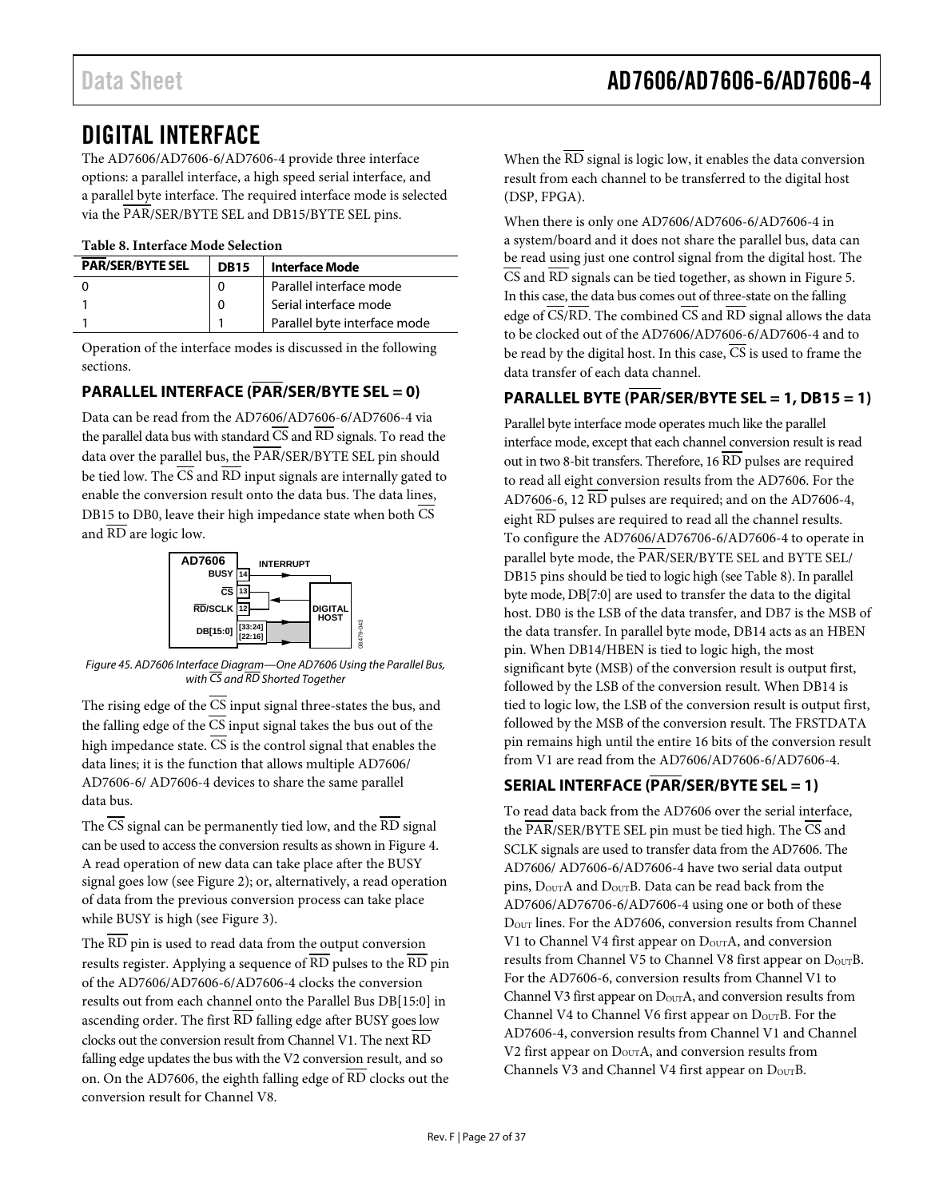### <span id="page-26-0"></span>DIGITAL INTERFACE

The AD7606/AD7606-6/AD7606-4 provide three interface options: a parallel interface, a high speed serial interface, and a parallel byte interface. The required interface mode is selected via the PAR/SER/BYTE SEL and DB15/BYTE SEL pins.

<span id="page-26-4"></span>**Table 8. Interface Mode Selection**

| <b>PAR/SER/BYTE SEL</b> | <b>DB15</b> | <b>Interface Mode</b>        |  |  |  |  |  |
|-------------------------|-------------|------------------------------|--|--|--|--|--|
|                         | 0           | Parallel interface mode      |  |  |  |  |  |
|                         | 0           | Serial interface mode        |  |  |  |  |  |
|                         |             | Parallel byte interface mode |  |  |  |  |  |

Operation of the interface modes is discussed in the following sections.

### <span id="page-26-1"></span>**PARALLEL INTERFACE (PAR/SER/BYTE SEL = 0)**

Data can be read from the AD7606/AD7606-6/AD7606-4 via the parallel data bus with standard CS and RD signals. To read the data over the parallel bus, the PAR/SER/BYTE SEL pin should be tied low. The  $\overline{CS}$  and  $\overline{RD}$  input signals are internally gated to enable the conversion result onto the data bus. The data lines, DB15 to DB0, leave their high impedance state when both CS and  $\overline{\text{RD}}$  are logic low.



*Figure 45. AD7606 Interface Diagram—One AD7606 Using the Parallel Bus, with CS and RD Shorted Together*

The rising edge of the  $\overline{CS}$  input signal three-states the bus, and the falling edge of the  $\overline{CS}$  input signal takes the bus out of the high impedance state.  $\overline{CS}$  is the control signal that enables the data lines; it is the function that allows multiple AD7606/ AD7606-6/ AD7606-4 devices to share the same parallel data bus.

The  $\overline{CS}$  signal can be permanently tied low, and the  $\overline{RD}$  signal can be used to access the conversion results as shown i[n Figure 4.](#page-9-1) A read operation of new data can take place after the BUSY signal goes low (se[e Figure 2\)](#page-8-0); or, alternatively, a read operation of data from the previous conversion process can take place while BUSY is high (se[e Figure 3\)](#page-8-1).

The  $\overline{\rm RD}$  pin is used to read data from the output conversion results register. Applying a sequence of RD pulses to the RD pin of the AD7606/AD7606-6/AD7606-4 clocks the conversion results out from each channel onto the Parallel Bus DB[15:0] in ascending order. The first  $\overline{\text{RD}}$  falling edge after BUSY goes low clocks out the conversion result from Channel V1. The next RD falling edge updates the bus with the V2 conversion result, and so on. On the AD7606, the eighth falling edge of RD clocks out the conversion result for Channel V8.

When the  $\overline{\text{RD}}$  signal is logic low, it enables the data conversion result from each channel to be transferred to the digital host (DSP, FPGA).

When there is only one AD7606/AD7606-6/AD7606-4 in a system/board and it does not share the parallel bus, data can be read using just one control signal from the digital host. The CS and RD signals can be tied together, as shown i[n Figure 5.](#page-9-0) In this case, the data bus comes out of three-state on the falling edge of  $\overline{\text{CS}}/\overline{\text{RD}}$ . The combined  $\overline{\text{CS}}$  and  $\overline{\text{RD}}$  signal allows the data to be clocked out of the AD7606/AD7606-6/AD7606-4 and to be read by the digital host. In this case,  $\overline{CS}$  is used to frame the data transfer of each data channel.

### <span id="page-26-2"></span>**PARALLEL BYTE (PAR/SER/BYTE SEL = 1, DB15 = 1)**

Parallel byte interface mode operates much like the parallel interface mode, except that each channel conversion result is read out in two 8-bit transfers. Therefore,  $16 \overline{\rm RD}$  pulses are required to read all eight conversion results from the AD7606. For the AD7606-6, 12 RD pulses are required; and on the AD7606-4, eight  $\overline{\text{RD}}$  pulses are required to read all the channel results. To configure the AD7606/AD76706-6/AD7606-4 to operate in parallel byte mode, the PAR/SER/BYTE SEL and BYTE SEL/ DB15 pins should be tied to logic high (se[e Table 8\)](#page-26-4). In parallel byte mode, DB[7:0] are used to transfer the data to the digital host. DB0 is the LSB of the data transfer, and DB7 is the MSB of the data transfer. In parallel byte mode, DB14 acts as an HBEN pin. When DB14/HBEN is tied to logic high, the most significant byte (MSB) of the conversion result is output first, followed by the LSB of the conversion result. When DB14 is tied to logic low, the LSB of the conversion result is output first, followed by the MSB of the conversion result. The FRSTDATA pin remains high until the entire 16 bits of the conversion result from V1 are read from the AD7606/AD7606-6/AD7606-4.

### <span id="page-26-3"></span>**SERIAL INTERFACE (PAR/SER/BYTE SEL = 1)**

To read data back from the AD7606 over the serial interface, the  $\overline{PAR/SER/BYTE}$  SEL pin must be tied high. The  $\overline{CS}$  and SCLK signals are used to transfer data from the AD7606. The AD7606/ AD7606-6/AD7606-4 have two serial data output pins,  $D_{\text{OUT}}A$  and  $D_{\text{OUT}}B$ . Data can be read back from the AD7606/AD76706-6/AD7606-4 using one or both of these DOUT lines. For the AD7606, conversion results from Channel V1 to Channel V4 first appear on  $D_{\text{OUT}}A$ , and conversion results from Channel V5 to Channel V8 first appear on  $D_{\text{OUT}}B$ . For the AD7606-6, conversion results from Channel V1 to Channel V3 first appear on  $D_{\text{OUT}}A$ , and conversion results from Channel V4 to Channel V6 first appear on  $D_{\text{OUT}}B$ . For the AD7606-4, conversion results from Channel V1 and Channel V2 first appear on  $D_{\text{OUT}}$ A, and conversion results from Channels V3 and Channel V4 first appear on  $D_{\text{OUT}}B$ .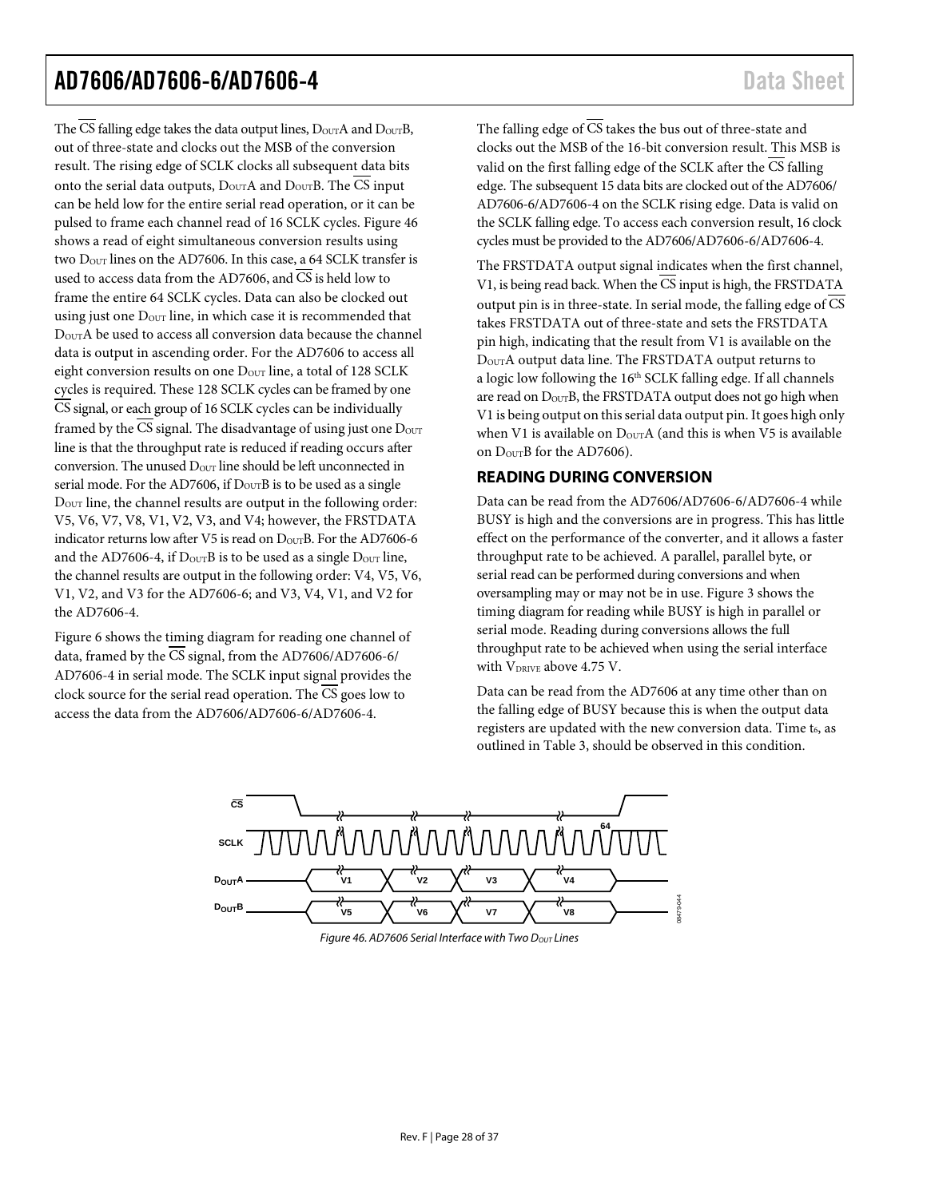The CS falling edge takes the data output lines,  $D_{\text{OUT}}A$  and  $D_{\text{OUT}}B$ , out of three-state and clocks out the MSB of the conversion result. The rising edge of SCLK clocks all subsequent data bits onto the serial data outputs,  $D_{\text{OUT}}A$  and  $D_{\text{OUT}}B$ . The CS input can be held low for the entire serial read operation, or it can be pulsed to frame each channel read of 16 SCLK cycles. [Figure 46](#page-27-1) shows a read of eight simultaneous conversion results using two  $D_{\text{OUT}}$  lines on the AD7606. In this case, a 64 SCLK transfer is used to access data from the AD7606, and  $\overline{\text{CS}}$  is held low to frame the entire 64 SCLK cycles. Data can also be clocked out using just one  $D_{\text{OUT}}$  line, in which case it is recommended that DOUTA be used to access all conversion data because the channel data is output in ascending order. For the AD7606 to access all eight conversion results on one  $D_{\text{OUT}}$  line, a total of 128 SCLK cycles is required. These 128 SCLK cycles can be framed by one  $\overline{CS}$  signal, or each group of 16 SCLK cycles can be individually framed by the  $\overline{\text{CS}}$  signal. The disadvantage of using just one  $\overline{\text{D}_{\text{OUT}}}$ line is that the throughput rate is reduced if reading occurs after conversion. The unused  $D_{\text{OUT}}$  line should be left unconnected in serial mode. For the AD7606, if  $D_{\text{OUT}}B$  is to be used as a single DOUT line, the channel results are output in the following order: V5, V6, V7, V8, V1, V2, V3, and V4; however, the FRSTDATA indicator returns low after V5 is read on  $D<sub>OUT</sub>B$ . For the AD7606-6 and the AD7606-4, if  $D_{\text{OUT}}B$  is to be used as a single  $D_{\text{OUT}}$  line, the channel results are output in the following order: V4, V5, V6, V1, V2, and V3 for the AD7606-6; and V3, V4, V1, and V2 for the AD7606-4.

[Figure 6](#page-9-2) shows the timing diagram for reading one channel of data, framed by the  $\overline{\text{CS}}$  signal, from the AD7606/AD7606-6/ AD7606-4 in serial mode. The SCLK input signal provides the clock source for the serial read operation. The  $\overline{CS}$  goes low to access the data from the AD7606/AD7606-6/AD7606-4.

The falling edge of  $\overline{CS}$  takes the bus out of three-state and clocks out the MSB of the 16-bit conversion result. This MSB is valid on the first falling edge of the SCLK after the  $\overline{\text{CS}}$  falling edge. The subsequent 15 data bits are clocked out of the AD7606/ AD7606-6/AD7606-4 on the SCLK rising edge. Data is valid on the SCLK falling edge. To access each conversion result, 16 clock cycles must be provided to the AD7606/AD7606-6/AD7606-4.

The FRSTDATA output signal indicates when the first channel, V1, is being read back. When the  $\overline{CS}$  input is high, the FRSTDATA output pin is in three-state. In serial mode, the falling edge of  $\overline{CS}$ takes FRSTDATA out of three-state and sets the FRSTDATA pin high, indicating that the result from V1 is available on the DOUTA output data line. The FRSTDATA output returns to a logic low following the  $16<sup>th</sup>$  SCLK falling edge. If all channels are read on  $D<sub>OUT</sub>B$ , the FRSTDATA output does not go high when V1 is being output on this serial data output pin. It goes high only when V1 is available on  $D_{\text{OUT}}A$  (and this is when V5 is available on DourB for the AD7606).

#### <span id="page-27-0"></span>**READING DURING CONVERSION**

Data can be read from the AD7606/AD7606-6/AD7606-4 while BUSY is high and the conversions are in progress. This has little effect on the performance of the converter, and it allows a faster throughput rate to be achieved. A parallel, parallel byte, or serial read can be performed during conversions and when oversampling may or may not be in use. [Figure 3](#page-8-1) shows the timing diagram for reading while BUSY is high in parallel or serial mode. Reading during conversions allows the full throughput rate to be achieved when using the serial interface with  $V_{DRIVE}$  above 4.75 V.

Data can be read from the AD7606 at any time other than on the falling edge of BUSY because this is when the output data registers are updated with the new conversion data. Time t<sub>6</sub>, as outlined in [Table 3,](#page-6-1) should be observed in this condition.

<span id="page-27-1"></span>

*Figure 46. AD7606 Serial Interface with Two Dout Lines*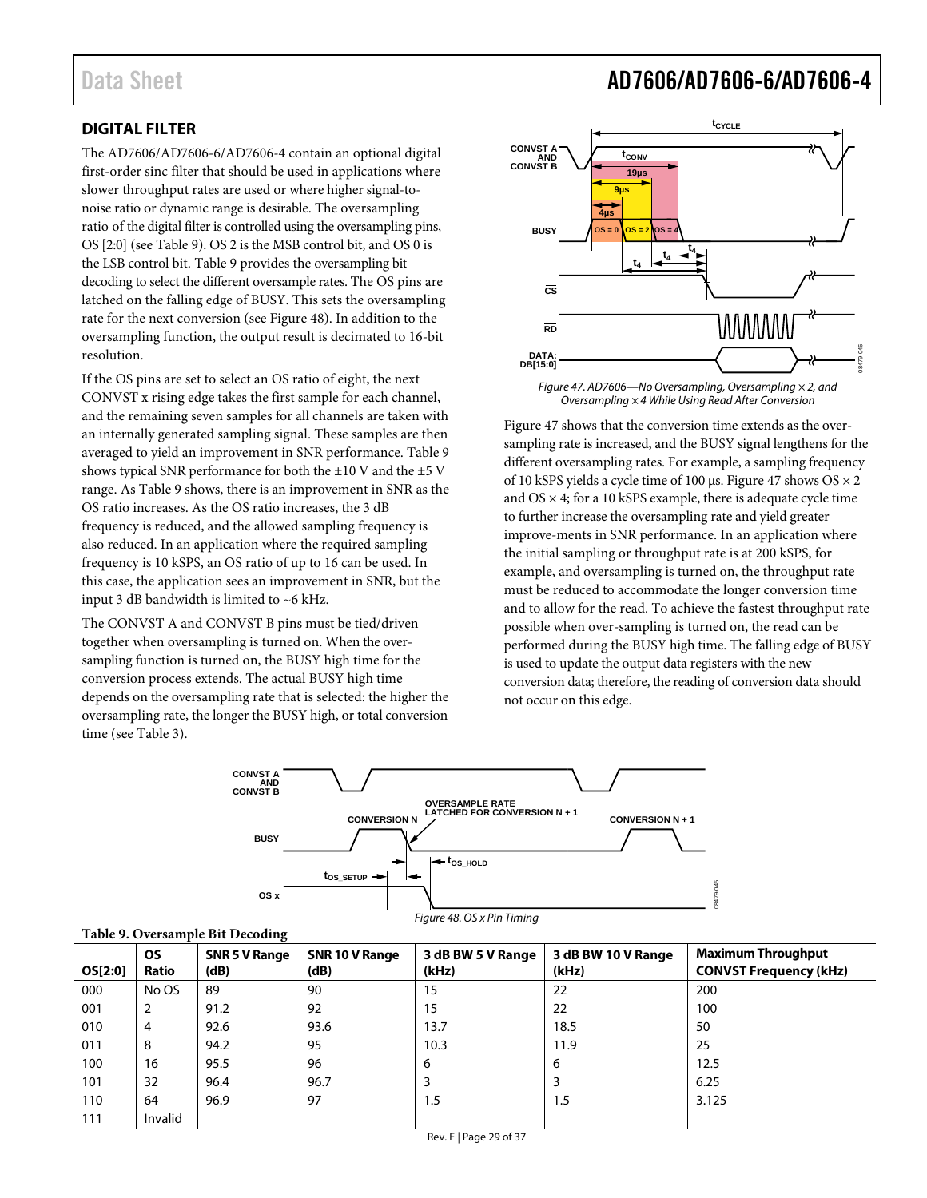### <span id="page-28-0"></span>**DIGITAL FILTER**

The AD7606/AD7606-6/AD7606-4 contain an optional digital first-order sinc filter that should be used in applications where slower throughput rates are used or where higher signal-tonoise ratio or dynamic range is desirable. The oversampling ratio of the digital filter is controlled using the oversampling pins, OS [2:0] (se[e Table 9\)](#page-28-1). OS 2 is the MSB control bit, and OS 0 is the LSB control bit[. Table 9](#page-28-1) provides the oversampling bit decoding to select the different oversample rates. The OS pins are latched on the falling edge of BUSY. This sets the oversampling rate for the next conversion (se[e Figure 48\)](#page-28-2). In addition to the oversampling function, the output result is decimated to 16-bit resolution.

If the OS pins are set to select an OS ratio of eight, the next CONVST x rising edge takes the first sample for each channel, and the remaining seven samples for all channels are taken with an internally generated sampling signal. These samples are then averaged to yield an improvement in SNR performance. [Table 9](#page-28-1) shows typical SNR performance for both the  $\pm 10$  V and the  $\pm 5$  V range. As [Table 9](#page-28-1) shows, there is an improvement in SNR as the OS ratio increases. As the OS ratio increases, the 3 dB frequency is reduced, and the allowed sampling frequency is also reduced. In an application where the required sampling frequency is 10 kSPS, an OS ratio of up to 16 can be used. In this case, the application sees an improvement in SNR, but the input 3 dB bandwidth is limited to ~6 kHz.

The CONVST A and CONVST B pins must be tied/driven together when oversampling is turned on. When the oversampling function is turned on, the BUSY high time for the conversion process extends. The actual BUSY high time depends on the oversampling rate that is selected: the higher the oversampling rate, the longer the BUSY high, or total conversion time (se[e Table 3\)](#page-6-1).





<span id="page-28-3"></span>

[Figure 47](#page-28-3) shows that the conversion time extends as the oversampling rate is increased, and the BUSY signal lengthens for the different oversampling rates. For example, a sampling frequency of 10 kSPS yields a cycle time of 100  $\mu$ s[. Figure 47](#page-28-3) shows OS  $\times$  2 and  $OS \times 4$ ; for a 10 kSPS example, there is adequate cycle time to further increase the oversampling rate and yield greater improve-ments in SNR performance. In an application where the initial sampling or throughput rate is at 200 kSPS, for example, and oversampling is turned on, the throughput rate must be reduced to accommodate the longer conversion time and to allow for the read. To achieve the fastest throughput rate possible when over-sampling is turned on, the read can be performed during the BUSY high time. The falling edge of BUSY is used to update the output data registers with the new conversion data; therefore, the reading of conversion data should not occur on this edge.

08479-045



<span id="page-28-2"></span><span id="page-28-1"></span>

|  |  | Table 9. Oversample Bit Decoding |  |
|--|--|----------------------------------|--|
|--|--|----------------------------------|--|

| OS[2:0] | <b>OS</b><br>Ratio | <b>SNR 5 V Range</b><br>(dB) | SNR 10 V Range<br>(dB) | 3 dB BW 5 V Range<br>(kHz) | 3 dB BW 10 V Range<br>(kHz) | <b>Maximum Throughput</b><br><b>CONVST Frequency (kHz)</b> |
|---------|--------------------|------------------------------|------------------------|----------------------------|-----------------------------|------------------------------------------------------------|
| 000     | No OS              | 89                           | 90                     | 15                         | 22                          | 200                                                        |
| 001     | 2                  | 91.2                         | 92                     | 15                         | 22                          | 100                                                        |
| 010     | 4                  | 92.6                         | 93.6                   | 13.7                       | 18.5                        | 50                                                         |
| 011     | 8                  | 94.2                         | 95                     | 10.3                       | 11.9                        | 25                                                         |
| 100     | 16                 | 95.5                         | 96                     | 6                          | 6                           | 12.5                                                       |
| 101     | 32                 | 96.4                         | 96.7                   | 3                          | 3                           | 6.25                                                       |
| 110     | 64                 | 96.9                         | 97                     | 1.5                        | 1.5                         | 3.125                                                      |
| 111     | Invalid            |                              |                        |                            |                             |                                                            |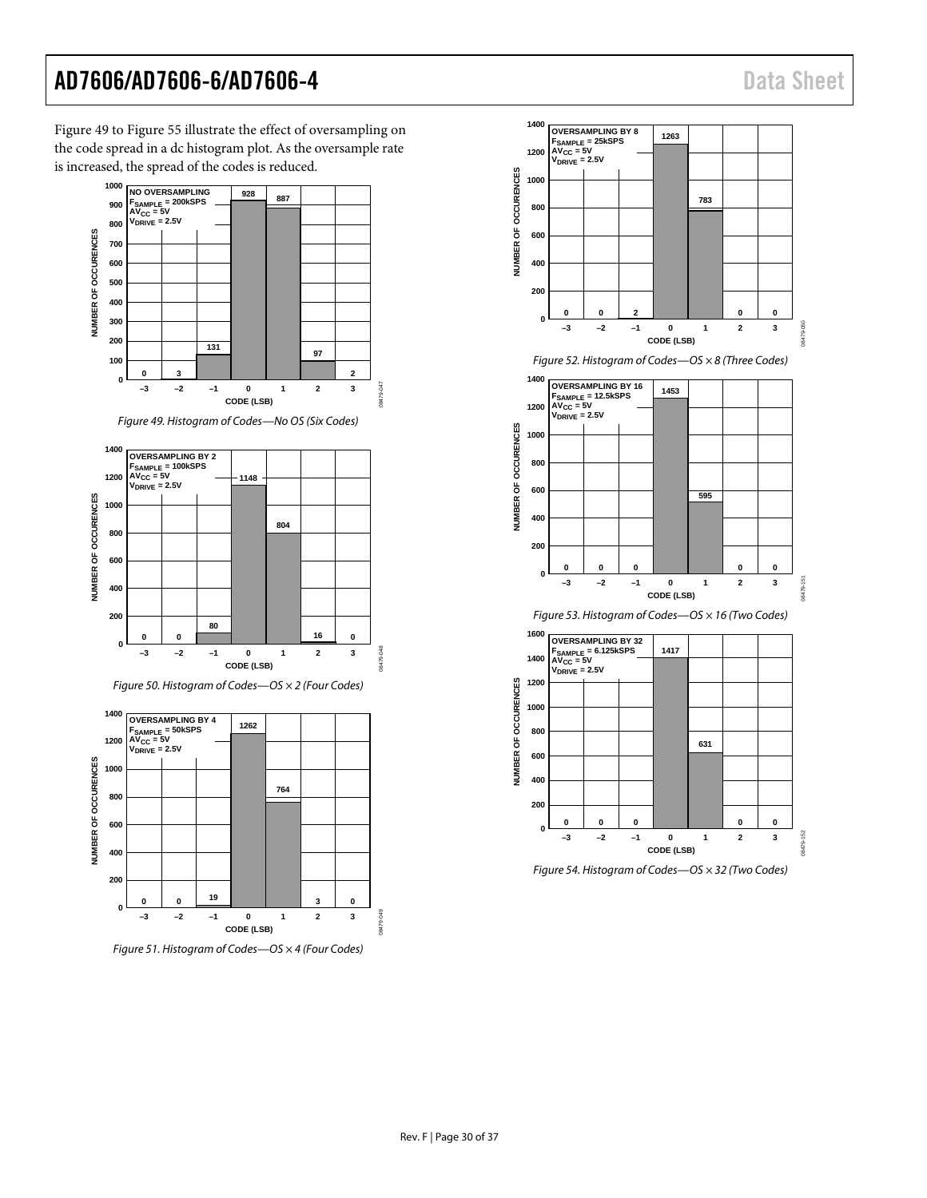[Figure 49](#page-29-0) to [Figure 55](#page-30-0) illustrate the effect of oversampling on the code spread in a dc histogram plot. As the oversample rate is increased, the spread of the codes is reduced.



*Figure 49. Histogram of Codes—No OS (Six Codes)*

<span id="page-29-0"></span>

*Figure 50. Histogram of Codes—OS × 2 (Four Codes)*



*Figure 51. Histogram of Codes—OS × 4 (Four Codes)*



*Figure 52. Histogram of Codes—OS × 8 (Three Codes)*



*Figure 53. Histogram of Codes—OS × 16 (Two Codes)*



*Figure 54. Histogram of Codes—OS × 32 (Two Codes)*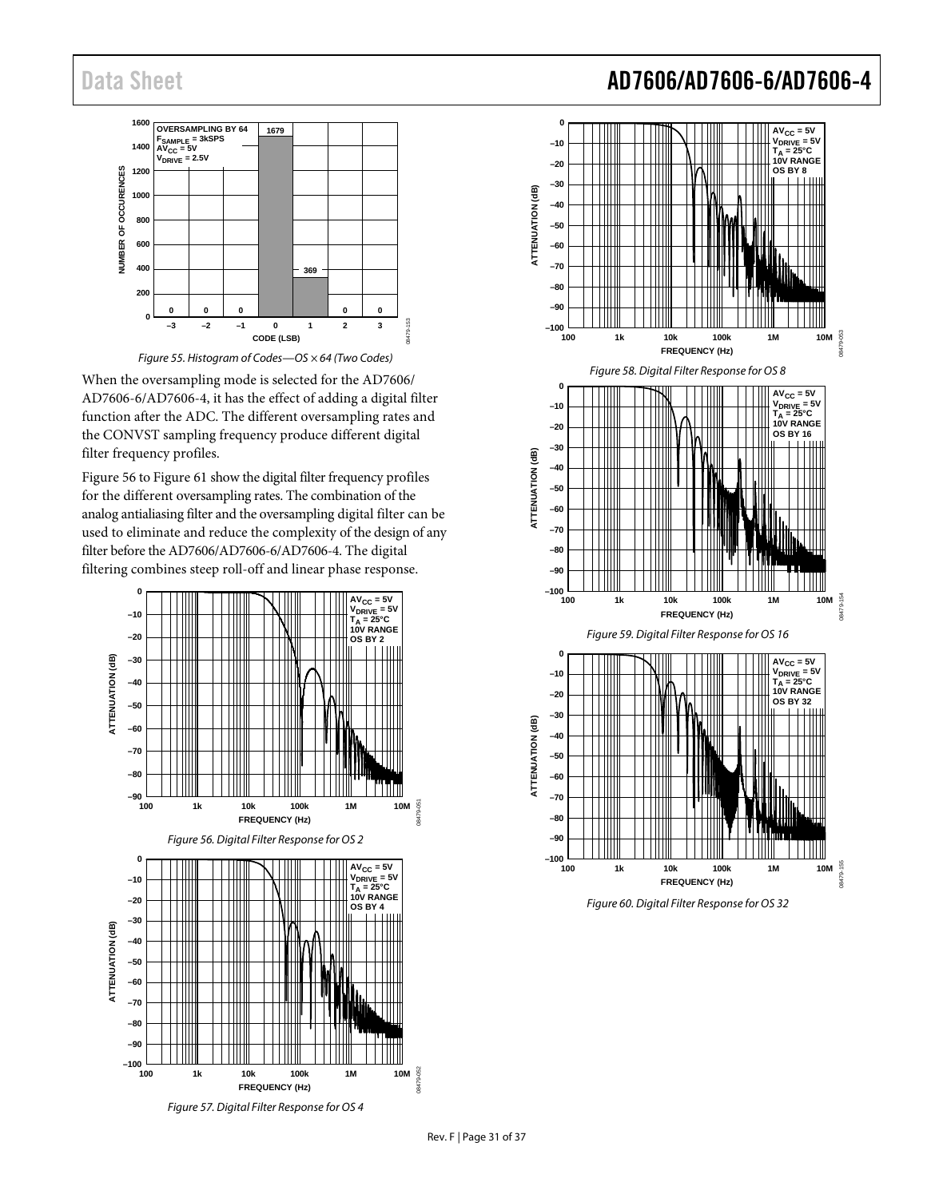



<span id="page-30-0"></span>When the oversampling mode is selected for the AD7606/ AD7606-6/AD7606-4, it has the effect of adding a digital filter function after the ADC. The different oversampling rates and the CONVST sampling frequency produce different digital filter frequency profiles.

[Figure 56](#page-30-1) t[o Figure 61](#page-31-0) show the digital filter frequency profiles for the different oversampling rates. The combination of the analog antialiasing filter and the oversampling digital filter can be used to eliminate and reduce the complexity of the design of any filter before the AD7606/AD7606-6/AD7606-4. The digital filtering combines steep roll-off and linear phase response.

<span id="page-30-1"></span>



### Data Sheet **AD7606/AD7606-6/AD7606-4**

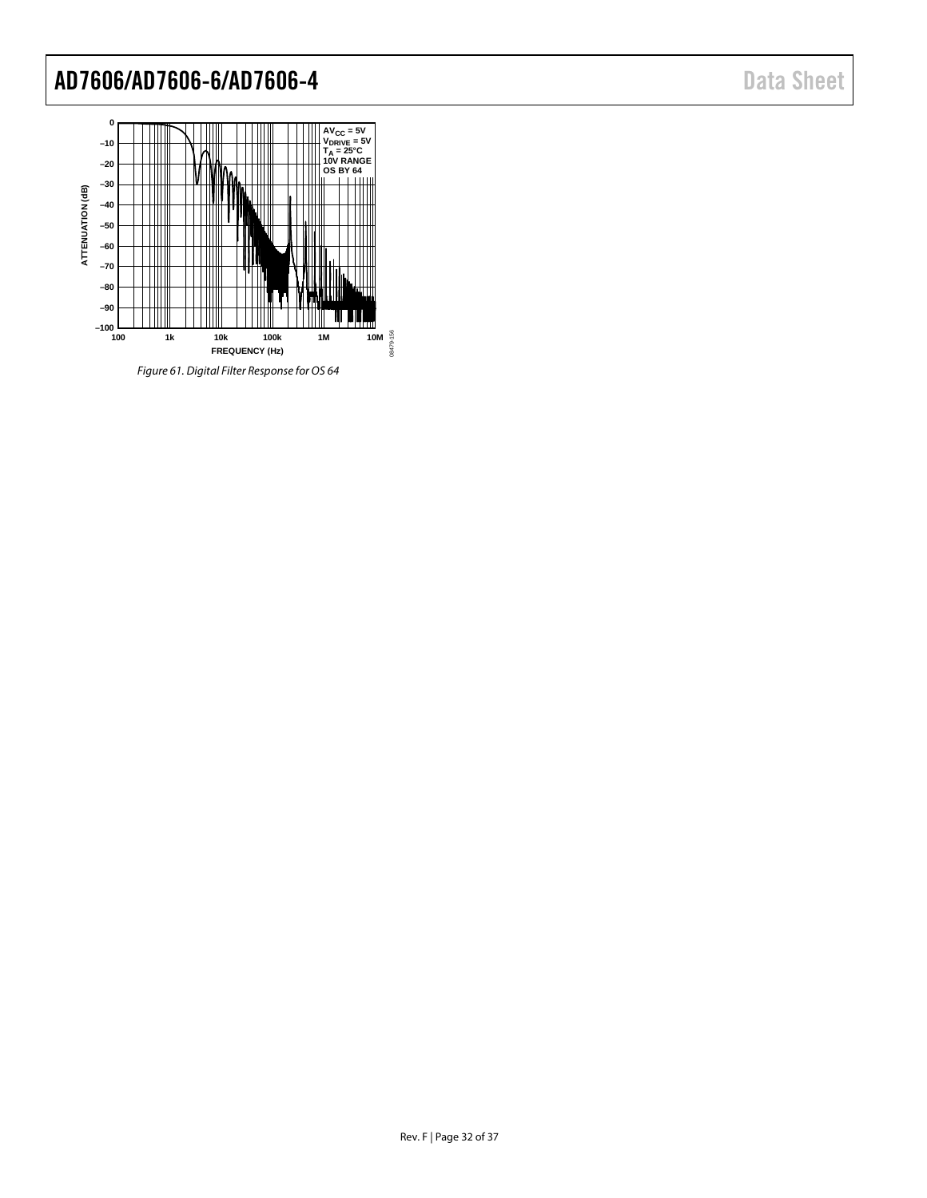

<span id="page-31-0"></span>*Figure 61. Digital Filter Response for OS 64*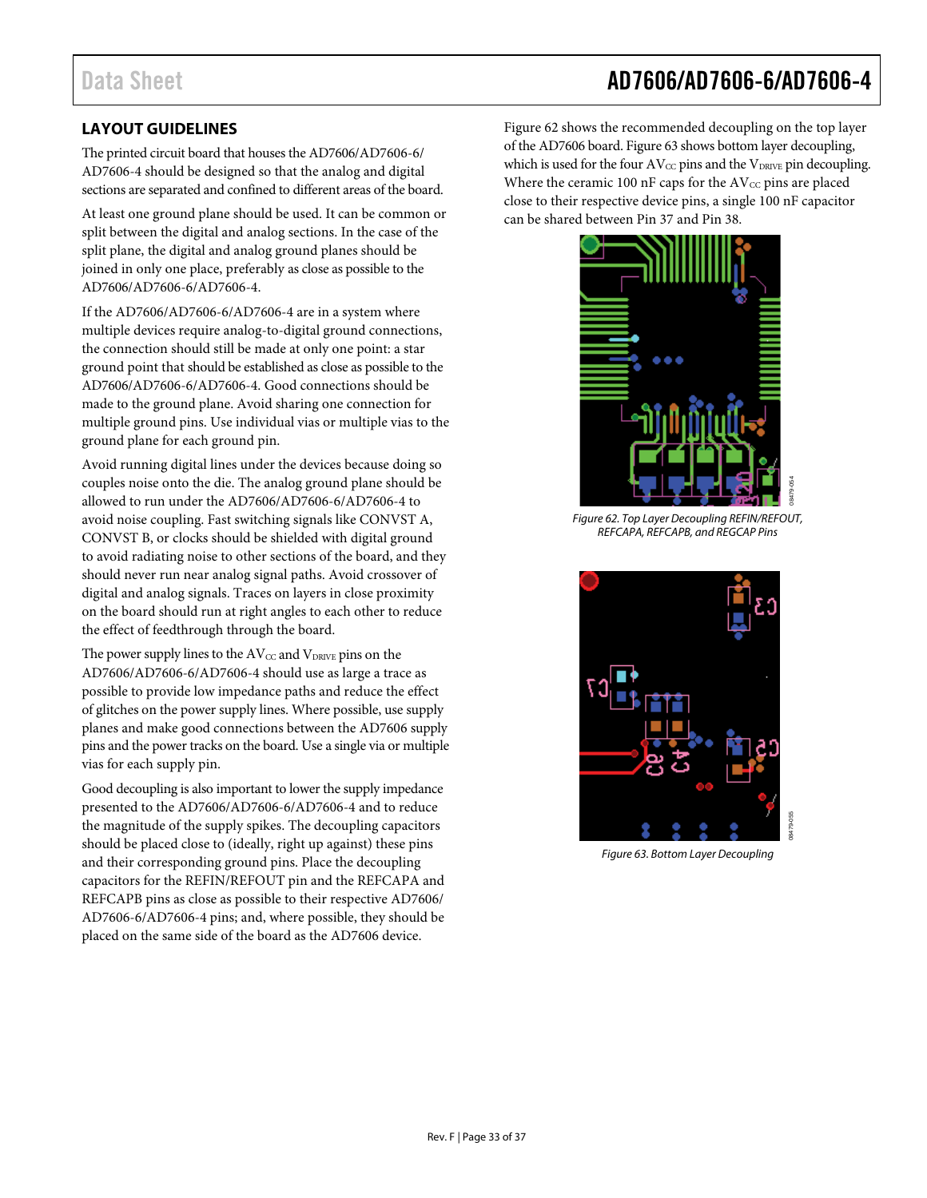### <span id="page-32-0"></span>**LAYOUT GUIDELINES**

The printed circuit board that houses the AD7606/AD7606-6/ AD7606-4 should be designed so that the analog and digital sections are separated and confined to different areas of the board.

At least one ground plane should be used. It can be common or split between the digital and analog sections. In the case of the split plane, the digital and analog ground planes should be joined in only one place, preferably as close as possible to the AD7606/AD7606-6/AD7606-4.

If the AD7606/AD7606-6/AD7606-4 are in a system where multiple devices require analog-to-digital ground connections, the connection should still be made at only one point: a star ground point that should be established as close as possible to the AD7606/AD7606-6/AD7606-4. Good connections should be made to the ground plane. Avoid sharing one connection for multiple ground pins. Use individual vias or multiple vias to the ground plane for each ground pin.

Avoid running digital lines under the devices because doing so couples noise onto the die. The analog ground plane should be allowed to run under the AD7606/AD7606-6/AD7606-4 to avoid noise coupling. Fast switching signals like CONVST A, CONVST B, or clocks should be shielded with digital ground to avoid radiating noise to other sections of the board, and they should never run near analog signal paths. Avoid crossover of digital and analog signals. Traces on layers in close proximity on the board should run at right angles to each other to reduce the effect of feedthrough through the board.

The power supply lines to the  $AV_{CC}$  and  $V_{DRIVE}$  pins on the AD7606/AD7606-6/AD7606-4 should use as large a trace as possible to provide low impedance paths and reduce the effect of glitches on the power supply lines. Where possible, use supply planes and make good connections between the AD7606 supply pins and the power tracks on the board. Use a single via or multiple vias for each supply pin.

Good decoupling is also important to lower the supply impedance presented to the AD7606/AD7606-6/AD7606-4 and to reduce the magnitude of the supply spikes. The decoupling capacitors should be placed close to (ideally, right up against) these pins and their corresponding ground pins. Place the decoupling capacitors for the REFIN/REFOUT pin and the REFCAPA and REFCAPB pins as close as possible to their respective AD7606/ AD7606-6/AD7606-4 pins; and, where possible, they should be placed on the same side of the board as the AD7606 device.

[Figure 62](#page-32-1) shows the recommended decoupling on the top layer of the AD7606 board[. Figure 63](#page-32-2) shows bottom layer decoupling, which is used for the four  $AV_{CC}$  pins and the  $V_{DRIVE}$  pin decoupling. Where the ceramic 100 nF caps for the  $AV_{CC}$  pins are placed close to their respective device pins, a single 100 nF capacitor can be shared between Pin 37 and Pin 38.



*Figure 62. Top Layer Decoupling REFIN/REFOUT, REFCAPA, REFCAPB, and REGCAP Pins*

<span id="page-32-2"></span><span id="page-32-1"></span>

*Figure 63. Bottom Layer Decoupling*

### Data Sheet **AD7606/AD7606-6/AD7606-4**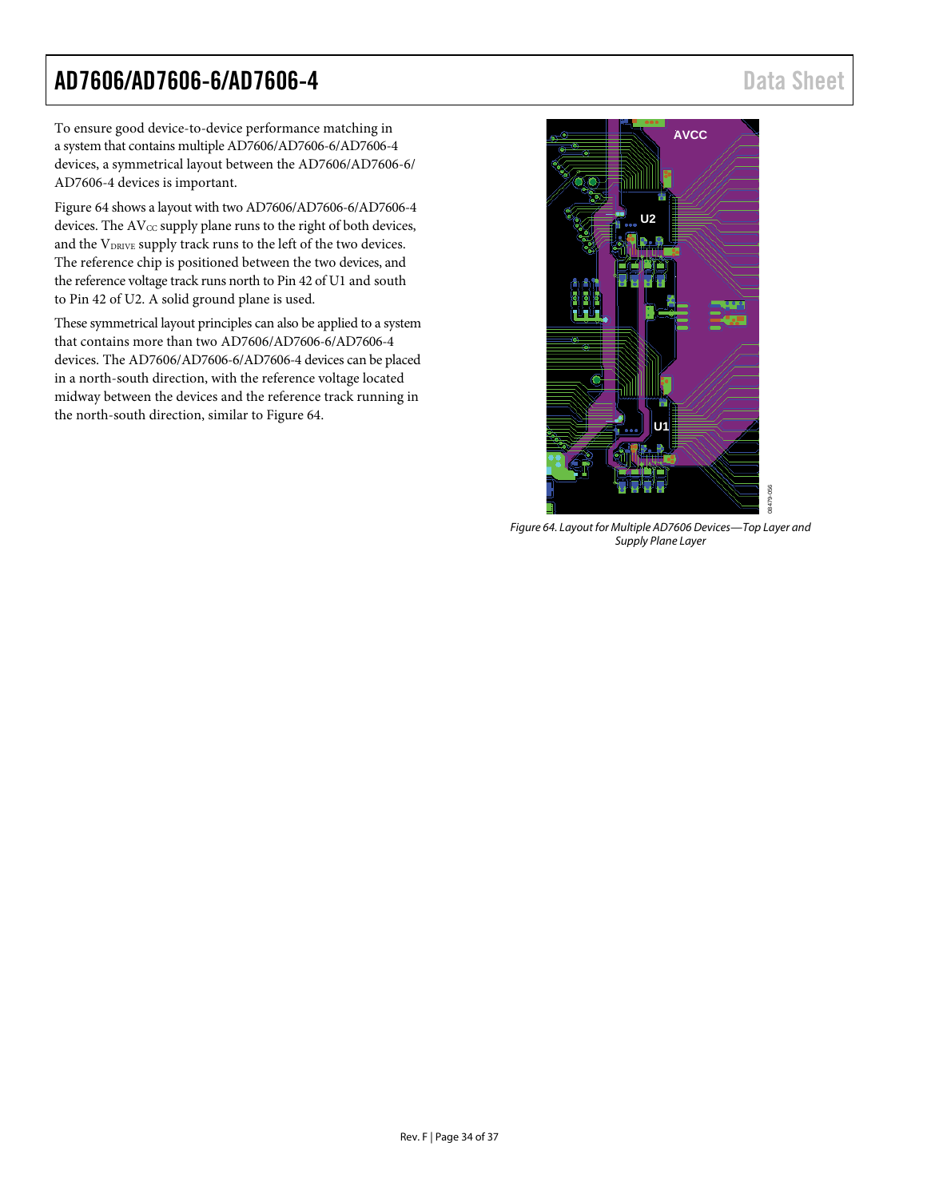To ensure good device-to-device performance matching in a system that contains multiple AD7606/AD7606-6/AD7606-4 devices, a symmetrical layout between the AD7606/AD7606-6/ AD7606-4 devices is important.

[Figure 64](#page-33-0) shows a layout with two AD7606/AD7606-6/AD7606-4 devices. The  $AV_{CC}$  supply plane runs to the right of both devices, and the VDRIVE supply track runs to the left of the two devices. The reference chip is positioned between the two devices, and the reference voltage track runs north to Pin 42 of U1 and south to Pin 42 of U2. A solid ground plane is used.

These symmetrical layout principles can also be applied to a system that contains more than two AD7606/AD7606-6/AD7606-4 devices. The AD7606/AD7606-6/AD7606-4 devices can be placed in a north-south direction, with the reference voltage located midway between the devices and the reference track running in the north-south direction, similar to [Figure 64.](#page-33-0)

<span id="page-33-0"></span>

*Figure 64. Layout for Multiple AD7606 Devices—Top Layer and Supply Plane Layer*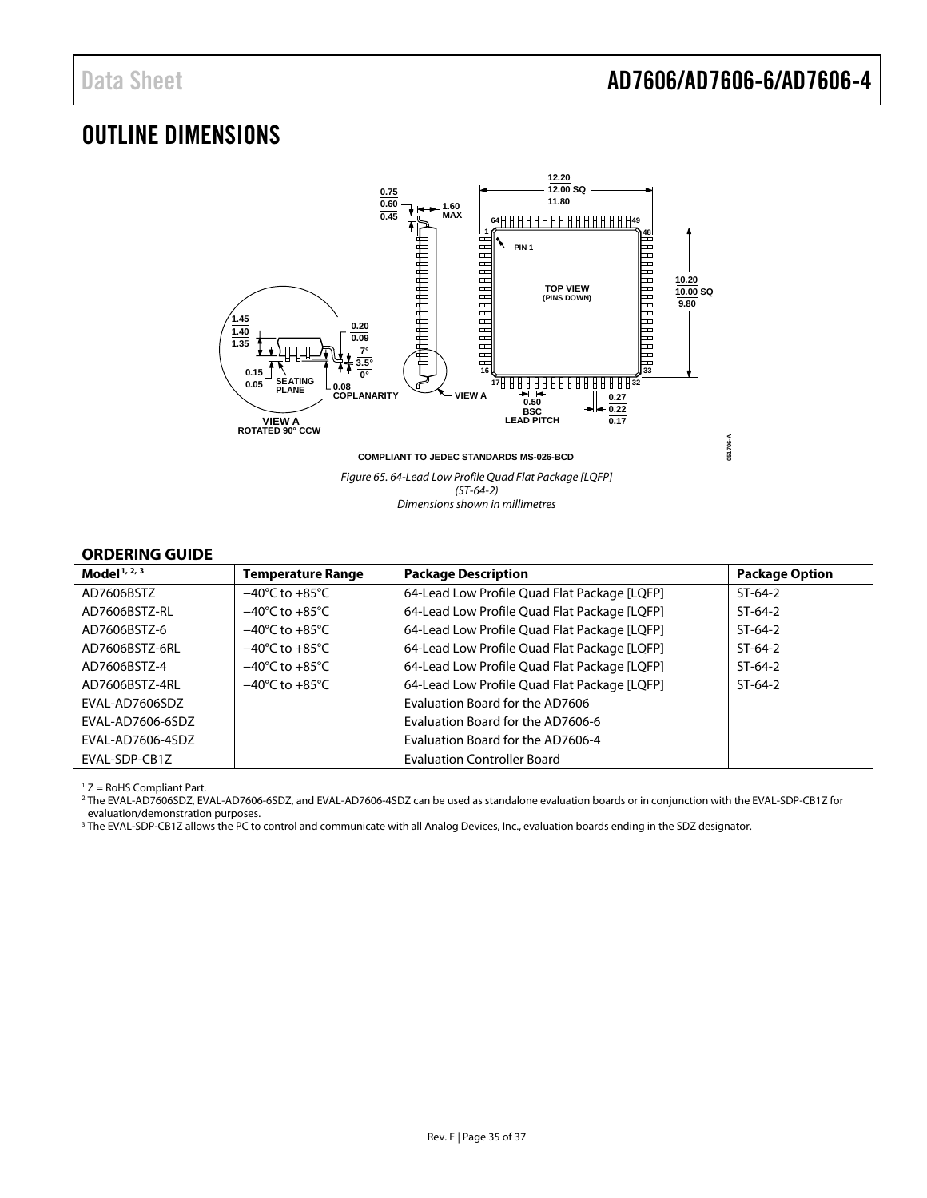### <span id="page-34-0"></span>OUTLINE DIMENSIONS



*(ST-64-2) Dimensions shown in millimetres*

#### <span id="page-34-1"></span>**ORDERING GUIDE**

| Model <sup>1, 2, 3</sup> | <b>Temperature Range</b>           | <b>Package Description</b>                   | <b>Package Option</b> |
|--------------------------|------------------------------------|----------------------------------------------|-----------------------|
| AD7606BST7               | $-40^{\circ}$ C to $+85^{\circ}$ C | 64-Lead Low Profile Quad Flat Package [LQFP] | $ST-64-2$             |
| AD7606BSTZ-RI            | $-40^{\circ}$ C to $+85^{\circ}$ C | 64-Lead Low Profile Quad Flat Package [LQFP] | $ST-64-2$             |
| AD7606BST7-6             | $-40^{\circ}$ C to $+85^{\circ}$ C | 64-Lead Low Profile Quad Flat Package [LQFP] | $ST-64-2$             |
| AD7606BSTZ-6RL           | $-40^{\circ}$ C to $+85^{\circ}$ C | 64-Lead Low Profile Quad Flat Package [LQFP] | $ST-64-2$             |
| AD7606BST7-4             | $-40^{\circ}$ C to $+85^{\circ}$ C | 64-Lead Low Profile Quad Flat Package [LQFP] | $ST-64-2$             |
| AD7606BSTZ-4RL           | $-40^{\circ}$ C to $+85^{\circ}$ C | 64-Lead Low Profile Quad Flat Package [LQFP] | $ST-64-2$             |
| EVAL-AD7606SDZ           |                                    | Evaluation Board for the AD7606              |                       |
| <b>FVAL-AD7606-6SDZ</b>  |                                    | Evaluation Board for the AD7606-6            |                       |
| EVAL-AD7606-4SDZ         |                                    | Evaluation Board for the AD7606-4            |                       |
| EVAL-SDP-CB1Z            |                                    | <b>Evaluation Controller Board</b>           |                       |

<sup>1</sup> Z = RoHS Compliant Part.

<sup>2</sup> The EVAL-AD7606SDZ, EVAL-AD7606-6SDZ, and EVAL-AD7606-4SDZ can be used as standalone evaluation boards or in conjunction with the EVAL-SDP-CB1Z for evaluation/demonstration purposes.

<sup>3</sup> The EVAL-SDP-CB1Z allows the PC to control and communicate with all Analog Devices, Inc., evaluation boards ending in the SDZ designator.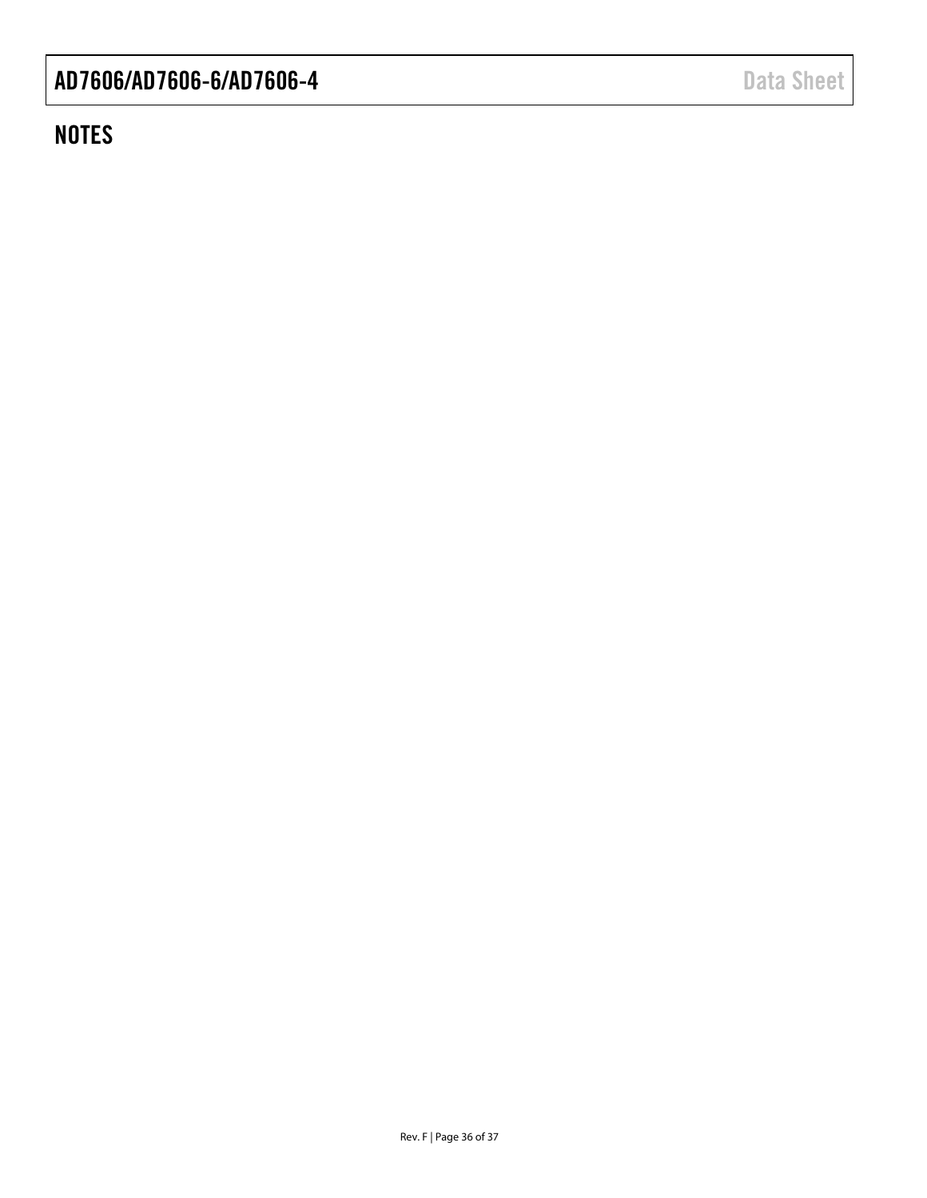## **NOTES**